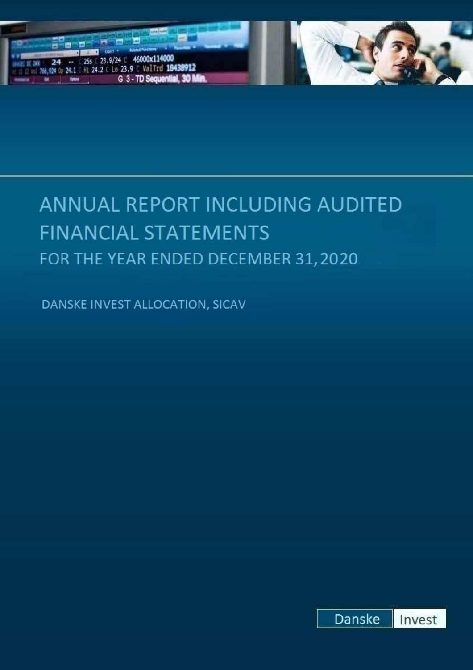

# ANNUAL REPORT INCLUDING AUDITED **FINANCIAL STATEMENTS** FOR THE YEAR ENDED DECEMBER 31, 2020

DANSKE INVEST ALLOCATION, SICAV

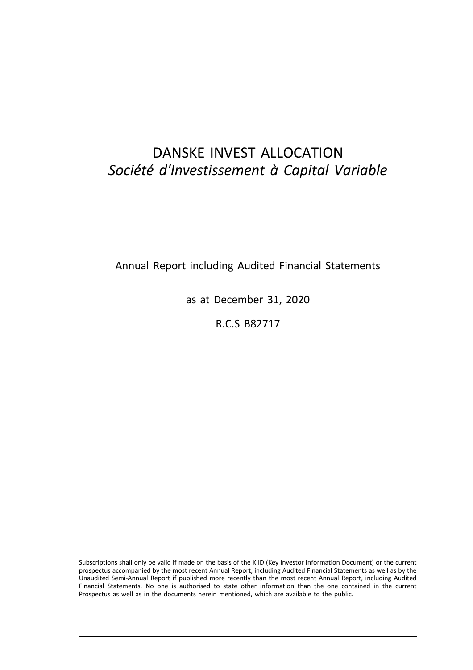# DANSKE INVEST ALLOCATION *Société d'Investissement à Capital Variable*

Annual Report including Audited Financial Statements

as at December 31, 2020

R.C.S B82717

Subscriptions shall only be valid if made on the basis of the KIID (Key Investor Information Document) or the current prospectus accompanied by the most recent Annual Report, including Audited Financial Statements as well as by the Unaudited Semi-Annual Report if published more recently than the most recent Annual Report, including Audited Financial Statements. No one is authorised to state other information than the one contained in the current Prospectus as well as in the documents herein mentioned, which are available to the public.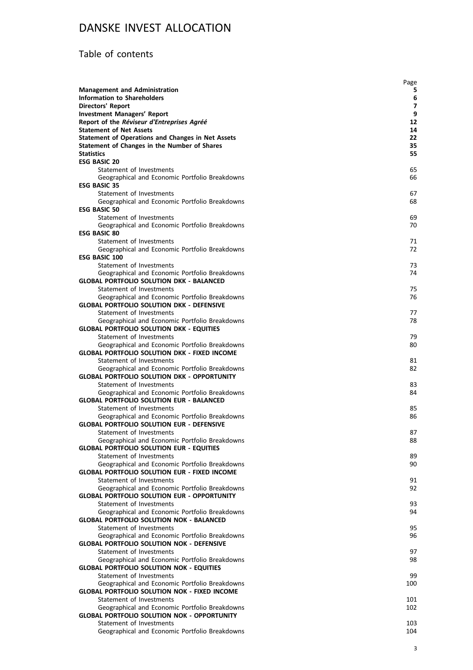# Table of contents

|                                                                                                          | Page     |
|----------------------------------------------------------------------------------------------------------|----------|
| <b>Management and Administration</b>                                                                     | 5        |
| <b>Information to Shareholders</b>                                                                       | 6        |
| <b>Directors' Report</b>                                                                                 | 7        |
| <b>Investment Managers' Report</b>                                                                       | 9        |
| Report of the Réviseur d'Entreprises Agréé                                                               | 12       |
| <b>Statement of Net Assets</b>                                                                           | 14       |
| <b>Statement of Operations and Changes in Net Assets</b><br>Statement of Changes in the Number of Shares | 22<br>35 |
| <b>Statistics</b>                                                                                        | 55       |
| <b>ESG BASIC 20</b>                                                                                      |          |
| Statement of Investments                                                                                 | 65       |
| Geographical and Economic Portfolio Breakdowns                                                           | 66       |
| <b>ESG BASIC 35</b>                                                                                      |          |
| Statement of Investments                                                                                 | 67       |
| Geographical and Economic Portfolio Breakdowns                                                           | 68       |
| <b>ESG BASIC 50</b>                                                                                      |          |
| Statement of Investments                                                                                 | 69       |
| Geographical and Economic Portfolio Breakdowns                                                           | 70       |
| <b>ESG BASIC 80</b>                                                                                      |          |
| Statement of Investments<br>Geographical and Economic Portfolio Breakdowns                               | 71<br>72 |
| <b>ESG BASIC 100</b>                                                                                     |          |
| Statement of Investments                                                                                 | 73       |
| Geographical and Economic Portfolio Breakdowns                                                           | 74       |
| <b>GLOBAL PORTFOLIO SOLUTION DKK - BALANCED</b>                                                          |          |
| Statement of Investments                                                                                 | 75       |
| Geographical and Economic Portfolio Breakdowns                                                           | 76       |
| <b>GLOBAL PORTFOLIO SOLUTION DKK - DEFENSIVE</b>                                                         |          |
| Statement of Investments                                                                                 | 77       |
| Geographical and Economic Portfolio Breakdowns                                                           | 78       |
| <b>GLOBAL PORTFOLIO SOLUTION DKK - EQUITIES</b>                                                          |          |
| Statement of Investments                                                                                 | 79       |
| Geographical and Economic Portfolio Breakdowns<br><b>GLOBAL PORTFOLIO SOLUTION DKK - FIXED INCOME</b>    | 80       |
| Statement of Investments                                                                                 | 81       |
| Geographical and Economic Portfolio Breakdowns                                                           | 82       |
| <b>GLOBAL PORTFOLIO SOLUTION DKK - OPPORTUNITY</b>                                                       |          |
| Statement of Investments                                                                                 | 83       |
| Geographical and Economic Portfolio Breakdowns                                                           | 84       |
| <b>GLOBAL PORTFOLIO SOLUTION EUR - BALANCED</b>                                                          |          |
| Statement of Investments                                                                                 | 85       |
| Geographical and Economic Portfolio Breakdowns                                                           | 86       |
| <b>GLOBAL PORTFOLIO SOLUTION EUR - DEFENSIVE</b>                                                         |          |
| Statement of Investments                                                                                 | 87       |
| Geographical and Economic Portfolio Breakdowns<br><b>GLOBAL PORTFOLIO SOLUTION EUR - EQUITIES</b>        | 88       |
| Statement of Investments                                                                                 | 89       |
| Geographical and Economic Portfolio Breakdowns                                                           | 90       |
| <b>GLOBAL PORTFOLIO SOLUTION EUR - FIXED INCOME</b>                                                      |          |
| Statement of Investments                                                                                 | 91       |
| Geographical and Economic Portfolio Breakdowns                                                           | 92       |
| <b>GLOBAL PORTFOLIO SOLUTION EUR - OPPORTUNITY</b>                                                       |          |
| Statement of Investments                                                                                 | 93       |
| Geographical and Economic Portfolio Breakdowns                                                           | 94       |
| <b>GLOBAL PORTFOLIO SOLUTION NOK - BALANCED</b>                                                          |          |
| Statement of Investments                                                                                 | 95       |
| Geographical and Economic Portfolio Breakdowns                                                           | 96       |
| <b>GLOBAL PORTFOLIO SOLUTION NOK - DEFENSIVE</b><br>Statement of Investments                             | 97       |
| Geographical and Economic Portfolio Breakdowns                                                           | 98       |
| <b>GLOBAL PORTFOLIO SOLUTION NOK - EQUITIES</b>                                                          |          |
| Statement of Investments                                                                                 | 99       |
| Geographical and Economic Portfolio Breakdowns                                                           | 100      |
| <b>GLOBAL PORTFOLIO SOLUTION NOK - FIXED INCOME</b>                                                      |          |
| Statement of Investments                                                                                 | 101      |
| Geographical and Economic Portfolio Breakdowns                                                           | 102      |
| <b>GLOBAL PORTFOLIO SOLUTION NOK - OPPORTUNITY</b>                                                       |          |
| Statement of Investments                                                                                 | 103      |
| Geographical and Economic Portfolio Breakdowns                                                           | 104      |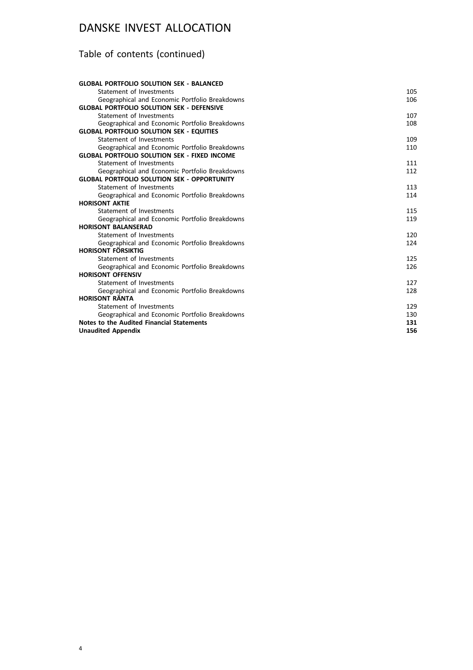# Table of contents (continued)

| <b>GLOBAL PORTFOLIO SOLUTION SEK - BALANCED</b>     |     |
|-----------------------------------------------------|-----|
| Statement of Investments                            | 105 |
| Geographical and Economic Portfolio Breakdowns      | 106 |
| <b>GLOBAL PORTFOLIO SOLUTION SEK - DEFENSIVE</b>    |     |
| Statement of Investments                            | 107 |
| Geographical and Economic Portfolio Breakdowns      | 108 |
| <b>GLOBAL PORTFOLIO SOLUTION SEK - EQUITIES</b>     |     |
| Statement of Investments                            | 109 |
| Geographical and Economic Portfolio Breakdowns      | 110 |
| <b>GLOBAL PORTFOLIO SOLUTION SEK - FIXED INCOME</b> |     |
| Statement of Investments                            | 111 |
| Geographical and Economic Portfolio Breakdowns      | 112 |
| <b>GLOBAL PORTFOLIO SOLUTION SEK - OPPORTUNITY</b>  |     |
| Statement of Investments                            | 113 |
| Geographical and Economic Portfolio Breakdowns      | 114 |
| <b>HORISONT AKTIE</b>                               |     |
| Statement of Investments                            | 115 |
| Geographical and Economic Portfolio Breakdowns      | 119 |
| <b>HORISONT BALANSERAD</b>                          |     |
| Statement of Investments                            | 120 |
| Geographical and Economic Portfolio Breakdowns      | 124 |
| <b>HORISONT FÖRSIKTIG</b>                           |     |
| Statement of Investments                            | 125 |
| Geographical and Economic Portfolio Breakdowns      | 126 |
| <b>HORISONT OFFENSIV</b>                            |     |
| Statement of Investments                            | 127 |
| Geographical and Economic Portfolio Breakdowns      | 128 |
| <b>HORISONT RÄNTA</b>                               |     |
| Statement of Investments                            | 129 |
| Geographical and Economic Portfolio Breakdowns      | 130 |
| Notes to the Audited Financial Statements           | 131 |
| <b>Unaudited Appendix</b>                           | 156 |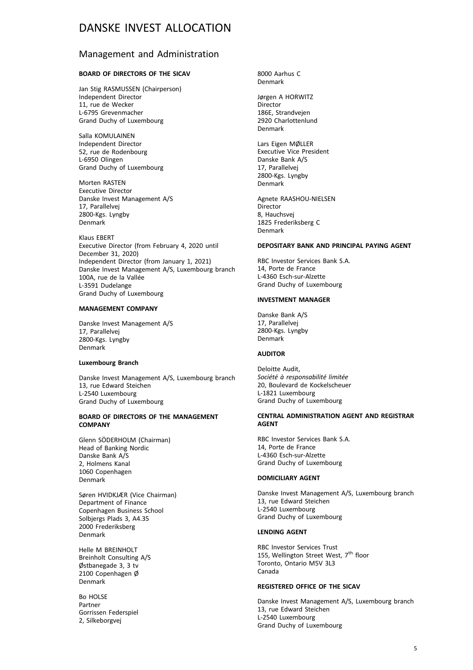### Management and Administration

#### **BOARD OF DIRECTORS OF THE SICAV**

Jan Stig RASMUSSEN (Chairperson) Independent Director 11, rue de Wecker L-6795 Grevenmacher Grand Duchy of Luxembourg

Salla KOMULAINEN Independent Director 52, rue de Rodenbourg L-6950 Olingen Grand Duchy of Luxembourg

Morten RASTEN Executive Director Danske Invest Management A/S 17, Parallelvej 2800-Kgs. Lyngby Denmark

Klaus EBERT Executive Director (from February 4, 2020 until December 31, 2020) Independent Director (from January 1, 2021) Danske Invest Management A/S, Luxembourg branch 100A, rue de la Vallée L-3591 Dudelange Grand Duchy of Luxembourg

#### **MANAGEMENT COMPANY**

Danske Invest Management A/S 17, Parallelvej 2800-Kgs. Lyngby Denmark

#### **Luxembourg Branch**

Danske Invest Management A/S, Luxembourg branch 13, rue Edward Steichen L-2540 Luxembourg Grand Duchy of Luxembourg

#### **BOARD OF DIRECTORS OF THE MANAGEMENT COMPANY**

Glenn SÖDERHOLM (Chairman) Head of Banking Nordic Danske Bank A/S 2, Holmens Kanal 1060 Copenhagen Denmark

Søren HVIDKJÆR (Vice Chairman) Department of Finance Copenhagen Business School Solbjergs Plads 3, A4.35 2000 Frederiksberg Denmark

Helle M BREINHOLT Breinholt Consulting A/S Østbanegade 3, 3 tv 2100 Copenhagen Ø Denmark

Bo HOLSE Partner Gorrissen Federspiel 2, Silkeborgvej

8000 Aarhus C Denmark

Jørgen A HORWITZ Director 186E, Strandvejen 2920 Charlottenlund Denmark

Lars Eigen MØLLER Executive Vice President Danske Bank A/S 17, Parallelvej 2800-Kgs. Lyngby Denmark

Agnete RAASHOU-NIELSEN **Director** 8, Hauchsvej 1825 Frederiksberg C Denmark

#### **DEPOSITARY BANK AND PRINCIPAL PAYING AGENT**

RBC Investor Services Bank S.A. 14, Porte de France L-4360 Esch-sur-Alzette Grand Duchy of Luxembourg

#### **INVESTMENT MANAGER**

Danske Bank A/S 17, Parallelvej 2800-Kgs. Lyngby Denmark

#### **AUDITOR**

Deloitte Audit, *Société à responsabilité limitée* 20, Boulevard de Kockelscheuer L-1821 Luxembourg Grand Duchy of Luxembourg

#### **CENTRAL ADMINISTRATION AGENT AND REGISTRAR AGENT**

RBC Investor Services Bank S.A. 14, Porte de France L-4360 Esch-sur-Alzette Grand Duchy of Luxembourg

#### **DOMICILIARY AGENT**

Danske Invest Management A/S, Luxembourg branch 13, rue Edward Steichen L-2540 Luxembourg Grand Duchy of Luxembourg

#### **LENDING AGENT**

RBC Investor Services Trust 155, Wellington Street West,  $7^{\text{th}}$  floor Toronto, Ontario M5V 3L3 Canada

#### **REGISTERED OFFICE OF THE SICAV**

Danske Invest Management A/S, Luxembourg branch 13, rue Edward Steichen L-2540 Luxembourg Grand Duchy of Luxembourg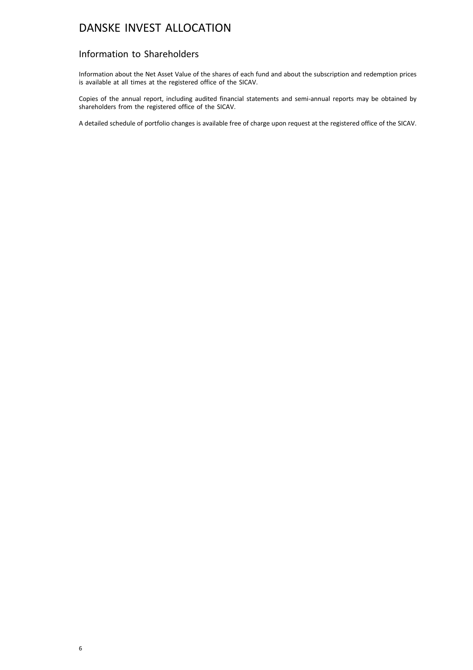### Information to Shareholders

Information about the Net Asset Value of the shares of each fund and about the subscription and redemption prices is available at all times at the registered office of the SICAV.

Copies of the annual report, including audited financial statements and semi-annual reports may be obtained by shareholders from the registered office of the SICAV.

A detailed schedule of portfolio changes is available free of charge upon request at the registered office of the SICAV.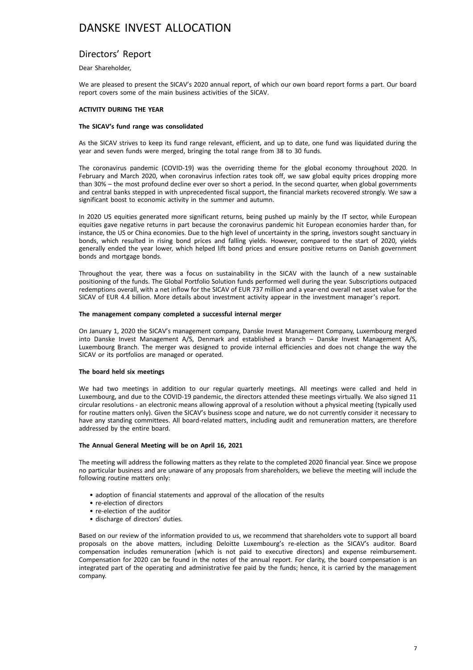### Directors' Report

#### Dear Shareholder,

We are pleased to present the SICAV's 2020 annual report, of which our own board report forms a part. Our board report covers some of the main business activities of the SICAV.

#### **ACTIVITY DURING THE YEAR**

#### **The SICAV's fund range was consolidated**

As the SICAV strives to keep its fund range relevant, efficient, and up to date, one fund was liquidated during the year and seven funds were merged, bringing the total range from 38 to 30 funds.

The coronavirus pandemic (COVID-19) was the overriding theme for the global economy throughout 2020. In February and March 2020, when coronavirus infection rates took off, we saw global equity prices dropping more than 30% – the most profound decline ever over so short a period. In the second quarter, when global governments and central banks stepped in with unprecedented fiscal support, the financial markets recovered strongly. We saw a significant boost to economic activity in the summer and autumn.

In 2020 US equities generated more significant returns, being pushed up mainly by the IT sector, while European equities gave negative returns in part because the coronavirus pandemic hit European economies harder than, for instance, the US or China economies. Due to the high level of uncertainty in the spring, investors sought sanctuary in bonds, which resulted in rising bond prices and falling yields. However, compared to the start of 2020, yields generally ended the year lower, which helped lift bond prices and ensure positive returns on Danish government bonds and mortgage bonds.

Throughout the year, there was a focus on sustainability in the SICAV with the launch of a new sustainable positioning of the funds. The Global Portfolio Solution funds performed well during the year. Subscriptions outpaced redemptions overall, with a net inflow for the SICAV of EUR 737 million and a year-end overall net asset value for the SICAV of EUR 4.4 billion. More details about investment activity appear in the investment manager's report.

#### **The management company completed a successful internal merger**

On January 1, 2020 the SICAV's management company, Danske Invest Management Company, Luxembourg merged into Danske Invest Management A/S, Denmark and established a branch – Danske Invest Management A/S, Luxembourg Branch. The merger was designed to provide internal efficiencies and does not change the way the SICAV or its portfolios are managed or operated.

#### **The board held six meetings**

We had two meetings in addition to our regular quarterly meetings. All meetings were called and held in Luxembourg, and due to the COVID-19 pandemic, the directors attended these meetings virtually. We also signed 11 circular resolutions - an electronic means allowing approval of a resolution without a physical meeting (typically used for routine matters only). Given the SICAV's business scope and nature, we do not currently consider it necessary to have any standing committees. All board-related matters, including audit and remuneration matters, are therefore addressed by the entire board.

#### **The Annual General Meeting will be on April 16, 2021**

The meeting will address the following matters as they relate to the completed 2020 financial year. Since we propose no particular business and are unaware of any proposals from shareholders, we believe the meeting will include the following routine matters only:

- adoption of financial statements and approval of the allocation of the results
- re-election of directors
- re-election of the auditor
- discharge of directors' duties.

Based on our review of the information provided to us, we recommend that shareholders vote to support all board proposals on the above matters, including Deloitte Luxembourg's re-election as the SICAV's auditor. Board compensation includes remuneration (which is not paid to executive directors) and expense reimbursement. Compensation for 2020 can be found in the notes of the annual report. For clarity, the board compensation is an integrated part of the operating and administrative fee paid by the funds; hence, it is carried by the management company.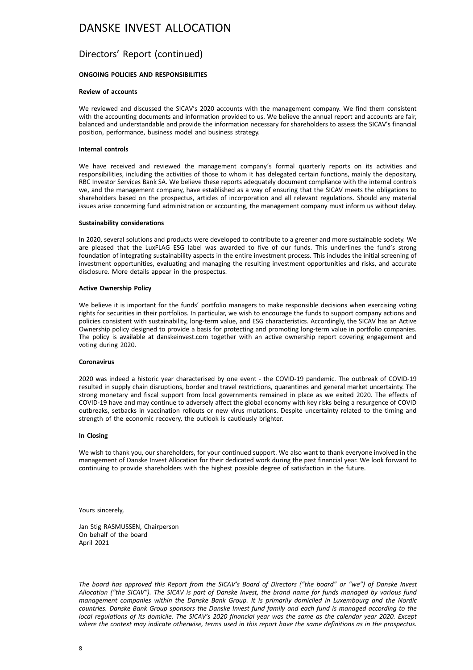### Directors' Report (continued)

#### **ONGOING POLICIES AND RESPONSIBILITIES**

#### **Review of accounts**

We reviewed and discussed the SICAV's 2020 accounts with the management company. We find them consistent with the accounting documents and information provided to us. We believe the annual report and accounts are fair, balanced and understandable and provide the information necessary for shareholders to assess the SICAV's financial position, performance, business model and business strategy.

#### **Internal controls**

We have received and reviewed the management company's formal quarterly reports on its activities and responsibilities, including the activities of those to whom it has delegated certain functions, mainly the depositary, RBC Investor Services Bank SA. We believe these reports adequately document compliance with the internal controls we, and the management company, have established as a way of ensuring that the SICAV meets the obligations to shareholders based on the prospectus, articles of incorporation and all relevant regulations. Should any material issues arise concerning fund administration or accounting, the management company must inform us without delay.

#### **Sustainability considerations**

In 2020, several solutions and products were developed to contribute to a greener and more sustainable society. We are pleased that the LuxFLAG ESG label was awarded to five of our funds. This underlines the fund's strong foundation of integrating sustainability aspects in the entire investment process. This includes the initial screening of investment opportunities, evaluating and managing the resulting investment opportunities and risks, and accurate disclosure. More details appear in the prospectus.

#### **Active Ownership Policy**

We believe it is important for the funds' portfolio managers to make responsible decisions when exercising voting rights for securities in their portfolios. In particular, we wish to encourage the funds to support company actions and policies consistent with sustainability, long-term value, and ESG characteristics. Accordingly, the SICAV has an Active Ownership policy designed to provide a basis for protecting and promoting long-term value in portfolio companies. The policy is available at danskeinvest.com together with an active ownership report covering engagement and voting during 2020.

#### **Coronavirus**

2020 was indeed a historic year characterised by one event - the COVID-19 pandemic. The outbreak of COVID-19 resulted in supply chain disruptions, border and travel restrictions, quarantines and general market uncertainty. The strong monetary and fiscal support from local governments remained in place as we exited 2020. The effects of COVID-19 have and may continue to adversely affect the global economy with key risks being a resurgence of COVID outbreaks, setbacks in vaccination rollouts or new virus mutations. Despite uncertainty related to the timing and strength of the economic recovery, the outlook is cautiously brighter.

#### **In Closing**

We wish to thank you, our shareholders, for your continued support. We also want to thank everyone involved in the management of Danske Invest Allocation for their dedicated work during the past financial year. We look forward to continuing to provide shareholders with the highest possible degree of satisfaction in the future.

Yours sincerely,

Jan Stig RASMUSSEN, Chairperson On behalf of the board April 2021

*The board has approved this Report from the SICAV's Board of Directors ("the board" or "we") of Danske Invest Allocation ("the SICAV"). The SICAV is part of Danske Invest, the brand name for funds managed by various fund management companies within the Danske Bank Group. It is primarily domiciled in Luxembourg and the Nordic countries. Danske Bank Group sponsors the Danske Invest fund family and each fund is managed according to the local regulations of its domicile. The SICAV's 2020 financial year was the same as the calendar year 2020. Except where the context may indicate otherwise, terms used in this report have the same definitions as in the prospectus.*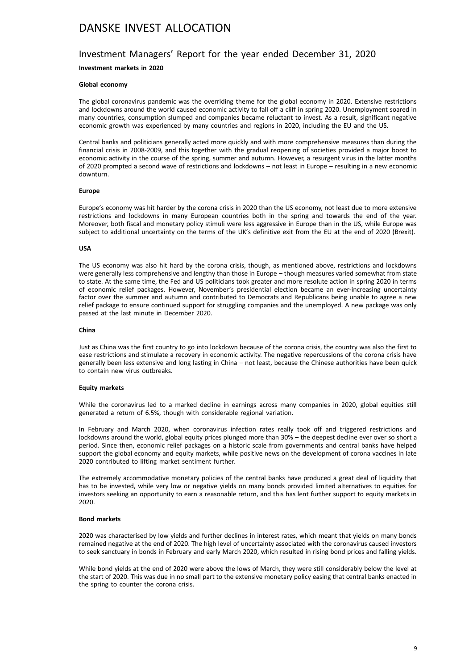#### Investment Managers' Report for the year ended December 31, 2020

#### **Investment markets in 2020**

#### **Global economy**

The global coronavirus pandemic was the overriding theme for the global economy in 2020. Extensive restrictions and lockdowns around the world caused economic activity to fall off a cliff in spring 2020. Unemployment soared in many countries, consumption slumped and companies became reluctant to invest. As a result, significant negative economic growth was experienced by many countries and regions in 2020, including the EU and the US.

Central banks and politicians generally acted more quickly and with more comprehensive measures than during the financial crisis in 2008-2009, and this together with the gradual reopening of societies provided a major boost to economic activity in the course of the spring, summer and autumn. However, a resurgent virus in the latter months of 2020 prompted a second wave of restrictions and lockdowns – not least in Europe – resulting in a new economic downturn.

#### **Europe**

Europe's economy was hit harder by the corona crisis in 2020 than the US economy, not least due to more extensive restrictions and lockdowns in many European countries both in the spring and towards the end of the year. Moreover, both fiscal and monetary policy stimuli were less aggressive in Europe than in the US, while Europe was subject to additional uncertainty on the terms of the UK's definitive exit from the EU at the end of 2020 (Brexit).

#### **USA**

The US economy was also hit hard by the corona crisis, though, as mentioned above, restrictions and lockdowns were generally less comprehensive and lengthy than those in Europe – though measures varied somewhat from state to state. At the same time, the Fed and US politicians took greater and more resolute action in spring 2020 in terms of economic relief packages. However, November's presidential election became an ever-increasing uncertainty factor over the summer and autumn and contributed to Democrats and Republicans being unable to agree a new relief package to ensure continued support for struggling companies and the unemployed. A new package was only passed at the last minute in December 2020.

#### **China**

Just as China was the first country to go into lockdown because of the corona crisis, the country was also the first to ease restrictions and stimulate a recovery in economic activity. The negative repercussions of the corona crisis have generally been less extensive and long lasting in China – not least, because the Chinese authorities have been quick to contain new virus outbreaks.

#### **Equity markets**

While the coronavirus led to a marked decline in earnings across many companies in 2020, global equities still generated a return of 6.5%, though with considerable regional variation.

In February and March 2020, when coronavirus infection rates really took off and triggered restrictions and lockdowns around the world, global equity prices plunged more than 30% – the deepest decline ever over so short a period. Since then, economic relief packages on a historic scale from governments and central banks have helped support the global economy and equity markets, while positive news on the development of corona vaccines in late 2020 contributed to lifting market sentiment further.

The extremely accommodative monetary policies of the central banks have produced a great deal of liquidity that has to be invested, while very low or negative yields on many bonds provided limited alternatives to equities for investors seeking an opportunity to earn a reasonable return, and this has lent further support to equity markets in 2020.

#### **Bond markets**

2020 was characterised by low yields and further declines in interest rates, which meant that yields on many bonds remained negative at the end of 2020. The high level of uncertainty associated with the coronavirus caused investors to seek sanctuary in bonds in February and early March 2020, which resulted in rising bond prices and falling yields.

While bond yields at the end of 2020 were above the lows of March, they were still considerably below the level at the start of 2020. This was due in no small part to the extensive monetary policy easing that central banks enacted in the spring to counter the corona crisis.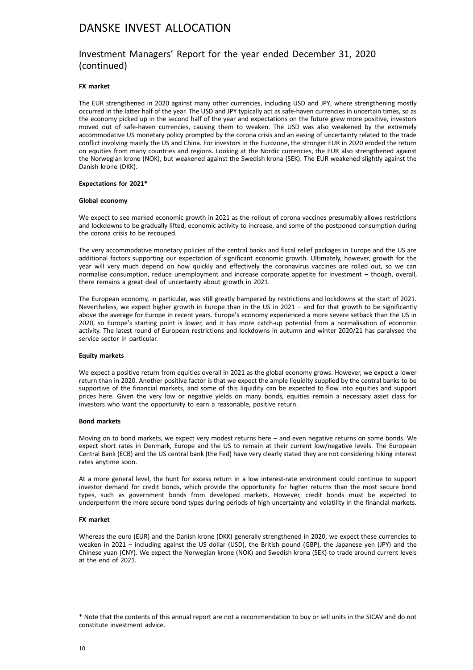### Investment Managers' Report for the year ended December 31, 2020 (continued)

#### **FX market**

The EUR strengthened in 2020 against many other currencies, including USD and JPY, where strengthening mostly occurred in the latter half of the year. The USD and JPY typically act as safe-haven currencies in uncertain times, so as the economy picked up in the second half of the year and expectations on the future grew more positive, investors moved out of safe-haven currencies, causing them to weaken. The USD was also weakened by the extremely accommodative US monetary policy prompted by the corona crisis and an easing of uncertainty related to the trade conflict involving mainly the US and China. For investors in the Eurozone, the stronger EUR in 2020 eroded the return on equities from many countries and regions. Looking at the Nordic currencies, the EUR also strengthened against the Norwegian krone (NOK), but weakened against the Swedish krona (SEK). The EUR weakened slightly against the Danish krone (DKK).

#### **Expectations for 2021\***

#### **Global economy**

We expect to see marked economic growth in 2021 as the rollout of corona vaccines presumably allows restrictions and lockdowns to be gradually lifted, economic activity to increase, and some of the postponed consumption during the corona crisis to be recouped.

The very accommodative monetary policies of the central banks and fiscal relief packages in Europe and the US are additional factors supporting our expectation of significant economic growth. Ultimately, however, growth for the year will very much depend on how quickly and effectively the coronavirus vaccines are rolled out, so we can normalise consumption, reduce unemployment and increase corporate appetite for investment – though, overall, there remains a great deal of uncertainty about growth in 2021.

The European economy, in particular, was still greatly hampered by restrictions and lockdowns at the start of 2021. Nevertheless, we expect higher growth in Europe than in the US in 2021 – and for that growth to be significantly above the average for Europe in recent years. Europe's economy experienced a more severe setback than the US in 2020, so Europe's starting point is lower, and it has more catch-up potential from a normalisation of economic activity. The latest round of European restrictions and lockdowns in autumn and winter 2020/21 has paralysed the service sector in particular.

#### **Equity markets**

We expect a positive return from equities overall in 2021 as the global economy grows. However, we expect a lower return than in 2020. Another positive factor is that we expect the ample liquidity supplied by the central banks to be supportive of the financial markets, and some of this liquidity can be expected to flow into equities and support prices here. Given the very low or negative yields on many bonds, equities remain a necessary asset class for investors who want the opportunity to earn a reasonable, positive return.

#### **Bond markets**

Moving on to bond markets, we expect very modest returns here – and even negative returns on some bonds. We expect short rates in Denmark, Europe and the US to remain at their current low/negative levels. The European Central Bank (ECB) and the US central bank (the Fed) have very clearly stated they are not considering hiking interest rates anytime soon.

At a more general level, the hunt for excess return in a low interest-rate environment could continue to support investor demand for credit bonds, which provide the opportunity for higher returns than the most secure bond types, such as government bonds from developed markets. However, credit bonds must be expected to underperform the more secure bond types during periods of high uncertainty and volatility in the financial markets.

#### **FX market**

Whereas the euro (EUR) and the Danish krone (DKK) generally strengthened in 2020, we expect these currencies to weaken in 2021 – including against the US dollar (USD), the British pound (GBP), the Japanese yen (JPY) and the Chinese yuan (CNY). We expect the Norwegian krone (NOK) and Swedish krona (SEK) to trade around current levels at the end of 2021.

<sup>\*</sup> Note that the contents of this annual report are not a recommendation to buy or sell units in the SICAV and do not constitute investment advice.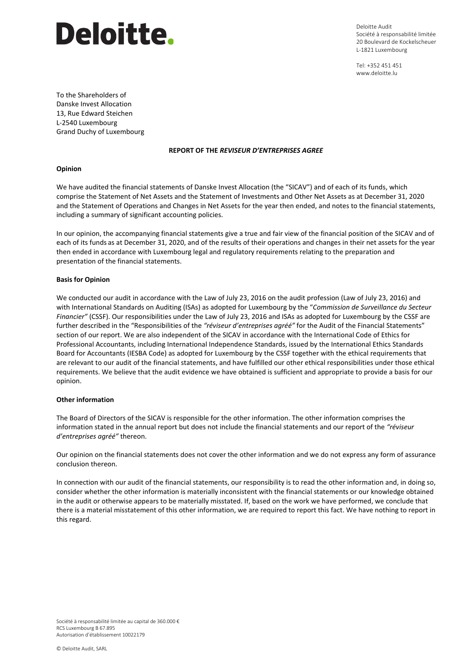# **Deloitte.**

Deloitte Audit Société à responsabilité limitée 20 Boulevard de Kockelscheuer L-1821 Luxembourg

Tel: +352 451 451 www.deloitte.lu

To the Shareholders of Danske Invest Allocation 13, Rue Edward Steichen L-2540 Luxembourg Grand Duchy of Luxembourg

#### **REPORT OF THE** *REVISEUR D'ENTREPRISES AGREE*

#### **Opinion**

We have audited the financial statements of Danske Invest Allocation (the "SICAV") and of each of its funds, which comprise the Statement of Net Assets and the Statement of Investments and Other Net Assets as at December 31, 2020 and the Statement of Operations and Changes in Net Assets for the year then ended, and notes to the financial statements, including a summary of significant accounting policies.

In our opinion, the accompanying financial statements give a true and fair view of the financial position of the SICAV and of each of its funds as at December 31, 2020, and of the results of their operations and changes in their net assets for the year then ended in accordance with Luxembourg legal and regulatory requirements relating to the preparation and presentation of the financial statements.

#### **Basis for Opinion**

We conducted our audit in accordance with the Law of July 23, 2016 on the audit profession (Law of July 23, 2016) and with International Standards on Auditing (ISAs) as adopted for Luxembourg by the "*Commission de Surveillance du Secteur Financier"* (CSSF). Our responsibilities under the Law of July 23, 2016 and ISAs as adopted for Luxembourg by the CSSF are further described in the "Responsibilities of the *"réviseur d'entreprises agréé"* for the Audit of the Financial Statements" section of our report. We are also independent of the SICAV in accordance with the International Code of Ethics for Professional Accountants, including International Independence Standards, issued by the International Ethics Standards Board for Accountants (IESBA Code) as adopted for Luxembourg by the CSSF together with the ethical requirements that are relevant to our audit of the financial statements, and have fulfilled our other ethical responsibilities under those ethical requirements. We believe that the audit evidence we have obtained is sufficient and appropriate to provide a basis for our opinion.

#### **Other information**

The Board of Directors of the SICAV is responsible for the other information. The other information comprises the information stated in the annual report but does not include the financial statements and our report of the *"réviseur d'entreprises agréé"* thereon.

Our opinion on the financial statements does not cover the other information and we do not express any form of assurance conclusion thereon.

In connection with our audit of the financial statements, our responsibility is to read the other information and, in doing so, consider whether the other information is materially inconsistent with the financial statements or our knowledge obtained in the audit or otherwise appears to be materially misstated. If, based on the work we have performed, we conclude that there is a material misstatement of this other information, we are required to report this fact. We have nothing to report in this regard.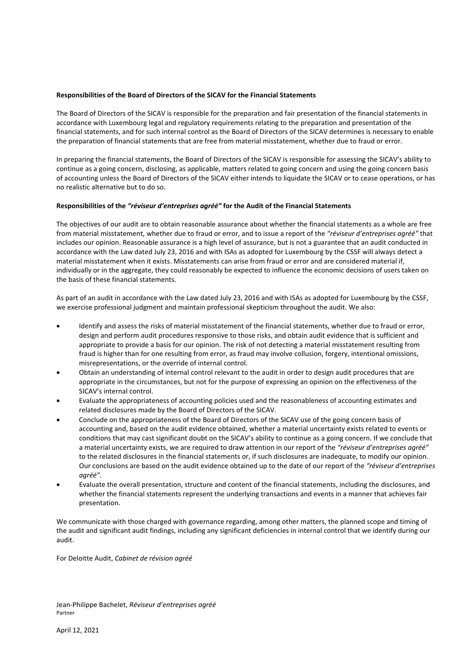# Deloitte.

#### **Responsibilities of the Board of Directors of the SICAV for the Financial Statements**

The Board of Directors of the SICAV is responsible for the preparation and fair presentation of the financial statements in accordance with Luxembourg legal and regulatory requirements relating to the preparation and presentation of the financial statements, and for such internal control as the Board of Directors of the SICAV determines is necessary to enable the preparation of financial statements that are free from material misstatement, whether due to fraud or error.

In preparing the financial statements, the Board of Directors of the SICAV is responsible for assessing the SICAV's ability to continue as a going concern, disclosing, as applicable, matters related to going concern and using the going concern basis of accounting unless the Board of Directors of the SICAV either intends to liquidate the SICAV or to cease operations, or has no realistic alternative but to do so.

#### **Responsibilities of the** *"réviseur d'entreprises agréé"* **for the Audit of the Financial Statements**

The objectives of our audit are to obtain reasonable assurance about whether the financial statements as a whole are free from material misstatement, whether due to fraud or error, and to issue a report of the *"réviseur d'entreprises agréé"* that includes our opinion. Reasonable assurance is a high level of assurance, but is not a guarantee that an audit conducted in accordance with the Law dated July 23, 2016 and with ISAs as adopted for Luxembourg by the CSSF will always detect a material misstatement when it exists. Misstatements can arise from fraud or error and are considered material if, individually or in the aggregate, they could reasonably be expected to influence the economic decisions of users taken on the basis of these financial statements.

As part of an audit in accordance with the Law dated July 23, 2016 and with ISAs as adopted for Luxembourg by the CSSF, we exercise professional judgment and maintain professional skepticism throughout the audit. We also:

- Identify and assess the risks of material misstatement of the financial statements, whether due to fraud or error, design and perform audit procedures responsive to those risks, and obtain audit evidence that is sufficient and appropriate to provide a basis for our opinion. The risk of not detecting a material misstatement resulting from fraud is higher than for one resulting from error, as fraud may involve collusion, forgery, intentional omissions, misrepresentations, or the override of internal control.
- Obtain an understanding of internal control relevant to the audit in order to design audit procedures that are appropriate in the circumstances, but not for the purpose of expressing an opinion on the effectiveness of the SICAV's internal control.
- Evaluate the appropriateness of accounting policies used and the reasonableness of accounting estimates and related disclosures made by the Board of Directors of the SICAV.
- Conclude on the appropriateness of the Board of Directors of the SICAV use of the going concern basis of accounting and, based on the audit evidence obtained, whether a material uncertainty exists related to events or conditions that may cast significant doubt on the SICAV's ability to continue as a going concern. If we conclude that a material uncertainty exists, we are required to draw attention in our report of the *"réviseur d'entreprises agréé"* to the related disclosures in the financial statements or, if such disclosures are inadequate, to modify our opinion. Our conclusions are based on the audit evidence obtained up to the date of our report of the *"réviseur d'entreprises agréé"*.
- Evaluate the overall presentation, structure and content of the financial statements, including the disclosures, and whether the financial statements represent the underlying transactions and events in a manner that achieves fair presentation.

We communicate with those charged with governance regarding, among other matters, the planned scope and timing of the audit and significant audit findings, including any significant deficiencies in internal control that we identify during our audit.

For Deloitte Audit, *Cabinet de révision agréé*

Jean-Philippe Bachelet, *Réviseur d'entreprises agréé* Partner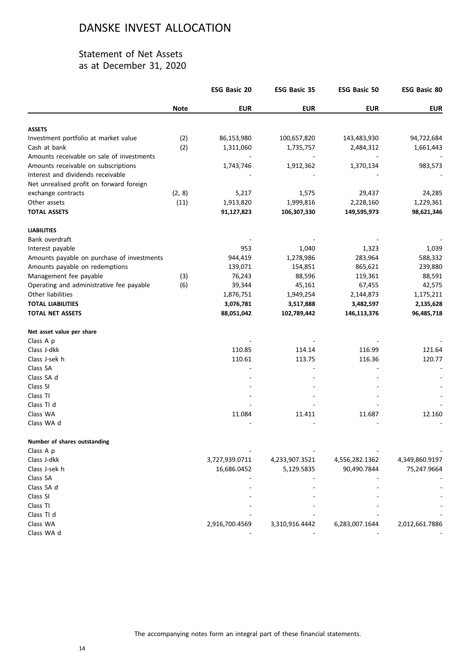### Statement of Net Assets as at December 31, 2020

|                                            |             | <b>ESG Basic 20</b> | <b>ESG Basic 35</b> | <b>ESG Basic 50</b> | <b>ESG Basic 80</b> |
|--------------------------------------------|-------------|---------------------|---------------------|---------------------|---------------------|
|                                            | <b>Note</b> | <b>EUR</b>          | <b>EUR</b>          | <b>EUR</b>          | <b>EUR</b>          |
| <b>ASSETS</b>                              |             |                     |                     |                     |                     |
| Investment portfolio at market value       | (2)         | 86,153,980          | 100,657,820         | 143,483,930         | 94,722,684          |
| Cash at bank                               | (2)         | 1,311,060           | 1,735,757           | 2,484,312           | 1,661,443           |
| Amounts receivable on sale of investments  |             |                     |                     |                     |                     |
| Amounts receivable on subscriptions        |             | 1,743,746           | 1,912,362           | 1,370,134           | 983,573             |
| Interest and dividends receivable          |             |                     |                     |                     |                     |
| Net unrealised profit on forward foreign   |             |                     |                     |                     |                     |
| exchange contracts                         | (2, 8)      | 5,217               | 1,575               | 29,437              | 24,285              |
| Other assets                               | (11)        | 1,913,820           | 1,999,816           | 2,228,160           | 1,229,361           |
| <b>TOTAL ASSETS</b>                        |             | 91,127,823          | 106,307,330         | 149,595,973         | 98,621,346          |
| <b>LIABILITIES</b>                         |             |                     |                     |                     |                     |
| Bank overdraft                             |             |                     |                     |                     |                     |
| Interest payable                           |             | 953                 | 1,040               | 1,323               | 1,039               |
| Amounts payable on purchase of investments |             | 944,419             | 1,278,986           | 283,964             | 588,332             |
| Amounts payable on redemptions             |             | 139,071             | 154,851             | 865,621             | 239,880             |
| Management fee payable                     | (3)         | 76,243              | 88,596              | 119,361             | 88,591              |
| Operating and administrative fee payable   | (6)         | 39,344              | 45,161              | 67,455              | 42,575              |
| Other liabilities                          |             | 1,876,751           | 1,949,254           | 2,144,873           | 1,175,211           |
| <b>TOTAL LIABILITIES</b>                   |             | 3,076,781           | 3,517,888           | 3,482,597           | 2,135,628           |
| <b>TOTAL NET ASSETS</b>                    |             | 88,051,042          | 102,789,442         | 146,113,376         | 96,485,718          |
| Net asset value per share                  |             |                     |                     |                     |                     |
| Class A p                                  |             |                     |                     |                     |                     |
| Class J-dkk                                |             | 110.85              | 114.14              | 116.99              | 121.64              |
| Class J-sek h                              |             | 110.61              | 113.75              | 116.36              | 120.77              |
| Class SA                                   |             |                     |                     |                     |                     |
| Class SA d                                 |             |                     |                     |                     |                     |
| Class SI                                   |             |                     |                     |                     |                     |
| Class TI                                   |             |                     |                     |                     |                     |
| Class TI d                                 |             |                     |                     |                     |                     |
| Class WA                                   |             | 11.084              | 11.411              | 11.687              | 12.160              |
| Class WA d                                 |             |                     |                     |                     |                     |
| Number of shares outstanding               |             |                     |                     |                     |                     |
| Class A p                                  |             |                     |                     |                     |                     |
| Class J-dkk                                |             | 3,727,939.0711      | 4,233,907.3521      | 4,556,282.1362      | 4,349,860.9197      |
| Class J-sek h                              |             | 16,686.0452         | 5,129.5835          | 90,490.7844         | 75,247.9664         |
| Class SA                                   |             |                     |                     |                     |                     |
| Class SA d                                 |             |                     |                     |                     |                     |
| Class SI                                   |             |                     |                     |                     |                     |
| Class TI                                   |             |                     |                     |                     |                     |
| Class TI d                                 |             |                     |                     |                     |                     |
| Class WA                                   |             | 2,916,700.4569      | 3,310,916.4442      | 6,283,007.1644      | 2,012,661.7886      |
| Class WA d                                 |             |                     |                     |                     |                     |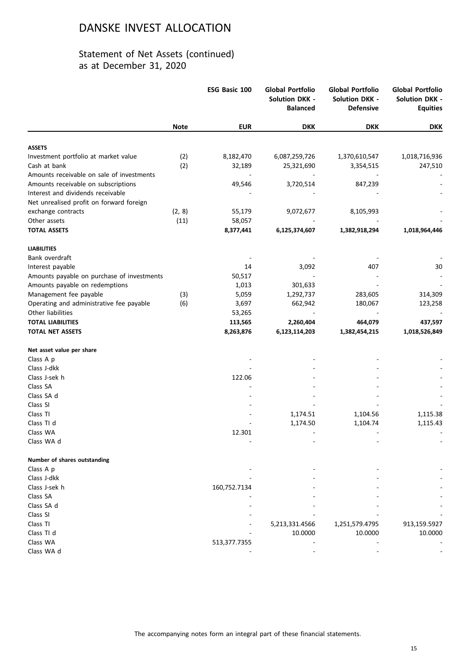|                                            |             | ESG Basic 100 | Global Portfolio<br><b>Solution DKK -</b><br><b>Balanced</b> | <b>Global Portfolio</b><br><b>Solution DKK -</b><br><b>Defensive</b> | <b>Global Portfolio</b><br><b>Solution DKK -</b><br><b>Equities</b> |
|--------------------------------------------|-------------|---------------|--------------------------------------------------------------|----------------------------------------------------------------------|---------------------------------------------------------------------|
|                                            | <b>Note</b> | <b>EUR</b>    | <b>DKK</b>                                                   | <b>DKK</b>                                                           | <b>DKK</b>                                                          |
| <b>ASSETS</b>                              |             |               |                                                              |                                                                      |                                                                     |
| Investment portfolio at market value       | (2)         | 8,182,470     | 6,087,259,726                                                | 1,370,610,547                                                        | 1,018,716,936                                                       |
| Cash at bank                               | (2)         | 32,189        | 25,321,690                                                   | 3,354,515                                                            | 247,510                                                             |
| Amounts receivable on sale of investments  |             |               |                                                              |                                                                      |                                                                     |
| Amounts receivable on subscriptions        |             | 49,546        | 3,720,514                                                    | 847,239                                                              |                                                                     |
| Interest and dividends receivable          |             |               |                                                              |                                                                      |                                                                     |
| Net unrealised profit on forward foreign   |             |               |                                                              |                                                                      |                                                                     |
| exchange contracts                         | (2, 8)      | 55,179        | 9,072,677                                                    | 8,105,993                                                            |                                                                     |
| Other assets                               | (11)        | 58,057        |                                                              |                                                                      |                                                                     |
| <b>TOTAL ASSETS</b>                        |             | 8,377,441     | 6,125,374,607                                                | 1,382,918,294                                                        | 1,018,964,446                                                       |
|                                            |             |               |                                                              |                                                                      |                                                                     |
| <b>LIABILITIES</b>                         |             |               |                                                              |                                                                      |                                                                     |
| Bank overdraft                             |             |               |                                                              |                                                                      |                                                                     |
| Interest payable                           |             | 14            | 3,092                                                        | 407                                                                  | 30                                                                  |
| Amounts payable on purchase of investments |             | 50,517        |                                                              |                                                                      |                                                                     |
| Amounts payable on redemptions             |             | 1,013         | 301,633                                                      |                                                                      |                                                                     |
| Management fee payable                     | (3)         | 5,059         | 1,292,737                                                    | 283,605                                                              | 314,309                                                             |
| Operating and administrative fee payable   | (6)         | 3,697         | 662,942                                                      | 180,067                                                              | 123,258                                                             |
| Other liabilities                          |             | 53,265        |                                                              |                                                                      |                                                                     |
| <b>TOTAL LIABILITIES</b>                   |             | 113,565       | 2,260,404                                                    | 464,079                                                              | 437,597                                                             |
| <b>TOTAL NET ASSETS</b>                    |             | 8,263,876     | 6,123,114,203                                                | 1,382,454,215                                                        | 1,018,526,849                                                       |
|                                            |             |               |                                                              |                                                                      |                                                                     |
| Net asset value per share                  |             |               |                                                              |                                                                      |                                                                     |
| Class A p                                  |             |               |                                                              |                                                                      |                                                                     |
| Class J-dkk                                |             |               |                                                              |                                                                      |                                                                     |
| Class J-sek h                              |             | 122.06        |                                                              |                                                                      |                                                                     |
| Class SA                                   |             |               |                                                              |                                                                      |                                                                     |
| Class SA d                                 |             |               |                                                              |                                                                      |                                                                     |
| Class SI                                   |             |               |                                                              |                                                                      |                                                                     |
| Class TI                                   |             |               | 1,174.51                                                     | 1,104.56                                                             | 1,115.38                                                            |
| Class TI d                                 |             |               | 1,174.50                                                     | 1,104.74                                                             | 1,115.43                                                            |
| Class WA                                   |             | 12.301        |                                                              |                                                                      |                                                                     |
| Class WA d                                 |             |               |                                                              |                                                                      |                                                                     |
| Number of shares outstanding               |             |               |                                                              |                                                                      |                                                                     |
| Class A p                                  |             |               |                                                              |                                                                      |                                                                     |
| Class J-dkk                                |             |               |                                                              |                                                                      |                                                                     |
| Class J-sek h                              |             | 160,752.7134  |                                                              |                                                                      |                                                                     |
| Class SA                                   |             |               |                                                              |                                                                      |                                                                     |
| Class SA d                                 |             |               |                                                              |                                                                      |                                                                     |
| Class SI                                   |             |               |                                                              |                                                                      |                                                                     |
| Class TI                                   |             |               | 5,213,331.4566                                               | 1,251,579.4795                                                       | 913,159.5927                                                        |
| Class TI d                                 |             |               | 10.0000                                                      | 10.0000                                                              | 10.0000                                                             |
| Class WA                                   |             | 513,377.7355  |                                                              |                                                                      |                                                                     |
| Class WA d                                 |             |               |                                                              |                                                                      |                                                                     |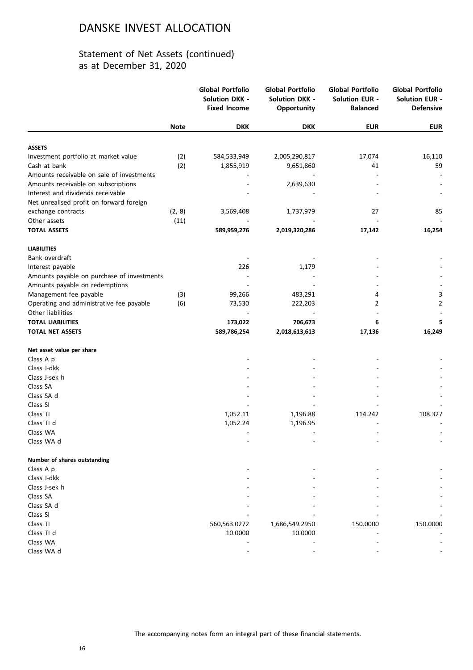|                                                               |             | <b>Global Portfolio</b><br><b>Solution DKK -</b><br><b>Fixed Income</b> | <b>Global Portfolio</b><br><b>Solution DKK -</b><br>Opportunity | <b>Global Portfolio</b><br><b>Solution EUR -</b><br><b>Balanced</b> | <b>Global Portfolio</b><br><b>Solution EUR -</b><br><b>Defensive</b> |
|---------------------------------------------------------------|-------------|-------------------------------------------------------------------------|-----------------------------------------------------------------|---------------------------------------------------------------------|----------------------------------------------------------------------|
|                                                               | <b>Note</b> | <b>DKK</b>                                                              | <b>DKK</b>                                                      | <b>EUR</b>                                                          | <b>EUR</b>                                                           |
| <b>ASSETS</b>                                                 |             |                                                                         |                                                                 |                                                                     |                                                                      |
| Investment portfolio at market value                          | (2)         | 584,533,949                                                             | 2,005,290,817                                                   | 17,074                                                              | 16,110                                                               |
| Cash at bank                                                  | (2)         | 1,855,919                                                               | 9,651,860                                                       | 41                                                                  | 59                                                                   |
| Amounts receivable on sale of investments                     |             |                                                                         |                                                                 |                                                                     |                                                                      |
| Amounts receivable on subscriptions                           |             |                                                                         | 2,639,630                                                       |                                                                     |                                                                      |
| Interest and dividends receivable                             |             |                                                                         |                                                                 |                                                                     |                                                                      |
| Net unrealised profit on forward foreign                      |             |                                                                         |                                                                 |                                                                     |                                                                      |
| exchange contracts                                            | (2, 8)      | 3,569,408                                                               | 1,737,979                                                       | 27                                                                  | 85                                                                   |
| Other assets                                                  | (11)        |                                                                         |                                                                 |                                                                     |                                                                      |
| <b>TOTAL ASSETS</b>                                           |             | 589,959,276                                                             | 2,019,320,286                                                   | 17,142                                                              | 16,254                                                               |
| <b>LIABILITIES</b>                                            |             |                                                                         |                                                                 |                                                                     |                                                                      |
| Bank overdraft                                                |             |                                                                         |                                                                 |                                                                     |                                                                      |
| Interest payable                                              |             | 226                                                                     | 1,179                                                           |                                                                     |                                                                      |
| Amounts payable on purchase of investments                    |             |                                                                         |                                                                 |                                                                     |                                                                      |
| Amounts payable on redemptions                                |             |                                                                         |                                                                 |                                                                     |                                                                      |
| Management fee payable                                        | (3)         | 99,266                                                                  | 483,291                                                         | 4                                                                   | 3                                                                    |
| Operating and administrative fee payable<br>Other liabilities | (6)         | 73,530                                                                  | 222,203                                                         | 2                                                                   | $\overline{2}$                                                       |
| <b>TOTAL LIABILITIES</b>                                      |             | 173,022                                                                 | 706,673                                                         | 6                                                                   | 5                                                                    |
| <b>TOTAL NET ASSETS</b>                                       |             | 589,786,254                                                             | 2,018,613,613                                                   | 17,136                                                              | 16,249                                                               |
|                                                               |             |                                                                         |                                                                 |                                                                     |                                                                      |
| Net asset value per share<br>Class A p                        |             |                                                                         |                                                                 |                                                                     |                                                                      |
| Class J-dkk                                                   |             |                                                                         |                                                                 |                                                                     |                                                                      |
| Class J-sek h                                                 |             |                                                                         |                                                                 |                                                                     |                                                                      |
| Class SA                                                      |             |                                                                         |                                                                 |                                                                     |                                                                      |
| Class SA d                                                    |             |                                                                         |                                                                 |                                                                     |                                                                      |
| Class SI                                                      |             |                                                                         |                                                                 |                                                                     |                                                                      |
| Class TI                                                      |             | 1,052.11                                                                | 1,196.88                                                        | 114.242                                                             | 108.327                                                              |
| Class TI d                                                    |             | 1,052.24                                                                | 1,196.95                                                        |                                                                     |                                                                      |
| Class WA                                                      |             |                                                                         |                                                                 |                                                                     |                                                                      |
| Class WA d                                                    |             |                                                                         |                                                                 |                                                                     |                                                                      |
| Number of shares outstanding                                  |             |                                                                         |                                                                 |                                                                     |                                                                      |
| Class A p                                                     |             |                                                                         |                                                                 |                                                                     |                                                                      |
| Class J-dkk                                                   |             |                                                                         |                                                                 |                                                                     |                                                                      |
| Class J-sek h                                                 |             |                                                                         |                                                                 |                                                                     |                                                                      |
| Class SA                                                      |             |                                                                         |                                                                 |                                                                     |                                                                      |
| Class SA d                                                    |             |                                                                         |                                                                 |                                                                     |                                                                      |
| Class SI                                                      |             |                                                                         |                                                                 |                                                                     |                                                                      |
| Class TI                                                      |             | 560,563.0272                                                            | 1,686,549.2950                                                  | 150.0000                                                            | 150.0000                                                             |
| Class TI d                                                    |             | 10.0000                                                                 | 10.0000                                                         |                                                                     |                                                                      |
| Class WA                                                      |             |                                                                         |                                                                 |                                                                     |                                                                      |
| Class WA d                                                    |             |                                                                         |                                                                 |                                                                     |                                                                      |
|                                                               |             |                                                                         |                                                                 |                                                                     |                                                                      |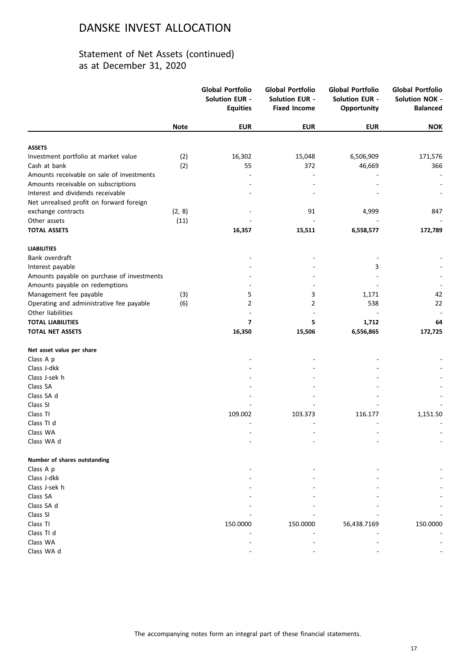|                                            |             | <b>Global Portfolio</b><br><b>Solution EUR -</b><br><b>Equities</b> | <b>Global Portfolio</b><br><b>Solution EUR -</b><br><b>Fixed Income</b> | <b>Global Portfolio</b><br><b>Solution EUR -</b><br>Opportunity | <b>Global Portfolio</b><br><b>Solution NOK -</b><br><b>Balanced</b> |
|--------------------------------------------|-------------|---------------------------------------------------------------------|-------------------------------------------------------------------------|-----------------------------------------------------------------|---------------------------------------------------------------------|
|                                            | <b>Note</b> | <b>EUR</b>                                                          | <b>EUR</b>                                                              | <b>EUR</b>                                                      | <b>NOK</b>                                                          |
| <b>ASSETS</b>                              |             |                                                                     |                                                                         |                                                                 |                                                                     |
| Investment portfolio at market value       | (2)         | 16,302                                                              | 15,048                                                                  | 6,506,909                                                       | 171,576                                                             |
| Cash at bank                               | (2)         | 55                                                                  | 372                                                                     | 46,669                                                          | 366                                                                 |
| Amounts receivable on sale of investments  |             |                                                                     |                                                                         |                                                                 |                                                                     |
| Amounts receivable on subscriptions        |             |                                                                     |                                                                         |                                                                 |                                                                     |
| Interest and dividends receivable          |             |                                                                     |                                                                         |                                                                 |                                                                     |
| Net unrealised profit on forward foreign   |             |                                                                     |                                                                         |                                                                 |                                                                     |
| exchange contracts                         | (2, 8)      |                                                                     | 91                                                                      | 4,999                                                           | 847                                                                 |
| Other assets                               | (11)        |                                                                     |                                                                         |                                                                 |                                                                     |
| <b>TOTAL ASSETS</b>                        |             | 16,357                                                              | 15,511                                                                  | 6,558,577                                                       | 172,789                                                             |
| <b>LIABILITIES</b>                         |             |                                                                     |                                                                         |                                                                 |                                                                     |
| Bank overdraft                             |             |                                                                     |                                                                         |                                                                 |                                                                     |
| Interest payable                           |             |                                                                     |                                                                         | 3                                                               |                                                                     |
| Amounts payable on purchase of investments |             |                                                                     |                                                                         |                                                                 |                                                                     |
| Amounts payable on redemptions             |             |                                                                     |                                                                         |                                                                 |                                                                     |
| Management fee payable                     | (3)         | 5                                                                   | 3                                                                       | 1,171                                                           | 42                                                                  |
| Operating and administrative fee payable   | (6)         | 2                                                                   | 2                                                                       | 538                                                             | 22                                                                  |
| Other liabilities                          |             |                                                                     |                                                                         |                                                                 |                                                                     |
| <b>TOTAL LIABILITIES</b>                   |             | $\overline{ }$                                                      | 5                                                                       | 1,712                                                           | 64                                                                  |
| <b>TOTAL NET ASSETS</b>                    |             | 16,350                                                              | 15,506                                                                  | 6,556,865                                                       | 172,725                                                             |
| Net asset value per share                  |             |                                                                     |                                                                         |                                                                 |                                                                     |
| Class A p                                  |             |                                                                     |                                                                         |                                                                 |                                                                     |
| Class J-dkk                                |             |                                                                     |                                                                         |                                                                 |                                                                     |
| Class J-sek h                              |             |                                                                     |                                                                         |                                                                 |                                                                     |
| Class SA                                   |             |                                                                     |                                                                         |                                                                 |                                                                     |
| Class SA d                                 |             |                                                                     |                                                                         |                                                                 |                                                                     |
| Class SI                                   |             |                                                                     |                                                                         |                                                                 |                                                                     |
| Class TI                                   |             | 109.002                                                             | 103.373                                                                 | 116.177                                                         | 1,151.50                                                            |
| Class TI d                                 |             |                                                                     |                                                                         |                                                                 |                                                                     |
| Class WA<br>Class WA d                     |             |                                                                     |                                                                         |                                                                 |                                                                     |
|                                            |             |                                                                     |                                                                         |                                                                 |                                                                     |
| Number of shares outstanding               |             |                                                                     |                                                                         |                                                                 |                                                                     |
| Class A p                                  |             |                                                                     |                                                                         |                                                                 |                                                                     |
| Class J-dkk                                |             |                                                                     |                                                                         |                                                                 |                                                                     |
| Class J-sek h                              |             |                                                                     |                                                                         |                                                                 |                                                                     |
| Class SA                                   |             |                                                                     |                                                                         |                                                                 |                                                                     |
| Class SA d                                 |             |                                                                     |                                                                         |                                                                 |                                                                     |
| Class SI                                   |             |                                                                     |                                                                         |                                                                 |                                                                     |
| Class TI                                   |             | 150.0000                                                            | 150.0000                                                                | 56,438.7169                                                     | 150.0000                                                            |
| Class TI d                                 |             |                                                                     |                                                                         |                                                                 |                                                                     |
| Class WA                                   |             |                                                                     |                                                                         |                                                                 |                                                                     |
| Class WA d                                 |             |                                                                     |                                                                         |                                                                 |                                                                     |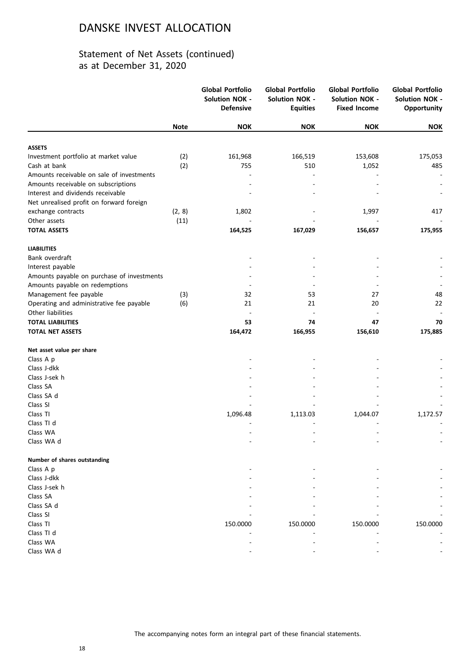|                                            |             | <b>Global Portfolio</b><br><b>Solution NOK -</b><br><b>Defensive</b> | <b>Global Portfolio</b><br><b>Solution NOK -</b><br><b>Equities</b> | <b>Global Portfolio</b><br><b>Solution NOK -</b><br><b>Fixed Income</b> | <b>Global Portfolio</b><br><b>Solution NOK -</b><br>Opportunity |
|--------------------------------------------|-------------|----------------------------------------------------------------------|---------------------------------------------------------------------|-------------------------------------------------------------------------|-----------------------------------------------------------------|
|                                            | <b>Note</b> | <b>NOK</b>                                                           | <b>NOK</b>                                                          | <b>NOK</b>                                                              | <b>NOK</b>                                                      |
| <b>ASSETS</b>                              |             |                                                                      |                                                                     |                                                                         |                                                                 |
| Investment portfolio at market value       | (2)         | 161,968                                                              | 166,519                                                             | 153,608                                                                 | 175,053                                                         |
| Cash at bank                               | (2)         | 755                                                                  | 510                                                                 | 1,052                                                                   | 485                                                             |
| Amounts receivable on sale of investments  |             |                                                                      |                                                                     |                                                                         |                                                                 |
| Amounts receivable on subscriptions        |             |                                                                      |                                                                     |                                                                         |                                                                 |
| Interest and dividends receivable          |             |                                                                      |                                                                     |                                                                         |                                                                 |
| Net unrealised profit on forward foreign   |             |                                                                      |                                                                     |                                                                         |                                                                 |
| exchange contracts                         | (2, 8)      | 1,802                                                                |                                                                     | 1,997                                                                   | 417                                                             |
| Other assets                               | (11)        |                                                                      |                                                                     |                                                                         |                                                                 |
| <b>TOTAL ASSETS</b>                        |             | 164,525                                                              | 167,029                                                             | 156,657                                                                 | 175,955                                                         |
| <b>LIABILITIES</b>                         |             |                                                                      |                                                                     |                                                                         |                                                                 |
| Bank overdraft                             |             |                                                                      |                                                                     |                                                                         |                                                                 |
| Interest payable                           |             |                                                                      |                                                                     |                                                                         |                                                                 |
| Amounts payable on purchase of investments |             |                                                                      |                                                                     |                                                                         |                                                                 |
| Amounts payable on redemptions             |             |                                                                      |                                                                     |                                                                         |                                                                 |
| Management fee payable                     | (3)         | 32                                                                   | 53                                                                  | 27                                                                      | 48                                                              |
| Operating and administrative fee payable   | (6)         | 21                                                                   | 21                                                                  | 20                                                                      | 22                                                              |
| Other liabilities                          |             |                                                                      |                                                                     |                                                                         |                                                                 |
| <b>TOTAL LIABILITIES</b>                   |             | 53                                                                   | 74                                                                  | 47                                                                      | 70                                                              |
| <b>TOTAL NET ASSETS</b>                    |             | 164,472                                                              | 166,955                                                             | 156,610                                                                 | 175,885                                                         |
| Net asset value per share                  |             |                                                                      |                                                                     |                                                                         |                                                                 |
| Class A p                                  |             |                                                                      |                                                                     |                                                                         |                                                                 |
| Class J-dkk                                |             |                                                                      |                                                                     |                                                                         |                                                                 |
| Class J-sek h                              |             |                                                                      |                                                                     |                                                                         |                                                                 |
| Class SA                                   |             |                                                                      |                                                                     |                                                                         |                                                                 |
| Class SA d                                 |             |                                                                      |                                                                     |                                                                         |                                                                 |
| Class SI                                   |             |                                                                      |                                                                     |                                                                         |                                                                 |
| Class TI                                   |             | 1,096.48                                                             | 1,113.03                                                            | 1,044.07                                                                | 1,172.57                                                        |
| Class TI d                                 |             |                                                                      |                                                                     |                                                                         |                                                                 |
| Class WA                                   |             |                                                                      |                                                                     |                                                                         |                                                                 |
| Class WA d                                 |             |                                                                      |                                                                     |                                                                         |                                                                 |
| Number of shares outstanding               |             |                                                                      |                                                                     |                                                                         |                                                                 |
| Class A p                                  |             |                                                                      |                                                                     |                                                                         |                                                                 |
| Class J-dkk                                |             |                                                                      |                                                                     |                                                                         |                                                                 |
| Class J-sek h                              |             |                                                                      |                                                                     |                                                                         |                                                                 |
| Class SA                                   |             |                                                                      |                                                                     |                                                                         |                                                                 |
| Class SA d                                 |             |                                                                      |                                                                     |                                                                         |                                                                 |
| Class SI                                   |             |                                                                      |                                                                     |                                                                         |                                                                 |
| Class TI                                   |             | 150.0000                                                             | 150.0000                                                            | 150.0000                                                                | 150.0000                                                        |
| Class TI d                                 |             |                                                                      |                                                                     |                                                                         |                                                                 |
| Class WA                                   |             |                                                                      |                                                                     |                                                                         |                                                                 |
| Class WA d                                 |             |                                                                      |                                                                     |                                                                         |                                                                 |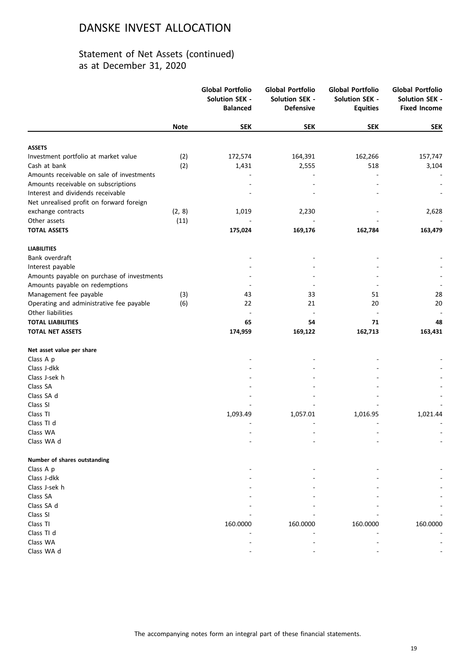|                                            |             | <b>Global Portfolio</b><br><b>Solution SEK -</b><br><b>Balanced</b> | <b>Global Portfolio</b><br><b>Solution SEK -</b><br><b>Defensive</b> | <b>Global Portfolio</b><br><b>Solution SEK -</b><br><b>Equities</b> | <b>Global Portfolio</b><br><b>Solution SEK -</b><br><b>Fixed Income</b> |
|--------------------------------------------|-------------|---------------------------------------------------------------------|----------------------------------------------------------------------|---------------------------------------------------------------------|-------------------------------------------------------------------------|
|                                            | <b>Note</b> | <b>SEK</b>                                                          | <b>SEK</b>                                                           | <b>SEK</b>                                                          | <b>SEK</b>                                                              |
| <b>ASSETS</b>                              |             |                                                                     |                                                                      |                                                                     |                                                                         |
| Investment portfolio at market value       | (2)         | 172,574                                                             | 164,391                                                              | 162,266                                                             | 157,747                                                                 |
| Cash at bank                               | (2)         | 1,431                                                               | 2,555                                                                | 518                                                                 | 3,104                                                                   |
| Amounts receivable on sale of investments  |             |                                                                     |                                                                      |                                                                     |                                                                         |
| Amounts receivable on subscriptions        |             |                                                                     |                                                                      |                                                                     |                                                                         |
| Interest and dividends receivable          |             |                                                                     |                                                                      |                                                                     |                                                                         |
| Net unrealised profit on forward foreign   |             |                                                                     |                                                                      |                                                                     |                                                                         |
| exchange contracts                         | (2, 8)      | 1,019                                                               | 2,230                                                                |                                                                     | 2,628                                                                   |
| Other assets                               | (11)        |                                                                     |                                                                      |                                                                     |                                                                         |
| <b>TOTAL ASSETS</b>                        |             | 175,024                                                             | 169,176                                                              | 162,784                                                             | 163,479                                                                 |
| <b>LIABILITIES</b>                         |             |                                                                     |                                                                      |                                                                     |                                                                         |
| Bank overdraft                             |             |                                                                     |                                                                      |                                                                     |                                                                         |
| Interest payable                           |             |                                                                     |                                                                      |                                                                     |                                                                         |
| Amounts payable on purchase of investments |             |                                                                     |                                                                      |                                                                     |                                                                         |
| Amounts payable on redemptions             |             |                                                                     |                                                                      |                                                                     |                                                                         |
| Management fee payable                     | (3)         | 43                                                                  | 33                                                                   | 51                                                                  | 28                                                                      |
| Operating and administrative fee payable   | (6)         | 22                                                                  | 21                                                                   | 20                                                                  | 20                                                                      |
| Other liabilities                          |             |                                                                     |                                                                      |                                                                     |                                                                         |
| <b>TOTAL LIABILITIES</b>                   |             | 65                                                                  | 54                                                                   | 71                                                                  | 48                                                                      |
| <b>TOTAL NET ASSETS</b>                    |             | 174,959                                                             | 169,122                                                              | 162,713                                                             | 163,431                                                                 |
| Net asset value per share                  |             |                                                                     |                                                                      |                                                                     |                                                                         |
| Class A p                                  |             |                                                                     |                                                                      |                                                                     |                                                                         |
| Class J-dkk                                |             |                                                                     |                                                                      |                                                                     |                                                                         |
| Class J-sek h                              |             |                                                                     |                                                                      |                                                                     |                                                                         |
| Class SA                                   |             |                                                                     |                                                                      |                                                                     |                                                                         |
| Class SA d                                 |             |                                                                     |                                                                      |                                                                     |                                                                         |
| Class SI                                   |             |                                                                     |                                                                      |                                                                     |                                                                         |
| Class TI                                   |             | 1,093.49                                                            | 1,057.01                                                             | 1,016.95                                                            | 1,021.44                                                                |
| Class TI d                                 |             |                                                                     |                                                                      |                                                                     |                                                                         |
| Class WA                                   |             |                                                                     |                                                                      |                                                                     |                                                                         |
| Class WA d                                 |             |                                                                     |                                                                      |                                                                     |                                                                         |
| Number of shares outstanding               |             |                                                                     |                                                                      |                                                                     |                                                                         |
| Class A p                                  |             |                                                                     |                                                                      |                                                                     |                                                                         |
| Class J-dkk                                |             |                                                                     |                                                                      |                                                                     |                                                                         |
| Class J-sek h                              |             |                                                                     |                                                                      |                                                                     |                                                                         |
| Class SA                                   |             |                                                                     |                                                                      |                                                                     |                                                                         |
| Class SA d                                 |             |                                                                     |                                                                      |                                                                     |                                                                         |
| Class SI                                   |             |                                                                     |                                                                      |                                                                     |                                                                         |
| Class TI                                   |             | 160.0000                                                            | 160.0000                                                             | 160.0000                                                            | 160.0000                                                                |
| Class TI d                                 |             |                                                                     |                                                                      |                                                                     |                                                                         |
| Class WA                                   |             |                                                                     |                                                                      |                                                                     |                                                                         |
| Class WA d                                 |             |                                                                     |                                                                      |                                                                     |                                                                         |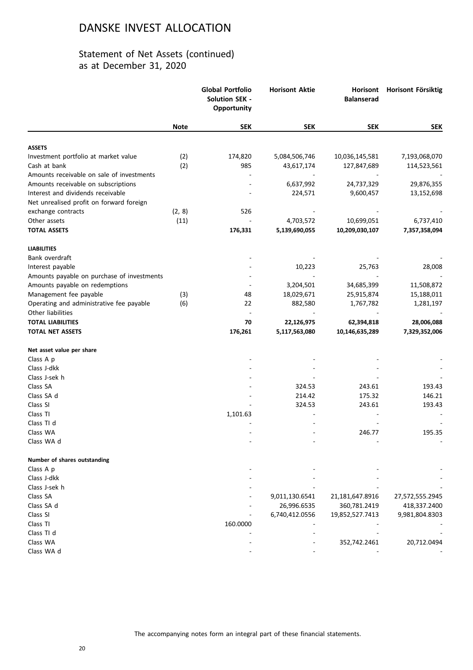|                                            |             | <b>Global Portfolio</b><br><b>Solution SEK -</b><br>Opportunity | <b>Horisont Aktie</b> | Horisont<br><b>Balanserad</b> | Horisont Försiktig |
|--------------------------------------------|-------------|-----------------------------------------------------------------|-----------------------|-------------------------------|--------------------|
|                                            | <b>Note</b> | <b>SEK</b>                                                      | <b>SEK</b>            | <b>SEK</b>                    | <b>SEK</b>         |
| <b>ASSETS</b>                              |             |                                                                 |                       |                               |                    |
| Investment portfolio at market value       | (2)         | 174,820                                                         | 5,084,506,746         | 10,036,145,581                | 7,193,068,070      |
| Cash at bank                               | (2)         | 985                                                             | 43,617,174            | 127,847,689                   | 114,523,561        |
| Amounts receivable on sale of investments  |             |                                                                 |                       |                               |                    |
| Amounts receivable on subscriptions        |             |                                                                 | 6,637,992             | 24,737,329                    | 29,876,355         |
| Interest and dividends receivable          |             |                                                                 | 224,571               | 9,600,457                     | 13,152,698         |
| Net unrealised profit on forward foreign   |             |                                                                 |                       |                               |                    |
| exchange contracts                         | (2, 8)      | 526                                                             |                       |                               |                    |
| Other assets                               | (11)        |                                                                 | 4,703,572             | 10,699,051                    | 6,737,410          |
| <b>TOTAL ASSETS</b>                        |             | 176,331                                                         | 5,139,690,055         | 10,209,030,107                | 7,357,358,094      |
| <b>LIABILITIES</b>                         |             |                                                                 |                       |                               |                    |
| Bank overdraft                             |             |                                                                 |                       |                               |                    |
| Interest payable                           |             |                                                                 | 10,223                | 25,763                        | 28,008             |
| Amounts payable on purchase of investments |             |                                                                 |                       |                               |                    |
| Amounts payable on redemptions             |             |                                                                 | 3,204,501             | 34,685,399                    | 11,508,872         |
| Management fee payable                     | (3)         | 48                                                              | 18,029,671            | 25,915,874                    | 15,188,011         |
| Operating and administrative fee payable   | (6)         | 22                                                              | 882,580               | 1,767,782                     | 1,281,197          |
| Other liabilities                          |             |                                                                 |                       |                               |                    |
| <b>TOTAL LIABILITIES</b>                   |             | 70                                                              | 22,126,975            | 62,394,818                    | 28,006,088         |
| <b>TOTAL NET ASSETS</b>                    |             | 176,261                                                         | 5,117,563,080         | 10,146,635,289                | 7,329,352,006      |
| Net asset value per share                  |             |                                                                 |                       |                               |                    |
| Class A p                                  |             |                                                                 |                       |                               |                    |
| Class J-dkk                                |             |                                                                 |                       |                               |                    |
| Class J-sek h                              |             |                                                                 |                       |                               |                    |
| Class SA                                   |             |                                                                 | 324.53                | 243.61                        | 193.43             |
| Class SA d                                 |             |                                                                 | 214.42                | 175.32                        | 146.21             |
| Class SI                                   |             |                                                                 | 324.53                | 243.61                        | 193.43             |
| Class TI                                   |             | 1,101.63                                                        |                       |                               |                    |
| Class TI d                                 |             |                                                                 |                       |                               |                    |
| Class WA                                   |             |                                                                 |                       | 246.77                        | 195.35             |
| Class WA d                                 |             |                                                                 |                       |                               |                    |
| Number of shares outstanding               |             |                                                                 |                       |                               |                    |
| Class A p                                  |             |                                                                 |                       |                               |                    |
| Class J-dkk                                |             |                                                                 |                       |                               |                    |
| Class J-sek h                              |             |                                                                 |                       |                               |                    |
| Class SA                                   |             |                                                                 | 9,011,130.6541        | 21,181,647.8916               | 27,572,555.2945    |
| Class SA d                                 |             |                                                                 | 26,996.6535           | 360,781.2419                  | 418,337.2400       |
| Class SI                                   |             |                                                                 | 6,740,412.0556        | 19,852,527.7413               | 9,981,804.8303     |
| Class TI                                   |             | 160.0000                                                        |                       |                               |                    |
| Class TI d                                 |             |                                                                 |                       |                               |                    |
| Class WA                                   |             |                                                                 |                       | 352,742.2461                  | 20,712.0494        |
| Class WA d                                 |             |                                                                 |                       |                               |                    |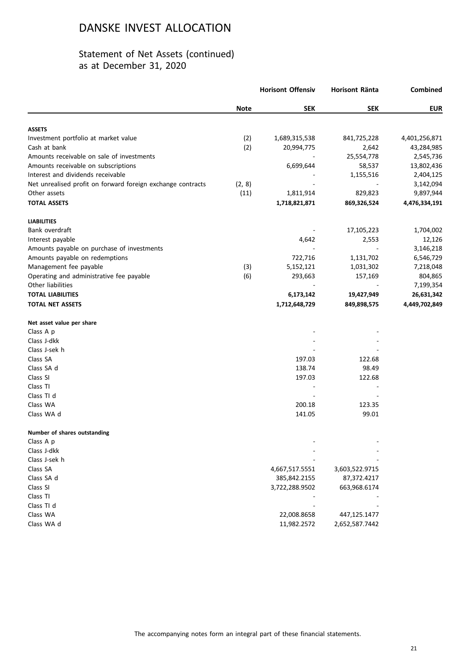|                                                             |             | <b>Horisont Offensiv</b> | <b>Horisont Ränta</b> | Combined      |
|-------------------------------------------------------------|-------------|--------------------------|-----------------------|---------------|
|                                                             | <b>Note</b> | <b>SEK</b>               | <b>SEK</b>            | <b>EUR</b>    |
| <b>ASSETS</b>                                               |             |                          |                       |               |
| Investment portfolio at market value                        | (2)         | 1,689,315,538            | 841,725,228           | 4,401,256,871 |
| Cash at bank                                                | (2)         | 20,994,775               | 2,642                 | 43,284,985    |
| Amounts receivable on sale of investments                   |             |                          | 25,554,778            | 2,545,736     |
| Amounts receivable on subscriptions                         |             | 6,699,644                | 58,537                | 13,802,436    |
| Interest and dividends receivable                           |             |                          | 1,155,516             | 2,404,125     |
| Net unrealised profit on forward foreign exchange contracts | (2, 8)      |                          |                       | 3,142,094     |
| Other assets                                                | (11)        | 1,811,914                | 829,823               | 9,897,944     |
| <b>TOTAL ASSETS</b>                                         |             | 1,718,821,871            | 869,326,524           | 4,476,334,191 |
| <b>LIABILITIES</b>                                          |             |                          |                       |               |
| Bank overdraft                                              |             |                          | 17,105,223            | 1,704,002     |
| Interest payable                                            |             | 4,642                    | 2,553                 | 12,126        |
| Amounts payable on purchase of investments                  |             |                          |                       | 3,146,218     |
| Amounts payable on redemptions                              |             | 722,716                  | 1,131,702             | 6,546,729     |
| Management fee payable                                      | (3)         | 5,152,121                | 1,031,302             | 7,218,048     |
| Operating and administrative fee payable                    | (6)         | 293,663                  | 157,169               | 804,865       |
| Other liabilities                                           |             |                          |                       | 7,199,354     |
| <b>TOTAL LIABILITIES</b>                                    |             | 6,173,142                | 19,427,949            | 26,631,342    |
| <b>TOTAL NET ASSETS</b>                                     |             | 1,712,648,729            | 849,898,575           | 4,449,702,849 |
| Net asset value per share                                   |             |                          |                       |               |
| Class A p                                                   |             |                          |                       |               |
| Class J-dkk                                                 |             |                          |                       |               |
| Class J-sek h                                               |             |                          |                       |               |
| Class SA                                                    |             | 197.03                   | 122.68                |               |
| Class SA d                                                  |             | 138.74                   | 98.49                 |               |
| Class SI                                                    |             | 197.03                   | 122.68                |               |
| Class TI                                                    |             |                          |                       |               |
| Class TI d                                                  |             |                          |                       |               |
| Class WA                                                    |             | 200.18                   | 123.35                |               |
| Class WA d                                                  |             | 141.05                   | 99.01                 |               |
| Number of shares outstanding                                |             |                          |                       |               |
| Class A p                                                   |             |                          |                       |               |
| Class J-dkk                                                 |             |                          |                       |               |
| Class J-sek h                                               |             |                          |                       |               |
| Class SA                                                    |             | 4,667,517.5551           | 3,603,522.9715        |               |
| Class SA d                                                  |             | 385,842.2155             | 87,372.4217           |               |
| Class SI                                                    |             | 3,722,288.9502           | 663,968.6174          |               |
| Class TI                                                    |             |                          |                       |               |
| Class TI d                                                  |             |                          |                       |               |
| Class WA                                                    |             | 22,008.8658              | 447,125.1477          |               |
| Class WA d                                                  |             | 11,982.2572              | 2,652,587.7442        |               |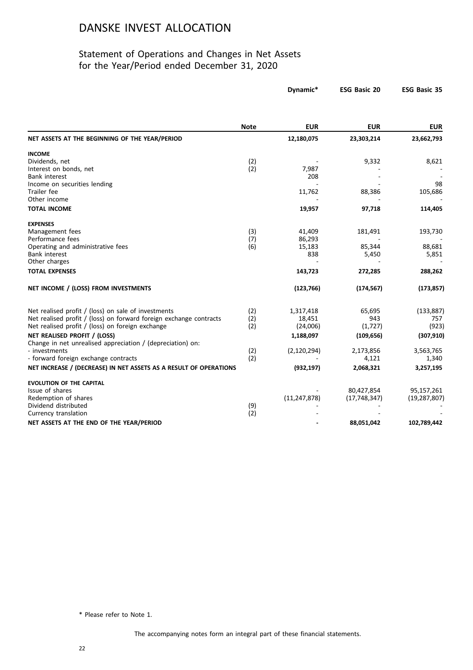### Statement of Operations and Changes in Net Assets for the Year/Period ended December 31, 2020

|                                                                                            |             | Dynamic*       | <b>ESG Basic 20</b> | <b>ESG Basic 35</b> |
|--------------------------------------------------------------------------------------------|-------------|----------------|---------------------|---------------------|
|                                                                                            | <b>Note</b> | <b>EUR</b>     | <b>EUR</b>          | <b>EUR</b>          |
| NET ASSETS AT THE BEGINNING OF THE YEAR/PERIOD                                             |             | 12,180,075     | 23,303,214          | 23,662,793          |
| <b>INCOME</b>                                                                              |             |                |                     |                     |
| Dividends, net                                                                             | (2)         |                | 9,332               | 8,621               |
| Interest on bonds, net                                                                     | (2)         | 7,987          |                     |                     |
| Bank interest                                                                              |             | 208            |                     |                     |
| Income on securities lending                                                               |             |                |                     | 98                  |
| Trailer fee                                                                                |             | 11,762         | 88,386              | 105,686             |
| Other income                                                                               |             |                |                     |                     |
| <b>TOTAL INCOME</b>                                                                        |             | 19,957         | 97,718              | 114,405             |
| <b>EXPENSES</b>                                                                            |             |                |                     |                     |
| Management fees                                                                            | (3)         | 41,409         | 181,491             | 193,730             |
| Performance fees                                                                           | (7)         | 86,293         |                     |                     |
| Operating and administrative fees                                                          | (6)         | 15,183         | 85,344              | 88,681              |
| <b>Bank interest</b>                                                                       |             | 838            | 5,450               | 5,851               |
| Other charges                                                                              |             |                |                     |                     |
| <b>TOTAL EXPENSES</b>                                                                      |             | 143,723        | 272,285             | 288,262             |
| NET INCOME / (LOSS) FROM INVESTMENTS                                                       |             | (123, 766)     | (174, 567)          | (173, 857)          |
| Net realised profit / (loss) on sale of investments                                        | (2)         | 1,317,418      | 65,695              | (133, 887)          |
| Net realised profit / (loss) on forward foreign exchange contracts                         | (2)         | 18,451         | 943                 | 757                 |
| Net realised profit / (loss) on foreign exchange                                           | (2)         | (24,006)       | (1,727)             | (923)               |
|                                                                                            |             |                |                     |                     |
| NET REALISED PROFIT / (LOSS)<br>Change in net unrealised appreciation / (depreciation) on: |             | 1,188,097      | (109, 656)          | (307, 910)          |
| - investments                                                                              | (2)         | (2, 120, 294)  | 2,173,856           | 3,563,765           |
| - forward foreign exchange contracts                                                       | (2)         |                | 4,121               | 1,340               |
| NET INCREASE / (DECREASE) IN NET ASSETS AS A RESULT OF OPERATIONS                          |             | (932, 197)     | 2,068,321           | 3,257,195           |
|                                                                                            |             |                |                     |                     |
| <b>EVOLUTION OF THE CAPITAL</b>                                                            |             |                |                     |                     |
| Issue of shares                                                                            |             |                | 80,427,854          | 95,157,261          |
| Redemption of shares                                                                       |             | (11, 247, 878) | (17, 748, 347)      | (19, 287, 807)      |
| Dividend distributed                                                                       | (9)         |                |                     |                     |
| Currency translation                                                                       | (2)         |                |                     |                     |
| NET ASSETS AT THE END OF THE YEAR/PERIOD                                                   |             |                | 88,051,042          | 102,789,442         |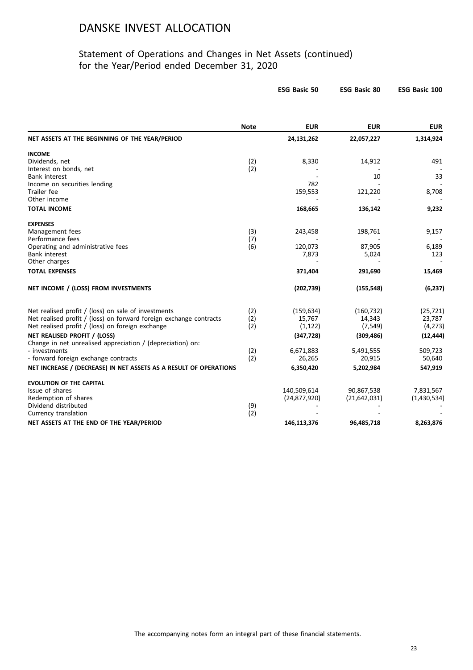|                                                                    |             | <b>ESG Basic 50</b> | <b>ESG Basic 80</b> | ESG Basic 100 |
|--------------------------------------------------------------------|-------------|---------------------|---------------------|---------------|
|                                                                    | <b>Note</b> | <b>EUR</b>          | <b>EUR</b>          | <b>EUR</b>    |
| NET ASSETS AT THE BEGINNING OF THE YEAR/PERIOD                     |             | 24,131,262          | 22,057,227          | 1,314,924     |
| <b>INCOME</b>                                                      |             |                     |                     |               |
| Dividends, net                                                     | (2)         | 8,330               | 14,912              | 491           |
| Interest on bonds, net                                             | (2)         |                     |                     |               |
| <b>Bank interest</b>                                               |             |                     | 10                  | 33            |
| Income on securities lending<br>Trailer fee                        |             | 782<br>159,553      | 121,220             | 8,708         |
| Other income                                                       |             |                     |                     |               |
| <b>TOTAL INCOME</b>                                                |             | 168,665             | 136,142             | 9,232         |
| <b>EXPENSES</b>                                                    |             |                     |                     |               |
| Management fees                                                    | (3)         | 243,458             | 198,761             | 9,157         |
| Performance fees                                                   | (7)         |                     |                     |               |
| Operating and administrative fees                                  | (6)         | 120,073             | 87,905              | 6,189         |
| Bank interest                                                      |             | 7,873               | 5,024               | 123           |
| Other charges                                                      |             |                     |                     |               |
| <b>TOTAL EXPENSES</b>                                              |             | 371,404             | 291,690             | 15,469        |
| NET INCOME / (LOSS) FROM INVESTMENTS                               |             | (202, 739)          | (155, 548)          | (6, 237)      |
| Net realised profit / (loss) on sale of investments                | (2)         | (159, 634)          | (160, 732)          | (25, 721)     |
| Net realised profit / (loss) on forward foreign exchange contracts | (2)         | 15,767              | 14,343              | 23,787        |
| Net realised profit / (loss) on foreign exchange                   | (2)         | (1, 122)            | (7, 549)            | (4, 273)      |
| NET REALISED PROFIT / (LOSS)                                       |             | (347, 728)          | (309, 486)          | (12, 444)     |
| Change in net unrealised appreciation / (depreciation) on:         |             |                     |                     |               |
| - investments                                                      | (2)         | 6,671,883           | 5,491,555           | 509,723       |
| - forward foreign exchange contracts                               | (2)         | 26,265              | 20,915              | 50,640        |
| NET INCREASE / (DECREASE) IN NET ASSETS AS A RESULT OF OPERATIONS  |             | 6,350,420           | 5,202,984           | 547,919       |
| <b>EVOLUTION OF THE CAPITAL</b>                                    |             |                     |                     |               |
| Issue of shares                                                    |             | 140,509,614         | 90,867,538          | 7,831,567     |
| Redemption of shares                                               |             | (24, 877, 920)      | (21, 642, 031)      | (1,430,534)   |
| Dividend distributed                                               | (9)         |                     |                     |               |
| Currency translation                                               | (2)         |                     |                     |               |
| NET ASSETS AT THE END OF THE YEAR/PERIOD                           |             | 146,113,376         | 96,485,718          | 8,263,876     |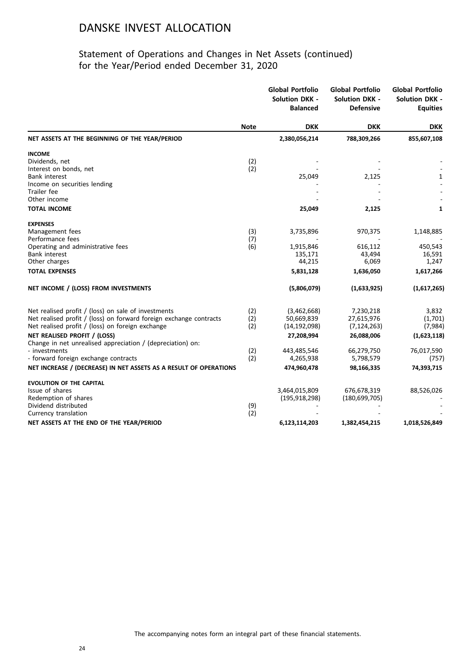|                                                                    |             | <b>Global Portfolio</b><br><b>Solution DKK -</b><br><b>Balanced</b> | <b>Global Portfolio</b><br><b>Solution DKK -</b><br><b>Defensive</b> | <b>Global Portfolio</b><br><b>Solution DKK -</b><br><b>Equities</b> |
|--------------------------------------------------------------------|-------------|---------------------------------------------------------------------|----------------------------------------------------------------------|---------------------------------------------------------------------|
|                                                                    | <b>Note</b> | <b>DKK</b>                                                          | <b>DKK</b>                                                           | <b>DKK</b>                                                          |
| NET ASSETS AT THE BEGINNING OF THE YEAR/PERIOD                     |             | 2,380,056,214                                                       | 788,309,266                                                          | 855,607,108                                                         |
| <b>INCOME</b>                                                      |             |                                                                     |                                                                      |                                                                     |
| Dividends, net                                                     | (2)         |                                                                     |                                                                      |                                                                     |
| Interest on bonds, net                                             | (2)         |                                                                     |                                                                      |                                                                     |
| <b>Bank interest</b>                                               |             | 25,049                                                              | 2,125                                                                | 1                                                                   |
| Income on securities lending                                       |             |                                                                     |                                                                      |                                                                     |
| Trailer fee                                                        |             |                                                                     |                                                                      |                                                                     |
| Other income                                                       |             |                                                                     |                                                                      |                                                                     |
| <b>TOTAL INCOME</b>                                                |             | 25,049                                                              | 2,125                                                                | 1                                                                   |
| <b>EXPENSES</b>                                                    |             |                                                                     |                                                                      |                                                                     |
| Management fees                                                    | (3)         | 3,735,896                                                           | 970,375                                                              | 1,148,885                                                           |
| Performance fees                                                   | (7)         |                                                                     |                                                                      |                                                                     |
| Operating and administrative fees                                  | (6)         | 1,915,846                                                           | 616,112                                                              | 450,543                                                             |
| Bank interest                                                      |             | 135,171                                                             | 43,494                                                               | 16,591                                                              |
| Other charges                                                      |             | 44,215                                                              | 6,069                                                                | 1,247                                                               |
| <b>TOTAL EXPENSES</b>                                              |             | 5,831,128                                                           | 1,636,050                                                            | 1,617,266                                                           |
| NET INCOME / (LOSS) FROM INVESTMENTS                               |             | (5,806,079)                                                         | (1,633,925)                                                          | (1,617,265)                                                         |
| Net realised profit / (loss) on sale of investments                | (2)         | (3,462,668)                                                         | 7,230,218                                                            | 3,832                                                               |
| Net realised profit / (loss) on forward foreign exchange contracts | (2)         | 50,669,839                                                          | 27,615,976                                                           | (1,701)                                                             |
| Net realised profit / (loss) on foreign exchange                   | (2)         | (14, 192, 098)                                                      | (7, 124, 263)                                                        | (7,984)                                                             |
| NET REALISED PROFIT / (LOSS)                                       |             | 27,208,994                                                          | 26,088,006                                                           |                                                                     |
| Change in net unrealised appreciation / (depreciation) on:         |             |                                                                     |                                                                      | (1,623,118)                                                         |
| - investments                                                      | (2)         | 443,485,546                                                         | 66,279,750                                                           | 76,017,590                                                          |
| - forward foreign exchange contracts                               | (2)         | 4,265,938                                                           | 5,798,579                                                            | (757)                                                               |
| NET INCREASE / (DECREASE) IN NET ASSETS AS A RESULT OF OPERATIONS  |             | 474,960,478                                                         | 98,166,335                                                           | 74,393,715                                                          |
|                                                                    |             |                                                                     |                                                                      |                                                                     |
| <b>EVOLUTION OF THE CAPITAL</b><br>Issue of shares                 |             | 3,464,015,809                                                       | 676,678,319                                                          | 88,526,026                                                          |
| Redemption of shares                                               |             | (195, 918, 298)                                                     | (180, 699, 705)                                                      |                                                                     |
| Dividend distributed                                               | (9)         |                                                                     |                                                                      |                                                                     |
| Currency translation                                               | (2)         |                                                                     |                                                                      |                                                                     |
| NET ASSETS AT THE END OF THE YEAR/PERIOD                           |             | 6,123,114,203                                                       | 1,382,454,215                                                        | 1,018,526,849                                                       |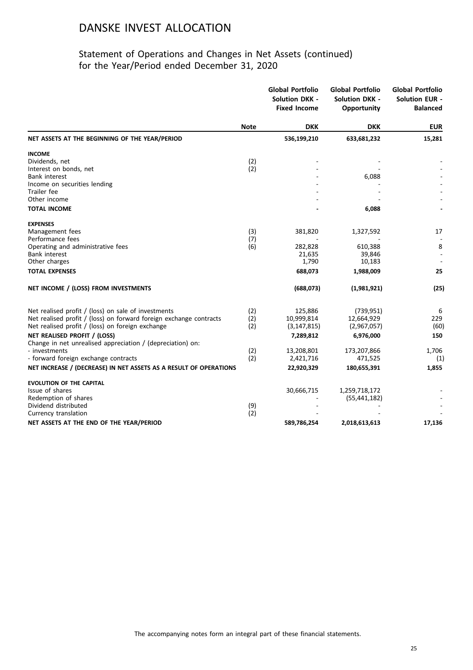|                                                                    |             | <b>Global Portfolio</b><br><b>Solution DKK -</b><br><b>Fixed Income</b> | <b>Global Portfolio</b><br><b>Solution DKK -</b><br>Opportunity | <b>Global Portfolio</b><br><b>Solution EUR -</b><br><b>Balanced</b> |
|--------------------------------------------------------------------|-------------|-------------------------------------------------------------------------|-----------------------------------------------------------------|---------------------------------------------------------------------|
|                                                                    | <b>Note</b> | <b>DKK</b>                                                              | <b>DKK</b>                                                      | <b>EUR</b>                                                          |
| NET ASSETS AT THE BEGINNING OF THE YEAR/PERIOD                     |             | 536,199,210                                                             | 633,681,232                                                     | 15,281                                                              |
| <b>INCOME</b>                                                      |             |                                                                         |                                                                 |                                                                     |
| Dividends, net                                                     | (2)         |                                                                         |                                                                 |                                                                     |
| Interest on bonds, net                                             | (2)         |                                                                         |                                                                 |                                                                     |
| <b>Bank interest</b>                                               |             |                                                                         | 6,088                                                           |                                                                     |
| Income on securities lending<br><b>Trailer</b> fee                 |             |                                                                         |                                                                 |                                                                     |
| Other income                                                       |             |                                                                         |                                                                 |                                                                     |
| <b>TOTAL INCOME</b>                                                |             |                                                                         | 6,088                                                           |                                                                     |
| <b>EXPENSES</b>                                                    |             |                                                                         |                                                                 |                                                                     |
| Management fees                                                    | (3)         | 381,820                                                                 | 1,327,592                                                       | 17                                                                  |
| Performance fees                                                   | (7)         |                                                                         |                                                                 |                                                                     |
| Operating and administrative fees                                  | (6)         | 282,828                                                                 | 610,388                                                         | 8                                                                   |
| <b>Bank interest</b>                                               |             | 21,635                                                                  | 39,846                                                          |                                                                     |
| Other charges                                                      |             | 1,790                                                                   | 10,183                                                          |                                                                     |
| <b>TOTAL EXPENSES</b>                                              |             | 688,073                                                                 | 1,988,009                                                       | 25                                                                  |
| NET INCOME / (LOSS) FROM INVESTMENTS                               |             | (688, 073)                                                              | (1,981,921)                                                     | (25)                                                                |
| Net realised profit / (loss) on sale of investments                | (2)         | 125,886                                                                 | (739, 951)                                                      | 6                                                                   |
| Net realised profit / (loss) on forward foreign exchange contracts | (2)         | 10,999,814                                                              | 12,664,929                                                      | 229                                                                 |
| Net realised profit / (loss) on foreign exchange                   | (2)         | (3, 147, 815)                                                           | (2,967,057)                                                     | (60)                                                                |
| NET REALISED PROFIT / (LOSS)                                       |             | 7,289,812                                                               | 6,976,000                                                       | 150                                                                 |
| Change in net unrealised appreciation / (depreciation) on:         |             |                                                                         |                                                                 |                                                                     |
| - investments                                                      | (2)         | 13,208,801                                                              | 173,207,866                                                     | 1,706                                                               |
| - forward foreign exchange contracts                               | (2)         | 2,421,716                                                               | 471,525                                                         | (1)                                                                 |
| NET INCREASE / (DECREASE) IN NET ASSETS AS A RESULT OF OPERATIONS  |             | 22,920,329                                                              | 180,655,391                                                     | 1,855                                                               |
| <b>EVOLUTION OF THE CAPITAL</b>                                    |             |                                                                         |                                                                 |                                                                     |
| Issue of shares                                                    |             | 30,666,715                                                              | 1,259,718,172                                                   |                                                                     |
| Redemption of shares                                               |             |                                                                         | (55, 441, 182)                                                  |                                                                     |
| Dividend distributed                                               | (9)         |                                                                         |                                                                 |                                                                     |
| Currency translation                                               | (2)         |                                                                         |                                                                 |                                                                     |
| NET ASSETS AT THE END OF THE YEAR/PERIOD                           |             | 589,786,254                                                             | 2,018,613,613                                                   | 17,136                                                              |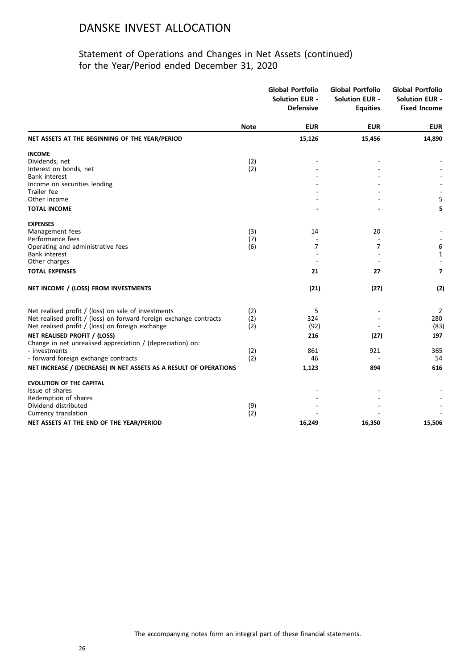|                                                                    |             | <b>Global Portfolio</b><br><b>Solution EUR -</b><br><b>Defensive</b> | <b>Global Portfolio</b><br><b>Solution EUR -</b><br><b>Equities</b> | <b>Global Portfolio</b><br><b>Solution EUR -</b><br><b>Fixed Income</b> |
|--------------------------------------------------------------------|-------------|----------------------------------------------------------------------|---------------------------------------------------------------------|-------------------------------------------------------------------------|
|                                                                    | <b>Note</b> | <b>EUR</b>                                                           | <b>EUR</b>                                                          | <b>EUR</b>                                                              |
| NET ASSETS AT THE BEGINNING OF THE YEAR/PERIOD                     |             | 15,126                                                               | 15,456                                                              | 14,890                                                                  |
| <b>INCOME</b>                                                      |             |                                                                      |                                                                     |                                                                         |
| Dividends, net                                                     | (2)         |                                                                      |                                                                     |                                                                         |
| Interest on bonds, net                                             | (2)         |                                                                      |                                                                     |                                                                         |
| Bank interest<br>Income on securities lending                      |             |                                                                      |                                                                     |                                                                         |
| Trailer fee                                                        |             |                                                                      |                                                                     |                                                                         |
| Other income                                                       |             |                                                                      |                                                                     | 5                                                                       |
| <b>TOTAL INCOME</b>                                                |             |                                                                      |                                                                     | 5                                                                       |
| <b>EXPENSES</b>                                                    |             |                                                                      |                                                                     |                                                                         |
| Management fees                                                    | (3)         | 14                                                                   | 20                                                                  |                                                                         |
| Performance fees                                                   | (7)         |                                                                      |                                                                     |                                                                         |
| Operating and administrative fees                                  | (6)         | 7                                                                    | 7                                                                   | 6                                                                       |
| Bank interest                                                      |             |                                                                      |                                                                     | $\mathbf{1}$                                                            |
| Other charges                                                      |             |                                                                      |                                                                     |                                                                         |
| <b>TOTAL EXPENSES</b>                                              |             | 21                                                                   | 27                                                                  | $\overline{ }$                                                          |
| NET INCOME / (LOSS) FROM INVESTMENTS                               |             | (21)                                                                 | (27)                                                                | (2)                                                                     |
| Net realised profit / (loss) on sale of investments                | (2)         | 5                                                                    |                                                                     | 2                                                                       |
| Net realised profit / (loss) on forward foreign exchange contracts | (2)         | 324                                                                  |                                                                     | 280                                                                     |
| Net realised profit / (loss) on foreign exchange                   | (2)         | (92)                                                                 |                                                                     | (83)                                                                    |
| NET REALISED PROFIT / (LOSS)                                       |             | 216                                                                  | (27)                                                                | 197                                                                     |
| Change in net unrealised appreciation / (depreciation) on:         |             |                                                                      |                                                                     |                                                                         |
| - investments                                                      | (2)         | 861                                                                  | 921                                                                 | 365                                                                     |
| - forward foreign exchange contracts                               | (2)         | 46                                                                   |                                                                     | 54                                                                      |
| NET INCREASE / (DECREASE) IN NET ASSETS AS A RESULT OF OPERATIONS  |             | 1,123                                                                | 894                                                                 | 616                                                                     |
| <b>EVOLUTION OF THE CAPITAL</b>                                    |             |                                                                      |                                                                     |                                                                         |
| Issue of shares                                                    |             |                                                                      |                                                                     |                                                                         |
| Redemption of shares                                               |             |                                                                      |                                                                     |                                                                         |
| Dividend distributed                                               | (9)<br>(2)  |                                                                      |                                                                     |                                                                         |
| Currency translation                                               |             |                                                                      |                                                                     |                                                                         |
| NET ASSETS AT THE END OF THE YEAR/PERIOD                           |             | 16,249                                                               | 16,350                                                              | 15,506                                                                  |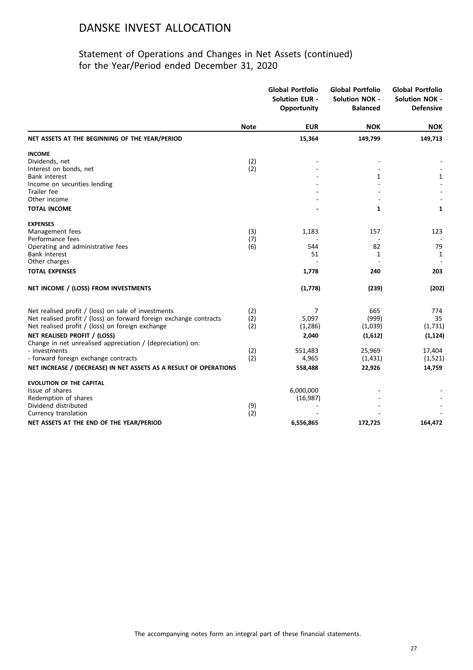|                                                                    |             | <b>Global Portfolio</b><br><b>Solution EUR -</b><br>Opportunity | <b>Global Portfolio</b><br><b>Solution NOK -</b><br><b>Balanced</b> | <b>Global Portfolio</b><br><b>Solution NOK -</b><br><b>Defensive</b> |
|--------------------------------------------------------------------|-------------|-----------------------------------------------------------------|---------------------------------------------------------------------|----------------------------------------------------------------------|
|                                                                    | <b>Note</b> | <b>EUR</b>                                                      | <b>NOK</b>                                                          | <b>NOK</b>                                                           |
| NET ASSETS AT THE BEGINNING OF THE YEAR/PERIOD                     |             | 15,364                                                          | 149,799                                                             | 149,713                                                              |
| <b>INCOME</b>                                                      |             |                                                                 |                                                                     |                                                                      |
| Dividends, net                                                     | (2)         |                                                                 |                                                                     |                                                                      |
| Interest on bonds, net                                             | (2)         |                                                                 |                                                                     |                                                                      |
| <b>Bank interest</b>                                               |             |                                                                 | 1                                                                   | $\mathbf{1}$                                                         |
| Income on securities lending<br>Trailer fee                        |             |                                                                 |                                                                     |                                                                      |
| Other income                                                       |             |                                                                 |                                                                     |                                                                      |
| <b>TOTAL INCOME</b>                                                |             |                                                                 | 1                                                                   | $\mathbf{1}$                                                         |
| <b>EXPENSES</b>                                                    |             |                                                                 |                                                                     |                                                                      |
| Management fees                                                    | (3)         | 1,183                                                           | 157                                                                 | 123                                                                  |
| Performance fees                                                   | (7)         |                                                                 |                                                                     |                                                                      |
| Operating and administrative fees                                  | (6)         | 544                                                             | 82                                                                  | 79                                                                   |
| <b>Bank interest</b>                                               |             | 51                                                              | 1                                                                   | 1                                                                    |
| Other charges                                                      |             |                                                                 |                                                                     |                                                                      |
| <b>TOTAL EXPENSES</b>                                              |             | 1,778                                                           | 240                                                                 | 203                                                                  |
| NET INCOME / (LOSS) FROM INVESTMENTS                               |             | (1,778)                                                         | (239)                                                               | (202)                                                                |
| Net realised profit / (loss) on sale of investments                | (2)         | 7                                                               | 665                                                                 | 774                                                                  |
| Net realised profit / (loss) on forward foreign exchange contracts | (2)         | 5,097                                                           | (999)                                                               | 35                                                                   |
| Net realised profit / (loss) on foreign exchange                   | (2)         | (1,286)                                                         | (1,039)                                                             | (1,731)                                                              |
| NET REALISED PROFIT / (LOSS)                                       |             | 2,040                                                           | (1,612)                                                             | (1, 124)                                                             |
| Change in net unrealised appreciation / (depreciation) on:         |             |                                                                 |                                                                     |                                                                      |
| - investments                                                      | (2)         | 551,483                                                         | 25,969                                                              | 17,404                                                               |
| - forward foreign exchange contracts                               | (2)         | 4,965                                                           | (1, 431)                                                            | (1,521)                                                              |
| NET INCREASE / (DECREASE) IN NET ASSETS AS A RESULT OF OPERATIONS  |             | 558,488                                                         | 22,926                                                              | 14,759                                                               |
| <b>EVOLUTION OF THE CAPITAL</b>                                    |             |                                                                 |                                                                     |                                                                      |
| Issue of shares                                                    |             | 6,000,000                                                       |                                                                     |                                                                      |
| Redemption of shares                                               |             | (16, 987)                                                       |                                                                     |                                                                      |
| Dividend distributed                                               | (9)         |                                                                 |                                                                     |                                                                      |
| Currency translation                                               | (2)         |                                                                 |                                                                     |                                                                      |
| NET ASSETS AT THE END OF THE YEAR/PERIOD                           |             | 6,556,865                                                       | 172,725                                                             | 164,472                                                              |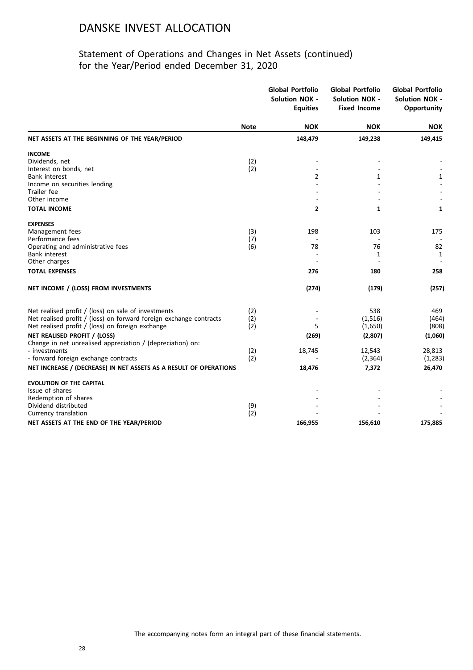|                                                                    |             | <b>Global Portfolio</b><br><b>Solution NOK -</b><br><b>Equities</b> | <b>Global Portfolio</b><br><b>Solution NOK -</b><br><b>Fixed Income</b> | <b>Global Portfolio</b><br><b>Solution NOK -</b><br>Opportunity |
|--------------------------------------------------------------------|-------------|---------------------------------------------------------------------|-------------------------------------------------------------------------|-----------------------------------------------------------------|
|                                                                    | <b>Note</b> | <b>NOK</b>                                                          | <b>NOK</b>                                                              | <b>NOK</b>                                                      |
| NET ASSETS AT THE BEGINNING OF THE YEAR/PERIOD                     |             | 148,479                                                             | 149,238                                                                 | 149,415                                                         |
| <b>INCOME</b>                                                      |             |                                                                     |                                                                         |                                                                 |
| Dividends, net                                                     | (2)         |                                                                     |                                                                         |                                                                 |
| Interest on bonds, net                                             | (2)         |                                                                     |                                                                         |                                                                 |
| <b>Bank interest</b>                                               |             | 2                                                                   | 1                                                                       | $\mathbf{1}$                                                    |
| Income on securities lending<br>Trailer fee                        |             |                                                                     |                                                                         |                                                                 |
| Other income                                                       |             |                                                                     |                                                                         |                                                                 |
| <b>TOTAL INCOME</b>                                                |             | $\mathbf{2}$                                                        | $\mathbf{1}$                                                            | $\mathbf{1}$                                                    |
| <b>EXPENSES</b>                                                    |             |                                                                     |                                                                         |                                                                 |
| Management fees                                                    | (3)         | 198                                                                 | 103                                                                     | 175                                                             |
| Performance fees                                                   | (7)         |                                                                     |                                                                         |                                                                 |
| Operating and administrative fees                                  | (6)         | 78                                                                  | 76                                                                      | 82                                                              |
| Bank interest                                                      |             |                                                                     | 1                                                                       | 1                                                               |
| Other charges                                                      |             |                                                                     |                                                                         |                                                                 |
| <b>TOTAL EXPENSES</b>                                              |             | 276                                                                 | 180                                                                     | 258                                                             |
| NET INCOME / (LOSS) FROM INVESTMENTS                               |             | (274)                                                               | (179)                                                                   | (257)                                                           |
| Net realised profit / (loss) on sale of investments                | (2)         |                                                                     | 538                                                                     | 469                                                             |
| Net realised profit / (loss) on forward foreign exchange contracts | (2)         |                                                                     | (1, 516)                                                                | (464)                                                           |
| Net realised profit / (loss) on foreign exchange                   | (2)         | 5                                                                   | (1,650)                                                                 | (808)                                                           |
| NET REALISED PROFIT / (LOSS)                                       |             | (269)                                                               | (2,807)                                                                 | (1,060)                                                         |
| Change in net unrealised appreciation / (depreciation) on:         |             |                                                                     |                                                                         |                                                                 |
| - investments                                                      | (2)         | 18,745                                                              | 12,543                                                                  | 28,813                                                          |
| - forward foreign exchange contracts                               | (2)         |                                                                     | (2, 364)                                                                | (1, 283)                                                        |
| NET INCREASE / (DECREASE) IN NET ASSETS AS A RESULT OF OPERATIONS  |             | 18,476                                                              | 7,372                                                                   | 26,470                                                          |
| <b>EVOLUTION OF THE CAPITAL</b>                                    |             |                                                                     |                                                                         |                                                                 |
| Issue of shares                                                    |             |                                                                     |                                                                         |                                                                 |
| Redemption of shares                                               |             |                                                                     |                                                                         |                                                                 |
| Dividend distributed                                               | (9)<br>(2)  |                                                                     |                                                                         |                                                                 |
| Currency translation                                               |             |                                                                     |                                                                         |                                                                 |
| NET ASSETS AT THE END OF THE YEAR/PERIOD                           |             | 166,955                                                             | 156,610                                                                 | 175,885                                                         |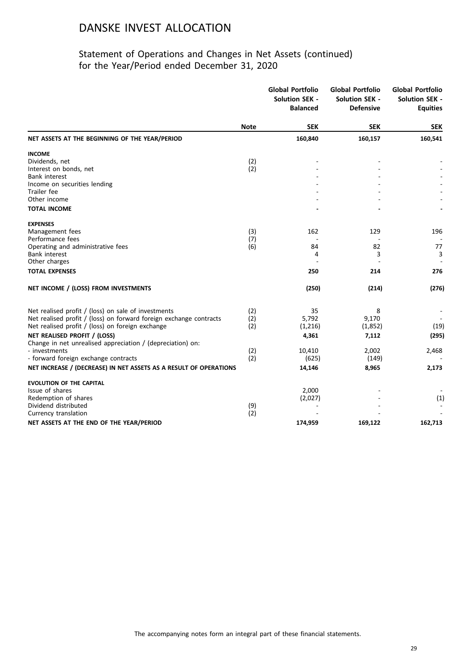|                                                                    |             | <b>Global Portfolio</b><br>Solution SEK -<br><b>Balanced</b> | <b>Global Portfolio</b><br><b>Solution SEK -</b><br><b>Defensive</b> | <b>Global Portfolio</b><br><b>Solution SEK -</b><br><b>Equities</b> |
|--------------------------------------------------------------------|-------------|--------------------------------------------------------------|----------------------------------------------------------------------|---------------------------------------------------------------------|
|                                                                    | <b>Note</b> | <b>SEK</b>                                                   | <b>SEK</b>                                                           | <b>SEK</b>                                                          |
| NET ASSETS AT THE BEGINNING OF THE YEAR/PERIOD                     |             | 160,840                                                      | 160,157                                                              | 160,541                                                             |
| <b>INCOME</b>                                                      |             |                                                              |                                                                      |                                                                     |
| Dividends, net                                                     | (2)         |                                                              |                                                                      |                                                                     |
| Interest on bonds, net                                             | (2)         |                                                              |                                                                      |                                                                     |
| <b>Bank interest</b>                                               |             |                                                              |                                                                      |                                                                     |
| Income on securities lending                                       |             |                                                              |                                                                      |                                                                     |
| Trailer fee<br>Other income                                        |             |                                                              |                                                                      |                                                                     |
|                                                                    |             |                                                              |                                                                      |                                                                     |
| <b>TOTAL INCOME</b>                                                |             |                                                              |                                                                      |                                                                     |
| <b>EXPENSES</b>                                                    |             |                                                              |                                                                      |                                                                     |
| Management fees                                                    | (3)         | 162                                                          | 129                                                                  | 196                                                                 |
| Performance fees                                                   | (7)         |                                                              |                                                                      |                                                                     |
| Operating and administrative fees                                  | (6)         | 84                                                           | 82                                                                   | 77                                                                  |
| <b>Bank interest</b><br>Other charges                              |             | 4                                                            | 3<br>$\overline{a}$                                                  | 3                                                                   |
|                                                                    |             |                                                              |                                                                      |                                                                     |
| <b>TOTAL EXPENSES</b>                                              |             | 250                                                          | 214                                                                  | 276                                                                 |
| NET INCOME / (LOSS) FROM INVESTMENTS                               |             | (250)                                                        | (214)                                                                | (276)                                                               |
| Net realised profit / (loss) on sale of investments                | (2)         | 35                                                           | 8                                                                    |                                                                     |
| Net realised profit / (loss) on forward foreign exchange contracts | (2)         | 5,792                                                        | 9,170                                                                |                                                                     |
| Net realised profit / (loss) on foreign exchange                   | (2)         | (1,216)                                                      | (1,852)                                                              | (19)                                                                |
| NET REALISED PROFIT / (LOSS)                                       |             | 4,361                                                        | 7,112                                                                | (295)                                                               |
| Change in net unrealised appreciation / (depreciation) on:         |             |                                                              |                                                                      |                                                                     |
| - investments                                                      | (2)         | 10,410                                                       | 2,002                                                                | 2,468                                                               |
| - forward foreign exchange contracts                               | (2)         | (625)                                                        | (149)                                                                |                                                                     |
| NET INCREASE / (DECREASE) IN NET ASSETS AS A RESULT OF OPERATIONS  |             | 14,146                                                       | 8,965                                                                | 2,173                                                               |
| <b>EVOLUTION OF THE CAPITAL</b>                                    |             |                                                              |                                                                      |                                                                     |
| Issue of shares                                                    |             | 2,000                                                        |                                                                      |                                                                     |
| Redemption of shares                                               |             | (2,027)                                                      |                                                                      | (1)                                                                 |
| Dividend distributed                                               | (9)         |                                                              |                                                                      |                                                                     |
| Currency translation                                               | (2)         |                                                              |                                                                      |                                                                     |
| NET ASSETS AT THE END OF THE YEAR/PERIOD                           |             | 174,959                                                      | 169,122                                                              | 162,713                                                             |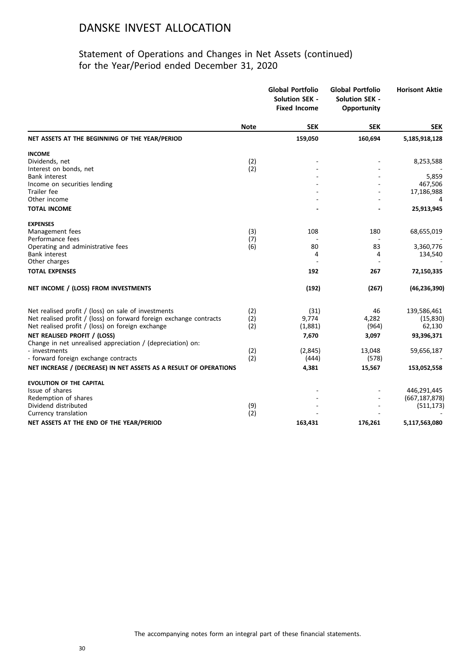|                                                                    |             | <b>Global Portfolio</b><br><b>Solution SEK -</b><br><b>Fixed Income</b> | <b>Global Portfolio</b><br><b>Solution SEK -</b><br><b>Opportunity</b> | <b>Horisont Aktie</b> |
|--------------------------------------------------------------------|-------------|-------------------------------------------------------------------------|------------------------------------------------------------------------|-----------------------|
|                                                                    | <b>Note</b> | <b>SEK</b>                                                              | <b>SEK</b>                                                             | <b>SEK</b>            |
| NET ASSETS AT THE BEGINNING OF THE YEAR/PERIOD                     |             | 159,050                                                                 | 160,694                                                                | 5,185,918,128         |
| <b>INCOME</b>                                                      |             |                                                                         |                                                                        |                       |
| Dividends, net                                                     | (2)         |                                                                         |                                                                        | 8,253,588             |
| Interest on bonds, net                                             | (2)         |                                                                         |                                                                        |                       |
| <b>Bank interest</b>                                               |             |                                                                         |                                                                        | 5,859                 |
| Income on securities lending                                       |             |                                                                         |                                                                        | 467,506               |
| Trailer fee<br>Other income                                        |             |                                                                         |                                                                        | 17,186,988<br>4       |
|                                                                    |             |                                                                         |                                                                        |                       |
| <b>TOTAL INCOME</b>                                                |             |                                                                         |                                                                        | 25,913,945            |
| <b>EXPENSES</b>                                                    |             |                                                                         |                                                                        |                       |
| Management fees                                                    | (3)         | 108                                                                     | 180                                                                    | 68,655,019            |
| Performance fees                                                   | (7)         |                                                                         |                                                                        |                       |
| Operating and administrative fees                                  | (6)         | 80                                                                      | 83                                                                     | 3,360,776             |
| Bank interest                                                      |             | 4                                                                       | 4                                                                      | 134,540               |
| Other charges                                                      |             |                                                                         |                                                                        |                       |
| <b>TOTAL EXPENSES</b>                                              |             | 192                                                                     | 267                                                                    | 72,150,335            |
| NET INCOME / (LOSS) FROM INVESTMENTS                               |             | (192)                                                                   | (267)                                                                  | (46, 236, 390)        |
| Net realised profit / (loss) on sale of investments                |             | (31)                                                                    | 46                                                                     | 139,586,461           |
| Net realised profit / (loss) on forward foreign exchange contracts | (2)<br>(2)  | 9,774                                                                   | 4,282                                                                  | (15, 830)             |
| Net realised profit / (loss) on foreign exchange                   | (2)         | (1,881)                                                                 | (964)                                                                  | 62,130                |
| NET REALISED PROFIT / (LOSS)                                       |             | 7,670                                                                   | 3,097                                                                  | 93,396,371            |
| Change in net unrealised appreciation / (depreciation) on:         |             |                                                                         |                                                                        |                       |
| - investments                                                      | (2)         | (2,845)                                                                 | 13,048                                                                 | 59,656,187            |
| - forward foreign exchange contracts                               | (2)         | (444)                                                                   | (578)                                                                  |                       |
| NET INCREASE / (DECREASE) IN NET ASSETS AS A RESULT OF OPERATIONS  |             | 4,381                                                                   | 15,567                                                                 | 153,052,558           |
|                                                                    |             |                                                                         |                                                                        |                       |
| <b>EVOLUTION OF THE CAPITAL</b><br>Issue of shares                 |             |                                                                         |                                                                        | 446,291,445           |
| Redemption of shares                                               |             |                                                                         |                                                                        | (667, 187, 878)       |
| Dividend distributed                                               | (9)         |                                                                         |                                                                        | (511, 173)            |
| Currency translation                                               | (2)         |                                                                         |                                                                        |                       |
| NET ASSETS AT THE END OF THE YEAR/PERIOD                           |             | 163,431                                                                 | 176,261                                                                | 5,117,563,080         |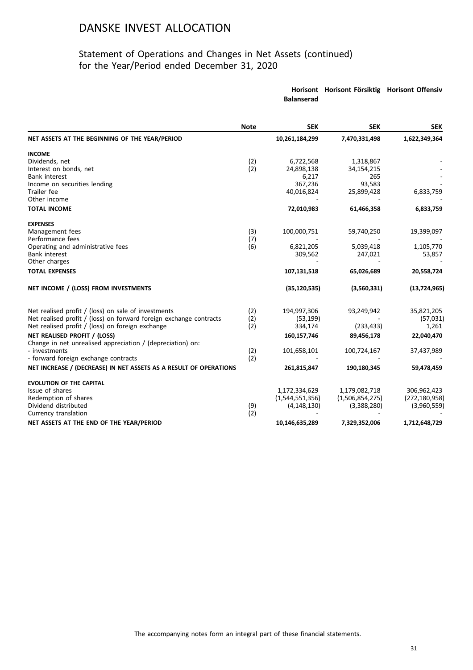### Statement of Operations and Changes in Net Assets (continued) for the Year/Period ended December 31, 2020

**Horisont Horisont Försiktig Horisont Offensiv**

|                                                                    |             | <b>Balanserad</b> |                 |                 |
|--------------------------------------------------------------------|-------------|-------------------|-----------------|-----------------|
|                                                                    | <b>Note</b> | <b>SEK</b>        | <b>SEK</b>      | <b>SEK</b>      |
| NET ASSETS AT THE BEGINNING OF THE YEAR/PERIOD                     |             | 10,261,184,299    | 7,470,331,498   | 1,622,349,364   |
| <b>INCOME</b>                                                      |             |                   |                 |                 |
| Dividends, net                                                     | (2)         | 6,722,568         | 1,318,867       |                 |
| Interest on bonds, net                                             | (2)         | 24,898,138        | 34,154,215      |                 |
| <b>Bank interest</b>                                               |             | 6,217             | 265             |                 |
| Income on securities lending                                       |             | 367,236           | 93,583          |                 |
| Trailer fee                                                        |             | 40,016,824        | 25,899,428      | 6,833,759       |
| Other income                                                       |             |                   |                 |                 |
| <b>TOTAL INCOME</b>                                                |             | 72,010,983        | 61,466,358      | 6,833,759       |
| <b>EXPENSES</b>                                                    |             |                   |                 |                 |
| Management fees                                                    | (3)         | 100,000,751       | 59,740,250      | 19,399,097      |
| Performance fees                                                   | (7)         |                   |                 |                 |
| Operating and administrative fees                                  | (6)         | 6,821,205         | 5,039,418       | 1,105,770       |
| Bank interest<br>Other charges                                     |             | 309,562           | 247,021         | 53,857          |
| <b>TOTAL EXPENSES</b>                                              |             | 107,131,518       | 65,026,689      | 20,558,724      |
|                                                                    |             |                   |                 |                 |
| NET INCOME / (LOSS) FROM INVESTMENTS                               |             | (35, 120, 535)    | (3,560,331)     | (13, 724, 965)  |
| Net realised profit / (loss) on sale of investments                | (2)         | 194,997,306       | 93,249,942      | 35,821,205      |
| Net realised profit / (loss) on forward foreign exchange contracts | (2)         | (53, 199)         |                 | (57,031)        |
| Net realised profit / (loss) on foreign exchange                   | (2)         | 334,174           | (233, 433)      | 1,261           |
| NET REALISED PROFIT / (LOSS)                                       |             | 160,157,746       | 89,456,178      | 22,040,470      |
| Change in net unrealised appreciation / (depreciation) on:         |             |                   |                 |                 |
| - investments                                                      | (2)         | 101,658,101       | 100,724,167     | 37,437,989      |
| - forward foreign exchange contracts                               | (2)         |                   |                 |                 |
| NET INCREASE / (DECREASE) IN NET ASSETS AS A RESULT OF OPERATIONS  |             | 261,815,847       | 190,180,345     | 59,478,459      |
| <b>EVOLUTION OF THE CAPITAL</b>                                    |             |                   |                 |                 |
| Issue of shares                                                    |             | 1,172,334,629     | 1,179,082,718   | 306,962,423     |
| Redemption of shares                                               |             | (1,544,551,356)   | (1,506,854,275) | (272, 180, 958) |
| Dividend distributed                                               | (9)         | (4, 148, 130)     | (3,388,280)     | (3,960,559)     |
| Currency translation                                               | (2)         |                   |                 |                 |
| NET ASSETS AT THE END OF THE YEAR/PERIOD                           |             | 10,146,635,289    | 7,329,352,006   | 1,712,648,729   |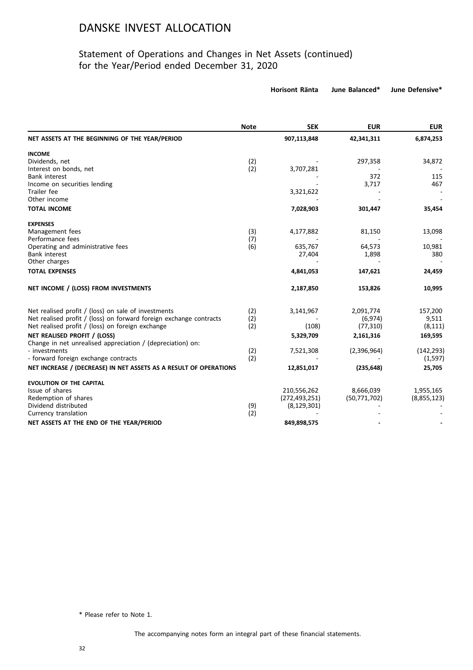### Statement of Operations and Changes in Net Assets (continued) for the Year/Period ended December 31, 2020

**Horisont Ränta June Balanced\* June Defensive\***

|                                                                    | <b>Note</b> | <b>SEK</b>      | <b>EUR</b>   | <b>EUR</b>  |
|--------------------------------------------------------------------|-------------|-----------------|--------------|-------------|
| NET ASSETS AT THE BEGINNING OF THE YEAR/PERIOD                     |             | 907,113,848     | 42,341,311   | 6,874,253   |
| <b>INCOME</b>                                                      |             |                 |              |             |
| Dividends, net                                                     | (2)         |                 | 297,358      | 34,872      |
| Interest on bonds, net                                             | (2)         | 3,707,281       |              |             |
| <b>Bank interest</b>                                               |             |                 | 372          | 115         |
| Income on securities lending                                       |             |                 | 3,717        | 467         |
| Trailer fee                                                        |             | 3,321,622       |              |             |
| Other income                                                       |             |                 |              |             |
| <b>TOTAL INCOME</b>                                                |             | 7,028,903       | 301,447      | 35,454      |
| <b>EXPENSES</b>                                                    |             |                 |              |             |
| Management fees                                                    | (3)         | 4,177,882       | 81,150       | 13,098      |
| Performance fees                                                   | (7)         |                 |              |             |
| Operating and administrative fees                                  | (6)         | 635,767         | 64,573       | 10,981      |
| <b>Bank interest</b>                                               |             | 27,404          | 1,898        | 380         |
| Other charges                                                      |             |                 |              |             |
| <b>TOTAL EXPENSES</b>                                              |             | 4,841,053       | 147,621      | 24,459      |
| NET INCOME / (LOSS) FROM INVESTMENTS                               |             | 2,187,850       | 153,826      | 10,995      |
| Net realised profit / (loss) on sale of investments                | (2)         | 3,141,967       | 2,091,774    | 157,200     |
| Net realised profit / (loss) on forward foreign exchange contracts | (2)         |                 | (6, 974)     | 9,511       |
| Net realised profit / (loss) on foreign exchange                   | (2)         | (108)           | (77, 310)    | (8, 111)    |
| NET REALISED PROFIT / (LOSS)                                       |             | 5,329,709       | 2,161,316    | 169,595     |
| Change in net unrealised appreciation / (depreciation) on:         |             |                 |              |             |
| - investments                                                      | (2)         | 7,521,308       | (2,396,964)  | (142, 293)  |
| - forward foreign exchange contracts                               | (2)         |                 |              | (1, 597)    |
| NET INCREASE / (DECREASE) IN NET ASSETS AS A RESULT OF OPERATIONS  |             | 12,851,017      | (235, 648)   | 25,705      |
| <b>EVOLUTION OF THE CAPITAL</b>                                    |             |                 |              |             |
| Issue of shares                                                    |             | 210,556,262     | 8,666,039    | 1,955,165   |
| Redemption of shares                                               |             | (272, 493, 251) | (50,771,702) | (8,855,123) |
| Dividend distributed                                               | (9)         | (8, 129, 301)   |              |             |
| Currency translation                                               | (2)         |                 |              |             |
| NET ASSETS AT THE END OF THE YEAR/PERIOD                           |             | 849,898,575     |              |             |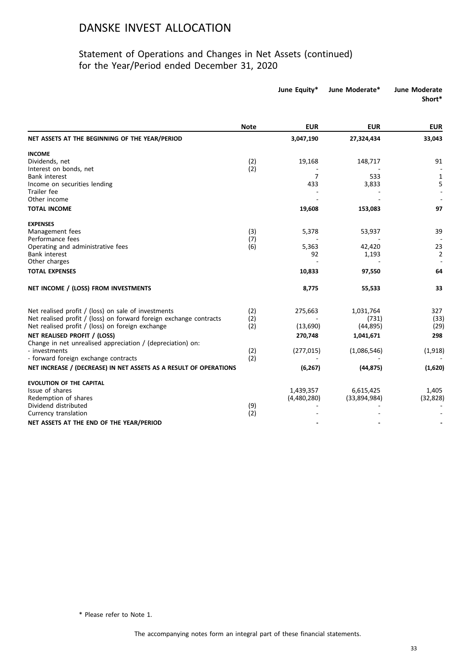### Statement of Operations and Changes in Net Assets (continued) for the Year/Period ended December 31, 2020

|                                                                                                                        |             | June Equity*   | June Moderate*     | <b>June Moderate</b><br>Short* |
|------------------------------------------------------------------------------------------------------------------------|-------------|----------------|--------------------|--------------------------------|
|                                                                                                                        | <b>Note</b> | <b>EUR</b>     | <b>EUR</b>         | <b>EUR</b>                     |
| NET ASSETS AT THE BEGINNING OF THE YEAR/PERIOD                                                                         |             | 3,047,190      | 27,324,434         | 33,043                         |
| <b>INCOME</b>                                                                                                          |             |                |                    |                                |
| Dividends, net                                                                                                         | (2)         | 19,168         | 148,717            | 91                             |
| Interest on bonds, net                                                                                                 | (2)         |                |                    |                                |
| <b>Bank interest</b>                                                                                                   |             | $\overline{7}$ | 533                | $\mathbf{1}$                   |
| Income on securities lending                                                                                           |             | 433            | 3,833              | 5                              |
| Trailer fee<br>Other income                                                                                            |             |                |                    |                                |
|                                                                                                                        |             |                |                    |                                |
| <b>TOTAL INCOME</b>                                                                                                    |             | 19,608         | 153,083            | 97                             |
| <b>EXPENSES</b>                                                                                                        |             |                |                    |                                |
| Management fees                                                                                                        | (3)         | 5,378          | 53,937             | 39                             |
| Performance fees                                                                                                       | (7)         |                |                    |                                |
| Operating and administrative fees                                                                                      | (6)         | 5,363          | 42,420             | 23                             |
| <b>Bank interest</b>                                                                                                   |             | 92             | 1,193              | 2                              |
| Other charges                                                                                                          |             |                |                    |                                |
| <b>TOTAL EXPENSES</b>                                                                                                  |             | 10,833         | 97,550             | 64                             |
| NET INCOME / (LOSS) FROM INVESTMENTS                                                                                   |             | 8,775          | 55,533             | 33                             |
|                                                                                                                        |             |                |                    |                                |
| Net realised profit / (loss) on sale of investments                                                                    | (2)         | 275,663        | 1,031,764          | 327                            |
| Net realised profit / (loss) on forward foreign exchange contracts<br>Net realised profit / (loss) on foreign exchange | (2)<br>(2)  | (13,690)       | (731)<br>(44, 895) | (33)<br>(29)                   |
|                                                                                                                        |             |                |                    |                                |
| NET REALISED PROFIT / (LOSS)                                                                                           |             | 270,748        | 1,041,671          | 298                            |
| Change in net unrealised appreciation / (depreciation) on:<br>- investments                                            |             |                | (1,086,546)        | (1, 918)                       |
| - forward foreign exchange contracts                                                                                   | (2)<br>(2)  | (277, 015)     |                    |                                |
|                                                                                                                        |             |                |                    |                                |
| NET INCREASE / (DECREASE) IN NET ASSETS AS A RESULT OF OPERATIONS                                                      |             | (6, 267)       | (44, 875)          | (1,620)                        |
| <b>EVOLUTION OF THE CAPITAL</b>                                                                                        |             |                |                    |                                |
| Issue of shares                                                                                                        |             | 1,439,357      | 6,615,425          | 1,405                          |
| Redemption of shares                                                                                                   |             | (4,480,280)    | (33,894,984)       | (32, 828)                      |
| Dividend distributed                                                                                                   | (9)         |                |                    |                                |
| Currency translation                                                                                                   | (2)         |                |                    |                                |
| NET ASSETS AT THE END OF THE YEAR/PERIOD                                                                               |             |                |                    |                                |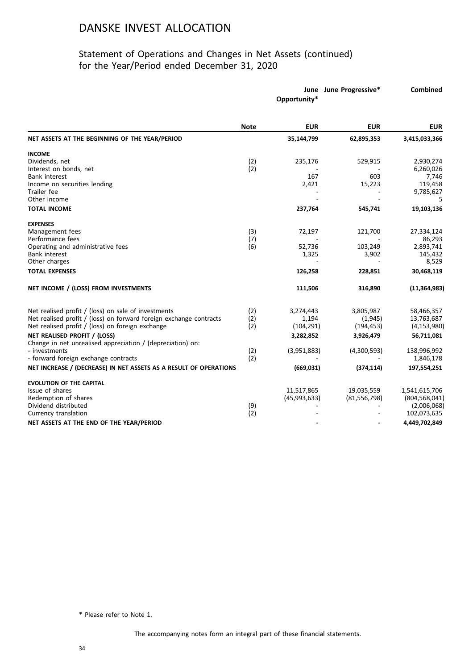### Statement of Operations and Changes in Net Assets (continued) for the Year/Period ended December 31, 2020

|                                                                    |             | Opportunity* | June June Progressive* | <b>Combined</b> |
|--------------------------------------------------------------------|-------------|--------------|------------------------|-----------------|
|                                                                    | <b>Note</b> | <b>EUR</b>   | <b>EUR</b>             | <b>EUR</b>      |
| NET ASSETS AT THE BEGINNING OF THE YEAR/PERIOD                     |             | 35,144,799   | 62,895,353             | 3,415,033,366   |
| <b>INCOME</b>                                                      |             |              |                        |                 |
| Dividends, net                                                     | (2)         | 235,176      | 529,915                | 2,930,274       |
| Interest on bonds, net                                             | (2)         |              |                        | 6,260,026       |
| Bank interest                                                      |             | 167          | 603                    | 7,746           |
| Income on securities lending                                       |             | 2,421        | 15,223                 | 119,458         |
| Trailer fee                                                        |             |              |                        | 9,785,627       |
| Other income                                                       |             |              |                        | 5               |
| <b>TOTAL INCOME</b>                                                |             | 237,764      | 545,741                | 19,103,136      |
| <b>EXPENSES</b>                                                    |             |              |                        |                 |
| Management fees                                                    | (3)         | 72,197       | 121,700                | 27,334,124      |
| Performance fees                                                   | (7)         |              |                        | 86,293          |
| Operating and administrative fees                                  | (6)         | 52,736       | 103,249                | 2,893,741       |
| <b>Bank interest</b>                                               |             | 1,325        | 3,902                  | 145,432         |
| Other charges                                                      |             |              |                        | 8,529           |
| <b>TOTAL EXPENSES</b>                                              |             | 126,258      | 228,851                | 30,468,119      |
| NET INCOME / (LOSS) FROM INVESTMENTS                               |             | 111,506      | 316,890                | (11, 364, 983)  |
| Net realised profit / (loss) on sale of investments                | (2)         | 3,274,443    | 3,805,987              | 58,466,357      |
| Net realised profit / (loss) on forward foreign exchange contracts | (2)         | 1,194        | (1,945)                | 13,763,687      |
| Net realised profit / (loss) on foreign exchange                   | (2)         | (104, 291)   | (194, 453)             | (4, 153, 980)   |
|                                                                    |             |              |                        |                 |
| NET REALISED PROFIT / (LOSS)                                       |             | 3,282,852    | 3,926,479              | 56,711,081      |
| Change in net unrealised appreciation / (depreciation) on:         |             |              |                        |                 |
| - investments                                                      | (2)         | (3,951,883)  | (4,300,593)            | 138,996,992     |
| - forward foreign exchange contracts                               | (2)         |              |                        | 1,846,178       |
| NET INCREASE / (DECREASE) IN NET ASSETS AS A RESULT OF OPERATIONS  |             | (669, 031)   | (374, 114)             | 197,554,251     |
| <b>EVOLUTION OF THE CAPITAL</b>                                    |             |              |                        |                 |
| Issue of shares                                                    |             | 11,517,865   | 19,035,559             | 1,541,615,706   |
| Redemption of shares                                               |             | (45,993,633) | (81,556,798)           | (804, 568, 041) |
| Dividend distributed                                               | (9)         |              |                        | (2,006,068)     |
| Currency translation                                               | (2)         |              |                        | 102,073,635     |
| NET ASSETS AT THE END OF THE YEAR/PERIOD                           |             |              |                        | 4,449,702,849   |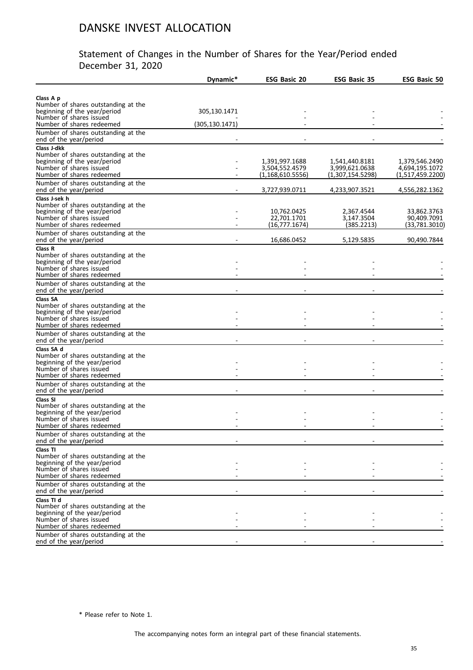### Statement of Changes in the Number of Shares for the Year/Period ended December 31, 2020

|                                                                                                                                                                                  | Dynamic*        | <b>ESG Basic 20</b>                                    | <b>ESG Basic 35</b>                                  | <b>ESG Basic 50</b>                                  |
|----------------------------------------------------------------------------------------------------------------------------------------------------------------------------------|-----------------|--------------------------------------------------------|------------------------------------------------------|------------------------------------------------------|
|                                                                                                                                                                                  |                 |                                                        |                                                      |                                                      |
| Class A p<br>Number of shares outstanding at the<br>beginning of the year/period                                                                                                 | 305,130.1471    |                                                        |                                                      |                                                      |
| Number of shares issued<br>Number of shares redeemed                                                                                                                             | (305, 130.1471) |                                                        |                                                      |                                                      |
| Number of shares outstanding at the<br>end of the year/period                                                                                                                    |                 |                                                        |                                                      |                                                      |
| Class J-dkk<br>Number of shares outstanding at the<br>beginning of the year/period<br>Number of shares issued<br>Number of shares redeemed                                       |                 | 1,391,997.1688<br>3,504,552.4579<br>(1, 168, 610.5556) | 1,541,440.8181<br>3,999,621.0638<br>(1,307,154.5298) | 1,379,546.2490<br>4,694,195.1072<br>(1,517,459.2200) |
| Number of shares outstanding at the<br>end of the year/period                                                                                                                    |                 | 3,727,939.0711                                         | 4,233,907.3521                                       | 4,556,282.1362                                       |
| Class J-sek h<br>Number of shares outstanding at the<br>beginning of the year/period<br>Number of shares issued<br>Number of shares redeemed                                     |                 | 10,762.0425<br>22,701.1701<br>(16,777.1674)            | 2,367.4544<br>3,147.3504<br>(385.2213)               | 33,862.3763<br>90,409.7091<br>(33,781.3010)          |
| Number of shares outstanding at the<br>end of the year/period                                                                                                                    |                 | 16,686.0452                                            | 5,129.5835                                           | 90,490.7844                                          |
| Class R<br>Number of shares outstanding at the<br>beginning of the year/period<br>Number of shares issued<br>Number of shares redeemed                                           |                 |                                                        |                                                      |                                                      |
| Number of shares outstanding at the<br>end of the year/period                                                                                                                    |                 |                                                        |                                                      |                                                      |
| Class SA<br>Number of shares outstanding at the<br>beginning of the year/period<br>Number of shares issued<br>Number of shares redeemed                                          |                 |                                                        |                                                      |                                                      |
| Number of shares outstanding at the<br>end of the year/period                                                                                                                    |                 |                                                        |                                                      |                                                      |
| Class SA d<br>Number of shares outstanding at the<br>beginning of the year/period<br>Number of shares issued<br>Number of shares redeemed<br>Number of shares outstanding at the |                 |                                                        |                                                      |                                                      |
| end of the year/period                                                                                                                                                           |                 |                                                        |                                                      |                                                      |
| Class SI<br>Number of shares outstanding at the<br>beginning of the year/period<br>Number of shares issued<br>Number of shares redeemed                                          |                 |                                                        |                                                      |                                                      |
| Number of shares outstanding at the<br>end of the year/period                                                                                                                    |                 |                                                        |                                                      |                                                      |
| Class TI<br>Number of shares outstanding at the<br>beginning of the year/period<br>Number of shares issued<br>Number of shares redeemed                                          |                 |                                                        |                                                      |                                                      |
| Number of shares outstanding at the<br>end of the year/period                                                                                                                    |                 |                                                        |                                                      |                                                      |
| Class TI d<br>Number of shares outstanding at the<br>beginning of the year/period<br>Number of shares issued<br>Number of shares redeemed                                        |                 |                                                        |                                                      |                                                      |
| Number of shares outstanding at the<br>end of the year/period                                                                                                                    |                 |                                                        |                                                      |                                                      |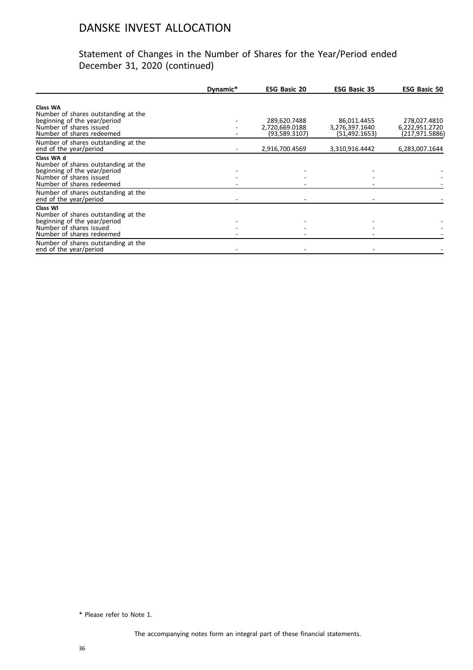### Statement of Changes in the Number of Shares for the Year/Period ended December 31, 2020 (continued)

|                                                                                                                                           | Dynamic* | <b>ESG Basic 20</b>                             | <b>ESG Basic 35</b>                              | <b>ESG Basic 50</b>                              |
|-------------------------------------------------------------------------------------------------------------------------------------------|----------|-------------------------------------------------|--------------------------------------------------|--------------------------------------------------|
| Class WA<br>Number of shares outstanding at the<br>beginning of the year/period<br>Number of shares issued<br>Number of shares redeemed   |          | 289,620.7488<br>2,720,669.0188<br>(93,589.3107) | 86,011.4455<br>3,276,397.1640<br>(51, 492, 1653) | 278,027.4810<br>6,222,951.2720<br>(217,971.5886) |
| Number of shares outstanding at the<br>end of the year/period                                                                             |          | 2,916,700.4569                                  | 3,310,916.4442                                   | 6,283,007.1644                                   |
| Class WA d<br>Number of shares outstanding at the<br>beginning of the year/period<br>Number of shares issued<br>Number of shares redeemed |          |                                                 |                                                  |                                                  |
| Number of shares outstanding at the<br>end of the year/period                                                                             |          |                                                 |                                                  |                                                  |
| Class WI<br>Number of shares outstanding at the<br>beginning of the year/period<br>Number of shares issued<br>Number of shares redeemed   |          |                                                 |                                                  |                                                  |
| Number of shares outstanding at the<br>end of the year/period                                                                             |          |                                                 |                                                  |                                                  |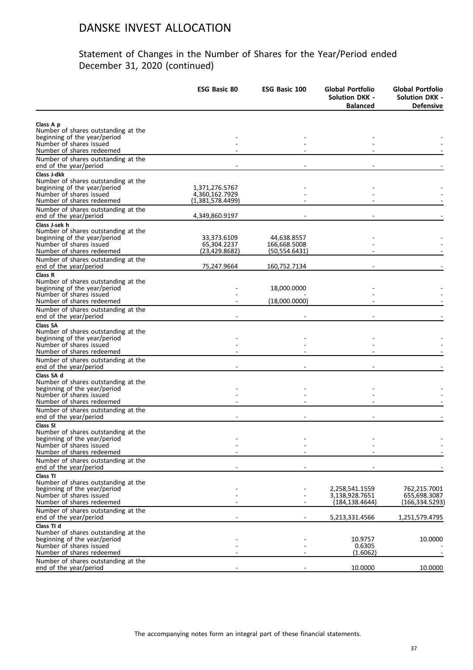|                                                               | <b>ESG Basic 80</b> | <b>ESG Basic 100</b> | Global Portfolio<br><b>Solution DKK -</b><br><b>Balanced</b> | Global Portfolio<br><b>Solution DKK -</b><br><b>Defensive</b> |
|---------------------------------------------------------------|---------------------|----------------------|--------------------------------------------------------------|---------------------------------------------------------------|
|                                                               |                     |                      |                                                              |                                                               |
| Class A p<br>Number of shares outstanding at the              |                     |                      |                                                              |                                                               |
| beginning of the year/period                                  |                     |                      |                                                              |                                                               |
| Number of shares issued                                       |                     |                      |                                                              |                                                               |
| Number of shares redeemed                                     |                     |                      |                                                              |                                                               |
| Number of shares outstanding at the<br>end of the year/period |                     |                      |                                                              |                                                               |
| Class J-dkk                                                   |                     |                      |                                                              |                                                               |
| Number of shares outstanding at the                           |                     |                      |                                                              |                                                               |
| beginning of the year/period                                  | 1,371,276.5767      |                      |                                                              |                                                               |
| Number of shares issued<br>Number of shares redeemed          | 4,360,162.7929      |                      |                                                              |                                                               |
|                                                               | (1,381,578.4499)    |                      |                                                              |                                                               |
| Number of shares outstanding at the<br>end of the year/period | 4,349,860.9197      |                      |                                                              |                                                               |
| Class J-sek h                                                 |                     |                      |                                                              |                                                               |
| Number of shares outstanding at the                           |                     |                      |                                                              |                                                               |
| beginning of the year/period                                  | 33,373.6109         | 44,638.8557          |                                                              |                                                               |
| Number of shares issued<br>Number of shares redeemed          | 65,304.2237         | 166,668.5008         |                                                              |                                                               |
|                                                               | (23,429.8682)       | (50,554.6431)        |                                                              |                                                               |
| Number of shares outstanding at the<br>end of the year/period | 75,247.9664         | 160,752.7134         |                                                              |                                                               |
| Class R                                                       |                     |                      |                                                              |                                                               |
| Number of shares outstanding at the                           |                     |                      |                                                              |                                                               |
| beginning of the year/period                                  |                     | 18,000.0000          |                                                              |                                                               |
| Number of shares issued                                       |                     | (18,000.0000)        |                                                              |                                                               |
| Number of shares redeemed                                     |                     |                      |                                                              |                                                               |
| Number of shares outstanding at the<br>end of the year/period |                     |                      |                                                              |                                                               |
| <b>Class SA</b>                                               |                     |                      |                                                              |                                                               |
| Number of shares outstanding at the                           |                     |                      |                                                              |                                                               |
| beginning of the year/period                                  |                     |                      |                                                              |                                                               |
| Number of shares issued<br>Number of shares redeemed          |                     |                      |                                                              |                                                               |
| Number of shares outstanding at the                           |                     |                      |                                                              |                                                               |
| end of the year/period                                        |                     |                      |                                                              |                                                               |
| Class SA d                                                    |                     |                      |                                                              |                                                               |
| Number of shares outstanding at the                           |                     |                      |                                                              |                                                               |
| beginning of the year/period                                  |                     |                      |                                                              |                                                               |
| Number of shares issued                                       |                     |                      |                                                              |                                                               |
| Number of shares redeemed                                     |                     |                      |                                                              |                                                               |
| Number of shares outstanding at the<br>end of the year/period |                     |                      |                                                              |                                                               |
| Class SI                                                      |                     |                      |                                                              |                                                               |
| Number of shares outstanding at the                           |                     |                      |                                                              |                                                               |
| beginning of the year/period                                  |                     |                      |                                                              |                                                               |
| Number of shares issued                                       |                     |                      |                                                              |                                                               |
| Number of shares redeemed                                     |                     |                      |                                                              |                                                               |
| Number of shares outstanding at the<br>end of the year/period |                     |                      |                                                              |                                                               |
| Class TI                                                      |                     |                      |                                                              |                                                               |
| Number of shares outstanding at the                           |                     |                      |                                                              |                                                               |
| beginning of the year/period                                  |                     |                      | 2,258,541.1559                                               | 762,215.7001                                                  |
| Number of shares issued                                       |                     |                      | 3,138,928.7651                                               | 655,698.3087                                                  |
| Number of shares redeemed                                     |                     |                      | (184, 138.4644)                                              | (166,334.5293)                                                |
| Number of shares outstanding at the                           |                     |                      |                                                              |                                                               |
| end of the year/period<br>Class TI d                          |                     |                      | 5,213,331.4566                                               | 1,251,579.4795                                                |
| Number of shares outstanding at the                           |                     |                      |                                                              |                                                               |
| beginning of the year/period                                  |                     |                      | 10.9757                                                      | 10.0000                                                       |
| Number of shares issued                                       |                     |                      | 0.6305                                                       |                                                               |
| Number of shares redeemed                                     |                     |                      | (1.6062)                                                     |                                                               |
| Number of shares outstanding at the                           |                     |                      |                                                              |                                                               |
| end of the year/period                                        |                     |                      | 10.0000                                                      | 10.0000                                                       |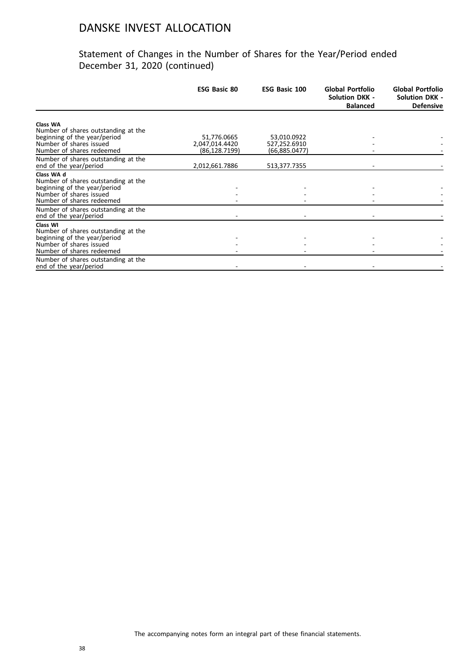|                                                               | <b>ESG Basic 80</b>             | <b>ESG Basic 100</b>          | Global Portfolio<br><b>Solution DKK -</b><br><b>Balanced</b> | Global Portfolio<br><b>Solution DKK -</b><br><b>Defensive</b> |
|---------------------------------------------------------------|---------------------------------|-------------------------------|--------------------------------------------------------------|---------------------------------------------------------------|
| <b>Class WA</b>                                               |                                 |                               |                                                              |                                                               |
| Number of shares outstanding at the                           |                                 |                               |                                                              |                                                               |
| beginning of the year/period                                  | 51,776.0665                     | 53,010.0922                   |                                                              |                                                               |
| Number of shares issued<br>Number of shares redeemed          | 2,047,014.4420<br>(86,128.7199) | 527,252.6910<br>(66,885.0477) |                                                              |                                                               |
|                                                               |                                 |                               |                                                              |                                                               |
| Number of shares outstanding at the<br>end of the year/period | 2,012,661.7886                  | 513,377.7355                  |                                                              |                                                               |
| Class WA d                                                    |                                 |                               |                                                              |                                                               |
| Number of shares outstanding at the                           |                                 |                               |                                                              |                                                               |
| beginning of the year/period                                  |                                 |                               |                                                              |                                                               |
| Number of shares issued                                       |                                 |                               |                                                              |                                                               |
| Number of shares redeemed                                     |                                 |                               |                                                              |                                                               |
| Number of shares outstanding at the                           |                                 |                               |                                                              |                                                               |
| end of the year/period                                        |                                 |                               |                                                              |                                                               |
| Class WI                                                      |                                 |                               |                                                              |                                                               |
| Number of shares outstanding at the                           |                                 |                               |                                                              |                                                               |
| beginning of the year/period<br>Number of shares issued       |                                 |                               |                                                              |                                                               |
| Number of shares redeemed                                     |                                 |                               |                                                              |                                                               |
| Number of shares outstanding at the                           |                                 |                               |                                                              |                                                               |
| end of the year/period                                        |                                 |                               |                                                              |                                                               |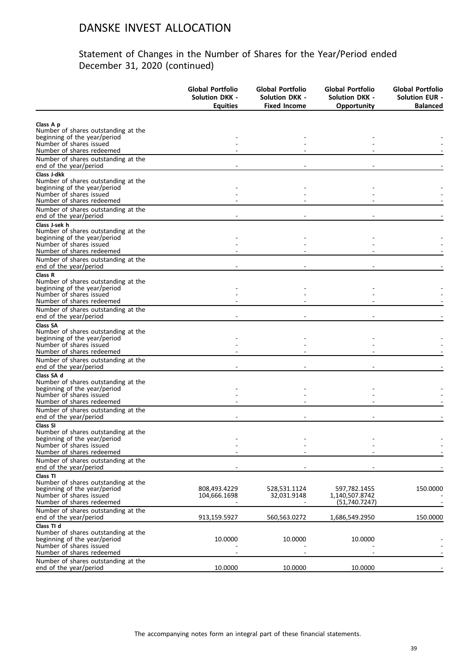|                                                                     | <b>Global Portfolio</b><br>Solution DKK -<br><b>Equities</b> | Global Portfolio<br><b>Solution DKK -</b><br><b>Fixed Income</b> | Global Portfolio<br><b>Solution DKK -</b><br>Opportunity | Global Portfolio<br><b>Solution EUR -</b><br><b>Balanced</b> |
|---------------------------------------------------------------------|--------------------------------------------------------------|------------------------------------------------------------------|----------------------------------------------------------|--------------------------------------------------------------|
|                                                                     |                                                              |                                                                  |                                                          |                                                              |
| Class A p<br>Number of shares outstanding at the                    |                                                              |                                                                  |                                                          |                                                              |
| beginning of the year/period                                        |                                                              |                                                                  |                                                          |                                                              |
| Number of shares issued                                             |                                                              |                                                                  |                                                          |                                                              |
| Number of shares redeemed                                           |                                                              |                                                                  |                                                          |                                                              |
| Number of shares outstanding at the<br>end of the year/period       |                                                              |                                                                  |                                                          |                                                              |
| Class J-dkk                                                         |                                                              |                                                                  |                                                          |                                                              |
| Number of shares outstanding at the                                 |                                                              |                                                                  |                                                          |                                                              |
| beginning of the year/period                                        |                                                              |                                                                  |                                                          |                                                              |
| Number of shares issued<br>Number of shares redeemed                |                                                              |                                                                  |                                                          |                                                              |
| Number of shares outstanding at the                                 |                                                              |                                                                  |                                                          |                                                              |
| end of the year/period                                              |                                                              |                                                                  |                                                          |                                                              |
| Class J-sek h                                                       |                                                              |                                                                  |                                                          |                                                              |
| Number of shares outstanding at the                                 |                                                              |                                                                  |                                                          |                                                              |
| beginning of the year/period<br>Number of shares issued             |                                                              |                                                                  |                                                          |                                                              |
| Number of shares redeemed                                           |                                                              |                                                                  |                                                          |                                                              |
| Number of shares outstanding at the                                 |                                                              |                                                                  |                                                          |                                                              |
| end of the year/period                                              |                                                              |                                                                  |                                                          |                                                              |
| Class R                                                             |                                                              |                                                                  |                                                          |                                                              |
| Number of shares outstanding at the<br>beginning of the year/period |                                                              |                                                                  |                                                          |                                                              |
| Number of shares issued                                             |                                                              |                                                                  |                                                          |                                                              |
| Number of shares redeemed                                           |                                                              |                                                                  |                                                          |                                                              |
| Number of shares outstanding at the<br>end of the year/period       |                                                              |                                                                  |                                                          |                                                              |
| <b>Class SA</b>                                                     |                                                              |                                                                  |                                                          |                                                              |
| Number of shares outstanding at the<br>beginning of the year/period |                                                              |                                                                  |                                                          |                                                              |
| Number of shares issued                                             |                                                              |                                                                  |                                                          |                                                              |
| Number of shares redeemed                                           |                                                              |                                                                  |                                                          |                                                              |
| Number of shares outstanding at the                                 |                                                              |                                                                  |                                                          |                                                              |
| end of the year/period                                              |                                                              |                                                                  |                                                          |                                                              |
| Class SA d<br>Number of shares outstanding at the                   |                                                              |                                                                  |                                                          |                                                              |
| beginning of the year/period                                        |                                                              |                                                                  |                                                          |                                                              |
| Number of shares issued                                             |                                                              |                                                                  |                                                          |                                                              |
| Number of shares redeemed                                           |                                                              |                                                                  |                                                          |                                                              |
| Number of shares outstanding at the<br>end of the year/period       |                                                              |                                                                  |                                                          |                                                              |
| Class SI                                                            |                                                              |                                                                  |                                                          |                                                              |
| Number of shares outstanding at the                                 |                                                              |                                                                  |                                                          |                                                              |
| beginning of the year/period                                        |                                                              |                                                                  |                                                          |                                                              |
| Number of shares issued<br>Number of shares redeemed                |                                                              |                                                                  |                                                          |                                                              |
| Number of shares outstanding at the                                 |                                                              |                                                                  |                                                          |                                                              |
| end of the year/period                                              |                                                              |                                                                  |                                                          |                                                              |
| Class TI                                                            |                                                              |                                                                  |                                                          |                                                              |
| Number of shares outstanding at the                                 |                                                              |                                                                  |                                                          |                                                              |
| beginning of the year/period                                        | 808,493.4229                                                 | 528,531.1124                                                     | 597,782.1455                                             | 150.0000                                                     |
| Number of shares issued<br>Number of shares redeemed                | 104,666.1698                                                 | 32,031.9148                                                      | 1,140,507.8742<br>(51, 740.7247)                         |                                                              |
| Number of shares outstanding at the                                 |                                                              |                                                                  |                                                          |                                                              |
| end of the year/period                                              | 913,159.5927                                                 | 560,563.0272                                                     | 1,686,549.2950                                           | 150.0000                                                     |
| Class TI d                                                          |                                                              |                                                                  |                                                          |                                                              |
| Number of shares outstanding at the                                 |                                                              |                                                                  |                                                          |                                                              |
| beginning of the year/period<br>Number of shares issued             | 10.0000                                                      | 10.0000                                                          | 10.0000                                                  |                                                              |
| Number of shares redeemed                                           |                                                              |                                                                  |                                                          |                                                              |
| Number of shares outstanding at the                                 |                                                              |                                                                  |                                                          |                                                              |
| end of the year/period                                              | 10.0000                                                      | 10.0000                                                          | 10.0000                                                  |                                                              |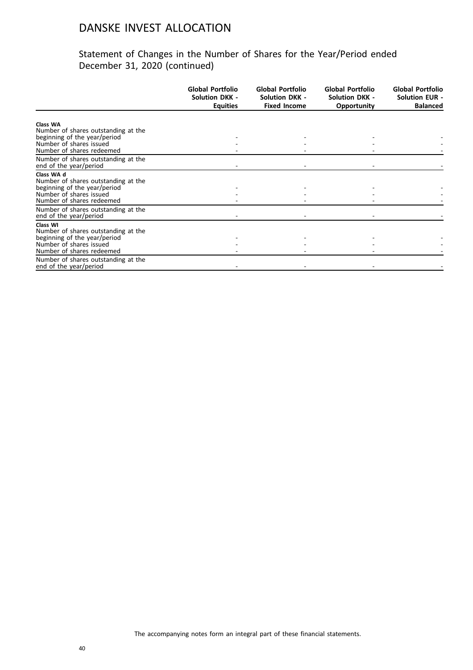|                                                               | <b>Global Portfolio</b><br><b>Solution DKK -</b><br><b>Equities</b> | Global Portfolio<br><b>Solution DKK -</b><br><b>Fixed Income</b> | Global Portfolio<br><b>Solution DKK -</b><br><b>Opportunity</b> | <b>Global Portfolio</b><br><b>Solution EUR -</b><br><b>Balanced</b> |
|---------------------------------------------------------------|---------------------------------------------------------------------|------------------------------------------------------------------|-----------------------------------------------------------------|---------------------------------------------------------------------|
|                                                               |                                                                     |                                                                  |                                                                 |                                                                     |
| <b>Class WA</b><br>Number of shares outstanding at the        |                                                                     |                                                                  |                                                                 |                                                                     |
| beginning of the year/period                                  |                                                                     |                                                                  |                                                                 |                                                                     |
| Number of shares issued                                       |                                                                     |                                                                  |                                                                 |                                                                     |
| Number of shares redeemed                                     |                                                                     |                                                                  |                                                                 |                                                                     |
| Number of shares outstanding at the                           |                                                                     |                                                                  |                                                                 |                                                                     |
| end of the year/period                                        |                                                                     |                                                                  |                                                                 |                                                                     |
| Class WA d                                                    |                                                                     |                                                                  |                                                                 |                                                                     |
| Number of shares outstanding at the                           |                                                                     |                                                                  |                                                                 |                                                                     |
| beginning of the year/period                                  |                                                                     |                                                                  |                                                                 |                                                                     |
| Number of shares issued<br>Number of shares redeemed          |                                                                     |                                                                  |                                                                 |                                                                     |
|                                                               |                                                                     |                                                                  |                                                                 |                                                                     |
| Number of shares outstanding at the<br>end of the year/period |                                                                     |                                                                  |                                                                 |                                                                     |
| Class WI                                                      |                                                                     |                                                                  |                                                                 |                                                                     |
| Number of shares outstanding at the                           |                                                                     |                                                                  |                                                                 |                                                                     |
| beginning of the year/period                                  |                                                                     |                                                                  |                                                                 |                                                                     |
| Number of shares issued                                       |                                                                     |                                                                  |                                                                 |                                                                     |
| Number of shares redeemed                                     |                                                                     |                                                                  |                                                                 |                                                                     |
| Number of shares outstanding at the                           |                                                                     |                                                                  |                                                                 |                                                                     |
| end of the year/period                                        |                                                                     |                                                                  |                                                                 |                                                                     |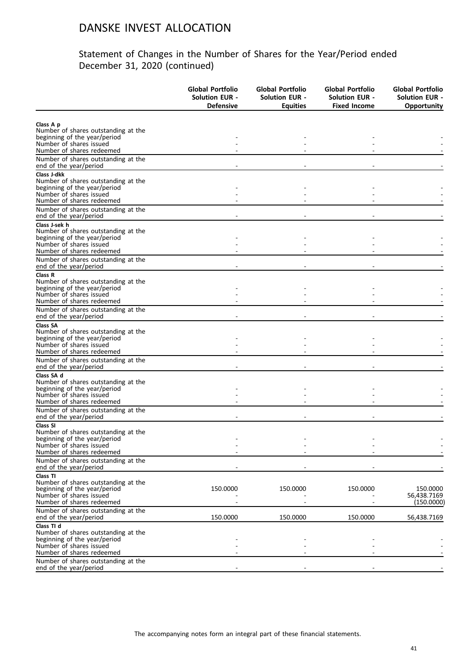|                                                                     | <b>Global Portfolio</b><br><b>Solution EUR -</b><br><b>Defensive</b> | <b>Global Portfolio</b><br><b>Solution EUR -</b><br><b>Equities</b> | Global Portfolio<br><b>Solution EUR -</b><br><b>Fixed Income</b> | Global Portfolio<br><b>Solution EUR -</b><br><b>Opportunity</b> |
|---------------------------------------------------------------------|----------------------------------------------------------------------|---------------------------------------------------------------------|------------------------------------------------------------------|-----------------------------------------------------------------|
|                                                                     |                                                                      |                                                                     |                                                                  |                                                                 |
| Class A p                                                           |                                                                      |                                                                     |                                                                  |                                                                 |
| Number of shares outstanding at the<br>beginning of the year/period |                                                                      |                                                                     |                                                                  |                                                                 |
| Number of shares issued                                             |                                                                      |                                                                     |                                                                  |                                                                 |
| Number of shares redeemed                                           |                                                                      |                                                                     |                                                                  |                                                                 |
| Number of shares outstanding at the<br>end of the year/period       |                                                                      |                                                                     |                                                                  |                                                                 |
| Class J-dkk                                                         |                                                                      |                                                                     |                                                                  |                                                                 |
| Number of shares outstanding at the                                 |                                                                      |                                                                     |                                                                  |                                                                 |
| beginning of the year/period                                        |                                                                      |                                                                     |                                                                  |                                                                 |
| Number of shares issued                                             |                                                                      |                                                                     |                                                                  |                                                                 |
| Number of shares redeemed                                           |                                                                      |                                                                     |                                                                  |                                                                 |
| Number of shares outstanding at the<br>end of the year/period       |                                                                      |                                                                     |                                                                  |                                                                 |
| Class J-sek h                                                       |                                                                      |                                                                     |                                                                  |                                                                 |
| Number of shares outstanding at the                                 |                                                                      |                                                                     |                                                                  |                                                                 |
| beginning of the year/period                                        |                                                                      |                                                                     |                                                                  |                                                                 |
| Number of shares issued                                             |                                                                      |                                                                     |                                                                  |                                                                 |
| Number of shares redeemed                                           |                                                                      |                                                                     |                                                                  |                                                                 |
| Number of shares outstanding at the<br>end of the year/period       |                                                                      |                                                                     |                                                                  |                                                                 |
| Class R                                                             |                                                                      |                                                                     |                                                                  |                                                                 |
| Number of shares outstanding at the                                 |                                                                      |                                                                     |                                                                  |                                                                 |
| beginning of the year/period                                        |                                                                      |                                                                     |                                                                  |                                                                 |
| Number of shares issued<br>Number of shares redeemed                |                                                                      |                                                                     |                                                                  |                                                                 |
|                                                                     |                                                                      |                                                                     |                                                                  |                                                                 |
| Number of shares outstanding at the<br>end of the year/period       |                                                                      |                                                                     |                                                                  |                                                                 |
| <b>Class SA</b>                                                     |                                                                      |                                                                     |                                                                  |                                                                 |
| Number of shares outstanding at the                                 |                                                                      |                                                                     |                                                                  |                                                                 |
| beginning of the year/period<br>Number of shares issued             |                                                                      |                                                                     |                                                                  |                                                                 |
| Number of shares redeemed                                           |                                                                      |                                                                     |                                                                  |                                                                 |
| Number of shares outstanding at the                                 |                                                                      |                                                                     |                                                                  |                                                                 |
| end of the year/period                                              |                                                                      |                                                                     |                                                                  |                                                                 |
| Class SA d                                                          |                                                                      |                                                                     |                                                                  |                                                                 |
| Number of shares outstanding at the                                 |                                                                      |                                                                     |                                                                  |                                                                 |
| beginning of the year/period                                        |                                                                      |                                                                     |                                                                  |                                                                 |
| Number of shares issued                                             |                                                                      |                                                                     |                                                                  |                                                                 |
| Number of shares redeemed                                           |                                                                      |                                                                     |                                                                  |                                                                 |
| Number of shares outstanding at the                                 |                                                                      |                                                                     |                                                                  |                                                                 |
| end of the year/period                                              |                                                                      |                                                                     |                                                                  |                                                                 |
| Class SI<br>Number of shares outstanding at the                     |                                                                      |                                                                     |                                                                  |                                                                 |
| beginning of the year/period                                        |                                                                      |                                                                     |                                                                  |                                                                 |
| Number of shares issued                                             |                                                                      |                                                                     |                                                                  |                                                                 |
| Number of shares redeemed                                           |                                                                      |                                                                     |                                                                  |                                                                 |
| Number of shares outstanding at the<br>end of the year/period       |                                                                      |                                                                     |                                                                  |                                                                 |
| Class TI                                                            |                                                                      |                                                                     |                                                                  |                                                                 |
| Number of shares outstanding at the                                 |                                                                      |                                                                     |                                                                  |                                                                 |
| beginning of the year/period                                        | 150.0000                                                             | 150.0000                                                            | 150.0000                                                         | 150.0000                                                        |
| Number of shares issued                                             |                                                                      |                                                                     |                                                                  | 56,438.7169                                                     |
| Number of shares redeemed                                           |                                                                      |                                                                     |                                                                  | (150.0000)                                                      |
| Number of shares outstanding at the                                 |                                                                      |                                                                     |                                                                  |                                                                 |
| end of the year/period                                              | 150.0000                                                             | 150.0000                                                            | 150.0000                                                         | 56,438.7169                                                     |
| Class TI d                                                          |                                                                      |                                                                     |                                                                  |                                                                 |
| Number of shares outstanding at the                                 |                                                                      |                                                                     |                                                                  |                                                                 |
| beginning of the year/period<br>Number of shares issued             |                                                                      |                                                                     |                                                                  |                                                                 |
| Number of shares redeemed                                           |                                                                      |                                                                     |                                                                  |                                                                 |
| Number of shares outstanding at the                                 |                                                                      |                                                                     |                                                                  |                                                                 |
| end of the year/period                                              |                                                                      |                                                                     |                                                                  |                                                                 |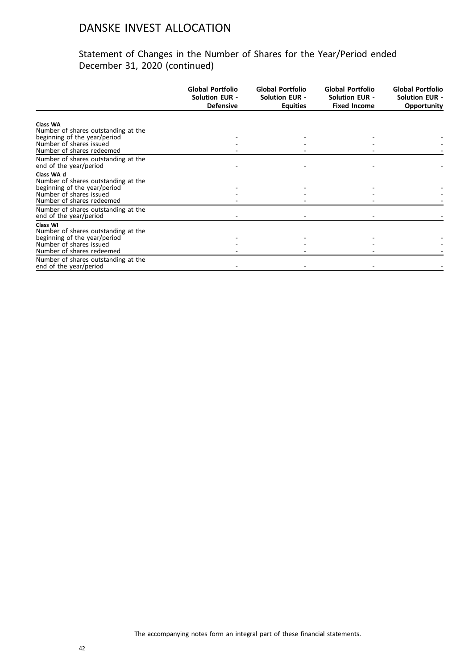|                                                                     | Global Portfolio<br><b>Solution EUR -</b><br><b>Defensive</b> | Global Portfolio<br><b>Solution EUR -</b><br><b>Equities</b> | Global Portfolio<br><b>Solution EUR -</b><br><b>Fixed Income</b> | Global Portfolio<br><b>Solution EUR -</b><br>Opportunity |
|---------------------------------------------------------------------|---------------------------------------------------------------|--------------------------------------------------------------|------------------------------------------------------------------|----------------------------------------------------------|
|                                                                     |                                                               |                                                              |                                                                  |                                                          |
| Class WA<br>Number of shares outstanding at the                     |                                                               |                                                              |                                                                  |                                                          |
| beginning of the year/period                                        |                                                               |                                                              |                                                                  |                                                          |
| Number of shares issued                                             |                                                               |                                                              |                                                                  |                                                          |
| Number of shares redeemed                                           |                                                               |                                                              |                                                                  |                                                          |
| Number of shares outstanding at the                                 |                                                               |                                                              |                                                                  |                                                          |
| end of the year/period                                              |                                                               |                                                              |                                                                  |                                                          |
| Class WA d                                                          |                                                               |                                                              |                                                                  |                                                          |
| Number of shares outstanding at the<br>beginning of the year/period |                                                               |                                                              |                                                                  |                                                          |
| Number of shares issued                                             |                                                               |                                                              |                                                                  |                                                          |
| Number of shares redeemed                                           |                                                               |                                                              |                                                                  |                                                          |
| Number of shares outstanding at the                                 |                                                               |                                                              |                                                                  |                                                          |
| end of the year/period                                              |                                                               |                                                              |                                                                  |                                                          |
| Class WI                                                            |                                                               |                                                              |                                                                  |                                                          |
| Number of shares outstanding at the                                 |                                                               |                                                              |                                                                  |                                                          |
| beginning of the year/period<br>Number of shares issued             |                                                               |                                                              |                                                                  |                                                          |
| Number of shares redeemed                                           |                                                               |                                                              |                                                                  |                                                          |
| Number of shares outstanding at the                                 |                                                               |                                                              |                                                                  |                                                          |
| end of the year/period                                              |                                                               |                                                              |                                                                  |                                                          |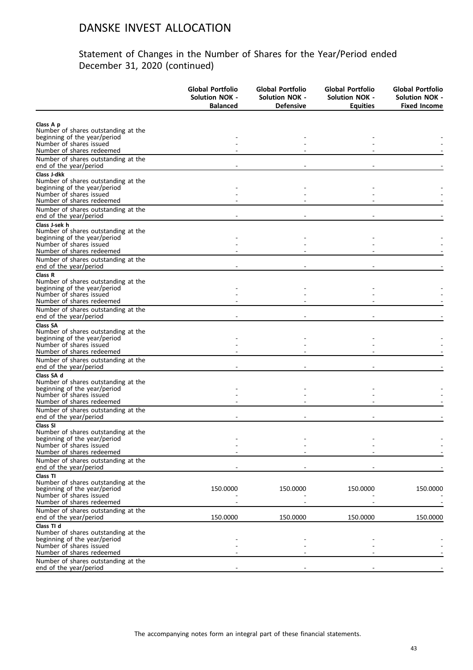| Class A p<br>Number of shares outstanding at the<br>Number of shares redeemed<br>Number of shares outstanding at the<br>end of the year/period<br>Class J-dkk<br>beginning of the year/period<br>Number of shares issued<br>Number of shares redeemed<br>Number of shares outstanding at the<br>beginning of the year/period<br>Number of shares issued<br>Number of shares redeemed<br>Number of shares outstanding at the<br>Number of shares outstanding at the<br>beginning of the year/period<br>Number of shares issued<br>Number of shares outstanding at the<br>beginning of the year/period<br>Number of shares issued<br>Number of shares outstanding at the<br>beginning of the year/period<br>Number of shares issued<br>end of the year/period<br>Number of shares outstanding at the<br>beginning of the year/period<br>Number of shares outstanding at the<br>end of the year/period<br>Class TI<br>Number of shares outstanding at the<br>150.0000<br>150.0000<br>150.0000<br>150.0000<br>Number of shares redeemed<br>Number of shares outstanding at the<br>150.0000<br>150.0000<br>150.0000<br>150.0000<br>end of the year/period<br>Class TI d<br>Number of shares outstanding at the |                                                               | <b>Global Portfolio</b><br><b>Solution NOK -</b><br><b>Balanced</b> | Global Portfolio<br><b>Solution NOK -</b><br><b>Defensive</b> | Global Portfolio<br><b>Solution NOK -</b><br><b>Equities</b> | <b>Global Portfolio</b><br><b>Solution NOK -</b><br><b>Fixed Income</b> |
|-----------------------------------------------------------------------------------------------------------------------------------------------------------------------------------------------------------------------------------------------------------------------------------------------------------------------------------------------------------------------------------------------------------------------------------------------------------------------------------------------------------------------------------------------------------------------------------------------------------------------------------------------------------------------------------------------------------------------------------------------------------------------------------------------------------------------------------------------------------------------------------------------------------------------------------------------------------------------------------------------------------------------------------------------------------------------------------------------------------------------------------------------------------------------------------------------------------|---------------------------------------------------------------|---------------------------------------------------------------------|---------------------------------------------------------------|--------------------------------------------------------------|-------------------------------------------------------------------------|
|                                                                                                                                                                                                                                                                                                                                                                                                                                                                                                                                                                                                                                                                                                                                                                                                                                                                                                                                                                                                                                                                                                                                                                                                           |                                                               |                                                                     |                                                               |                                                              |                                                                         |
|                                                                                                                                                                                                                                                                                                                                                                                                                                                                                                                                                                                                                                                                                                                                                                                                                                                                                                                                                                                                                                                                                                                                                                                                           |                                                               |                                                                     |                                                               |                                                              |                                                                         |
|                                                                                                                                                                                                                                                                                                                                                                                                                                                                                                                                                                                                                                                                                                                                                                                                                                                                                                                                                                                                                                                                                                                                                                                                           | beginning of the year/period                                  |                                                                     |                                                               |                                                              |                                                                         |
|                                                                                                                                                                                                                                                                                                                                                                                                                                                                                                                                                                                                                                                                                                                                                                                                                                                                                                                                                                                                                                                                                                                                                                                                           | Number of shares issued                                       |                                                                     |                                                               |                                                              |                                                                         |
|                                                                                                                                                                                                                                                                                                                                                                                                                                                                                                                                                                                                                                                                                                                                                                                                                                                                                                                                                                                                                                                                                                                                                                                                           |                                                               |                                                                     |                                                               |                                                              |                                                                         |
|                                                                                                                                                                                                                                                                                                                                                                                                                                                                                                                                                                                                                                                                                                                                                                                                                                                                                                                                                                                                                                                                                                                                                                                                           |                                                               |                                                                     |                                                               |                                                              |                                                                         |
|                                                                                                                                                                                                                                                                                                                                                                                                                                                                                                                                                                                                                                                                                                                                                                                                                                                                                                                                                                                                                                                                                                                                                                                                           |                                                               |                                                                     |                                                               |                                                              |                                                                         |
|                                                                                                                                                                                                                                                                                                                                                                                                                                                                                                                                                                                                                                                                                                                                                                                                                                                                                                                                                                                                                                                                                                                                                                                                           | Number of shares outstanding at the                           |                                                                     |                                                               |                                                              |                                                                         |
|                                                                                                                                                                                                                                                                                                                                                                                                                                                                                                                                                                                                                                                                                                                                                                                                                                                                                                                                                                                                                                                                                                                                                                                                           |                                                               |                                                                     |                                                               |                                                              |                                                                         |
|                                                                                                                                                                                                                                                                                                                                                                                                                                                                                                                                                                                                                                                                                                                                                                                                                                                                                                                                                                                                                                                                                                                                                                                                           |                                                               |                                                                     |                                                               |                                                              |                                                                         |
|                                                                                                                                                                                                                                                                                                                                                                                                                                                                                                                                                                                                                                                                                                                                                                                                                                                                                                                                                                                                                                                                                                                                                                                                           |                                                               |                                                                     |                                                               |                                                              |                                                                         |
|                                                                                                                                                                                                                                                                                                                                                                                                                                                                                                                                                                                                                                                                                                                                                                                                                                                                                                                                                                                                                                                                                                                                                                                                           | end of the year/period                                        |                                                                     |                                                               |                                                              |                                                                         |
|                                                                                                                                                                                                                                                                                                                                                                                                                                                                                                                                                                                                                                                                                                                                                                                                                                                                                                                                                                                                                                                                                                                                                                                                           | Class J-sek h                                                 |                                                                     |                                                               |                                                              |                                                                         |
|                                                                                                                                                                                                                                                                                                                                                                                                                                                                                                                                                                                                                                                                                                                                                                                                                                                                                                                                                                                                                                                                                                                                                                                                           | Number of shares outstanding at the                           |                                                                     |                                                               |                                                              |                                                                         |
|                                                                                                                                                                                                                                                                                                                                                                                                                                                                                                                                                                                                                                                                                                                                                                                                                                                                                                                                                                                                                                                                                                                                                                                                           |                                                               |                                                                     |                                                               |                                                              |                                                                         |
|                                                                                                                                                                                                                                                                                                                                                                                                                                                                                                                                                                                                                                                                                                                                                                                                                                                                                                                                                                                                                                                                                                                                                                                                           |                                                               |                                                                     |                                                               |                                                              |                                                                         |
|                                                                                                                                                                                                                                                                                                                                                                                                                                                                                                                                                                                                                                                                                                                                                                                                                                                                                                                                                                                                                                                                                                                                                                                                           |                                                               |                                                                     |                                                               |                                                              |                                                                         |
|                                                                                                                                                                                                                                                                                                                                                                                                                                                                                                                                                                                                                                                                                                                                                                                                                                                                                                                                                                                                                                                                                                                                                                                                           | end of the year/period                                        |                                                                     |                                                               |                                                              |                                                                         |
|                                                                                                                                                                                                                                                                                                                                                                                                                                                                                                                                                                                                                                                                                                                                                                                                                                                                                                                                                                                                                                                                                                                                                                                                           | Class R                                                       |                                                                     |                                                               |                                                              |                                                                         |
|                                                                                                                                                                                                                                                                                                                                                                                                                                                                                                                                                                                                                                                                                                                                                                                                                                                                                                                                                                                                                                                                                                                                                                                                           |                                                               |                                                                     |                                                               |                                                              |                                                                         |
|                                                                                                                                                                                                                                                                                                                                                                                                                                                                                                                                                                                                                                                                                                                                                                                                                                                                                                                                                                                                                                                                                                                                                                                                           |                                                               |                                                                     |                                                               |                                                              |                                                                         |
|                                                                                                                                                                                                                                                                                                                                                                                                                                                                                                                                                                                                                                                                                                                                                                                                                                                                                                                                                                                                                                                                                                                                                                                                           | Number of shares redeemed                                     |                                                                     |                                                               |                                                              |                                                                         |
|                                                                                                                                                                                                                                                                                                                                                                                                                                                                                                                                                                                                                                                                                                                                                                                                                                                                                                                                                                                                                                                                                                                                                                                                           | Number of shares outstanding at the<br>end of the year/period |                                                                     |                                                               |                                                              |                                                                         |
|                                                                                                                                                                                                                                                                                                                                                                                                                                                                                                                                                                                                                                                                                                                                                                                                                                                                                                                                                                                                                                                                                                                                                                                                           | <b>Class SA</b>                                               |                                                                     |                                                               |                                                              |                                                                         |
|                                                                                                                                                                                                                                                                                                                                                                                                                                                                                                                                                                                                                                                                                                                                                                                                                                                                                                                                                                                                                                                                                                                                                                                                           |                                                               |                                                                     |                                                               |                                                              |                                                                         |
|                                                                                                                                                                                                                                                                                                                                                                                                                                                                                                                                                                                                                                                                                                                                                                                                                                                                                                                                                                                                                                                                                                                                                                                                           |                                                               |                                                                     |                                                               |                                                              |                                                                         |
|                                                                                                                                                                                                                                                                                                                                                                                                                                                                                                                                                                                                                                                                                                                                                                                                                                                                                                                                                                                                                                                                                                                                                                                                           | Number of shares redeemed                                     |                                                                     |                                                               |                                                              |                                                                         |
|                                                                                                                                                                                                                                                                                                                                                                                                                                                                                                                                                                                                                                                                                                                                                                                                                                                                                                                                                                                                                                                                                                                                                                                                           | Number of shares outstanding at the                           |                                                                     |                                                               |                                                              |                                                                         |
|                                                                                                                                                                                                                                                                                                                                                                                                                                                                                                                                                                                                                                                                                                                                                                                                                                                                                                                                                                                                                                                                                                                                                                                                           | end of the year/period                                        |                                                                     |                                                               |                                                              |                                                                         |
|                                                                                                                                                                                                                                                                                                                                                                                                                                                                                                                                                                                                                                                                                                                                                                                                                                                                                                                                                                                                                                                                                                                                                                                                           | Class SA d                                                    |                                                                     |                                                               |                                                              |                                                                         |
|                                                                                                                                                                                                                                                                                                                                                                                                                                                                                                                                                                                                                                                                                                                                                                                                                                                                                                                                                                                                                                                                                                                                                                                                           |                                                               |                                                                     |                                                               |                                                              |                                                                         |
|                                                                                                                                                                                                                                                                                                                                                                                                                                                                                                                                                                                                                                                                                                                                                                                                                                                                                                                                                                                                                                                                                                                                                                                                           |                                                               |                                                                     |                                                               |                                                              |                                                                         |
|                                                                                                                                                                                                                                                                                                                                                                                                                                                                                                                                                                                                                                                                                                                                                                                                                                                                                                                                                                                                                                                                                                                                                                                                           | Number of shares redeemed                                     |                                                                     |                                                               |                                                              |                                                                         |
|                                                                                                                                                                                                                                                                                                                                                                                                                                                                                                                                                                                                                                                                                                                                                                                                                                                                                                                                                                                                                                                                                                                                                                                                           | Number of shares outstanding at the                           |                                                                     |                                                               |                                                              |                                                                         |
|                                                                                                                                                                                                                                                                                                                                                                                                                                                                                                                                                                                                                                                                                                                                                                                                                                                                                                                                                                                                                                                                                                                                                                                                           |                                                               |                                                                     |                                                               |                                                              |                                                                         |
|                                                                                                                                                                                                                                                                                                                                                                                                                                                                                                                                                                                                                                                                                                                                                                                                                                                                                                                                                                                                                                                                                                                                                                                                           | Class SI                                                      |                                                                     |                                                               |                                                              |                                                                         |
|                                                                                                                                                                                                                                                                                                                                                                                                                                                                                                                                                                                                                                                                                                                                                                                                                                                                                                                                                                                                                                                                                                                                                                                                           |                                                               |                                                                     |                                                               |                                                              |                                                                         |
|                                                                                                                                                                                                                                                                                                                                                                                                                                                                                                                                                                                                                                                                                                                                                                                                                                                                                                                                                                                                                                                                                                                                                                                                           | Number of shares issued                                       |                                                                     |                                                               |                                                              |                                                                         |
|                                                                                                                                                                                                                                                                                                                                                                                                                                                                                                                                                                                                                                                                                                                                                                                                                                                                                                                                                                                                                                                                                                                                                                                                           | Number of shares redeemed                                     |                                                                     |                                                               |                                                              |                                                                         |
|                                                                                                                                                                                                                                                                                                                                                                                                                                                                                                                                                                                                                                                                                                                                                                                                                                                                                                                                                                                                                                                                                                                                                                                                           |                                                               |                                                                     |                                                               |                                                              |                                                                         |
|                                                                                                                                                                                                                                                                                                                                                                                                                                                                                                                                                                                                                                                                                                                                                                                                                                                                                                                                                                                                                                                                                                                                                                                                           |                                                               |                                                                     |                                                               |                                                              |                                                                         |
|                                                                                                                                                                                                                                                                                                                                                                                                                                                                                                                                                                                                                                                                                                                                                                                                                                                                                                                                                                                                                                                                                                                                                                                                           |                                                               |                                                                     |                                                               |                                                              |                                                                         |
|                                                                                                                                                                                                                                                                                                                                                                                                                                                                                                                                                                                                                                                                                                                                                                                                                                                                                                                                                                                                                                                                                                                                                                                                           | beginning of the year/period                                  |                                                                     |                                                               |                                                              |                                                                         |
|                                                                                                                                                                                                                                                                                                                                                                                                                                                                                                                                                                                                                                                                                                                                                                                                                                                                                                                                                                                                                                                                                                                                                                                                           | Number of shares issued                                       |                                                                     |                                                               |                                                              |                                                                         |
|                                                                                                                                                                                                                                                                                                                                                                                                                                                                                                                                                                                                                                                                                                                                                                                                                                                                                                                                                                                                                                                                                                                                                                                                           |                                                               |                                                                     |                                                               |                                                              |                                                                         |
|                                                                                                                                                                                                                                                                                                                                                                                                                                                                                                                                                                                                                                                                                                                                                                                                                                                                                                                                                                                                                                                                                                                                                                                                           |                                                               |                                                                     |                                                               |                                                              |                                                                         |
|                                                                                                                                                                                                                                                                                                                                                                                                                                                                                                                                                                                                                                                                                                                                                                                                                                                                                                                                                                                                                                                                                                                                                                                                           |                                                               |                                                                     |                                                               |                                                              |                                                                         |
|                                                                                                                                                                                                                                                                                                                                                                                                                                                                                                                                                                                                                                                                                                                                                                                                                                                                                                                                                                                                                                                                                                                                                                                                           |                                                               |                                                                     |                                                               |                                                              |                                                                         |
|                                                                                                                                                                                                                                                                                                                                                                                                                                                                                                                                                                                                                                                                                                                                                                                                                                                                                                                                                                                                                                                                                                                                                                                                           | beginning of the year/period                                  |                                                                     |                                                               |                                                              |                                                                         |
|                                                                                                                                                                                                                                                                                                                                                                                                                                                                                                                                                                                                                                                                                                                                                                                                                                                                                                                                                                                                                                                                                                                                                                                                           | Number of shares issued                                       |                                                                     |                                                               |                                                              |                                                                         |
|                                                                                                                                                                                                                                                                                                                                                                                                                                                                                                                                                                                                                                                                                                                                                                                                                                                                                                                                                                                                                                                                                                                                                                                                           | Number of shares redeemed                                     |                                                                     |                                                               |                                                              |                                                                         |
|                                                                                                                                                                                                                                                                                                                                                                                                                                                                                                                                                                                                                                                                                                                                                                                                                                                                                                                                                                                                                                                                                                                                                                                                           | Number of shares outstanding at the<br>end of the year/period |                                                                     |                                                               |                                                              |                                                                         |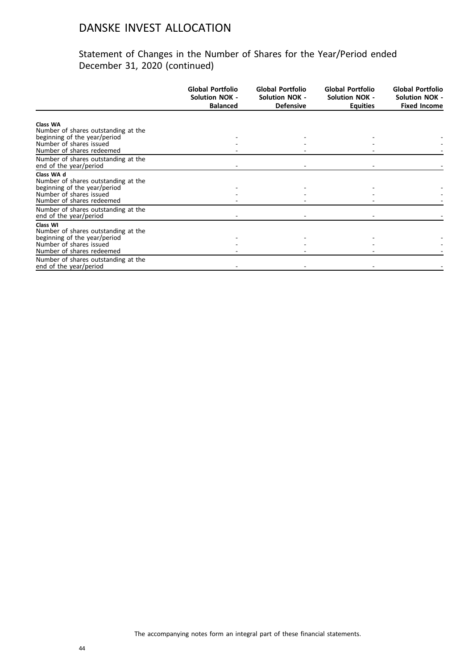|                                                         | <b>Global Portfolio</b><br><b>Solution NOK -</b><br><b>Balanced</b> | Global Portfolio<br><b>Solution NOK -</b><br><b>Defensive</b> | Global Portfolio<br><b>Solution NOK -</b><br><b>Equities</b> | Global Portfolio<br><b>Solution NOK -</b><br><b>Fixed Income</b> |
|---------------------------------------------------------|---------------------------------------------------------------------|---------------------------------------------------------------|--------------------------------------------------------------|------------------------------------------------------------------|
|                                                         |                                                                     |                                                               |                                                              |                                                                  |
| <b>Class WA</b><br>Number of shares outstanding at the  |                                                                     |                                                               |                                                              |                                                                  |
| beginning of the year/period                            |                                                                     |                                                               |                                                              |                                                                  |
| Number of shares issued                                 |                                                                     |                                                               |                                                              |                                                                  |
| Number of shares redeemed                               |                                                                     |                                                               |                                                              |                                                                  |
| Number of shares outstanding at the                     |                                                                     |                                                               |                                                              |                                                                  |
| end of the year/period                                  |                                                                     |                                                               |                                                              |                                                                  |
| Class WA d                                              |                                                                     |                                                               |                                                              |                                                                  |
| Number of shares outstanding at the                     |                                                                     |                                                               |                                                              |                                                                  |
| beginning of the year/period<br>Number of shares issued |                                                                     |                                                               |                                                              |                                                                  |
| Number of shares redeemed                               |                                                                     |                                                               |                                                              |                                                                  |
| Number of shares outstanding at the                     |                                                                     |                                                               |                                                              |                                                                  |
| end of the year/period                                  |                                                                     |                                                               |                                                              |                                                                  |
| Class WI                                                |                                                                     |                                                               |                                                              |                                                                  |
| Number of shares outstanding at the                     |                                                                     |                                                               |                                                              |                                                                  |
| beginning of the year/period                            |                                                                     |                                                               |                                                              |                                                                  |
| Number of shares issued                                 |                                                                     |                                                               |                                                              |                                                                  |
| Number of shares redeemed                               |                                                                     |                                                               |                                                              |                                                                  |
| Number of shares outstanding at the                     |                                                                     |                                                               |                                                              |                                                                  |
| end of the year/period                                  |                                                                     |                                                               |                                                              |                                                                  |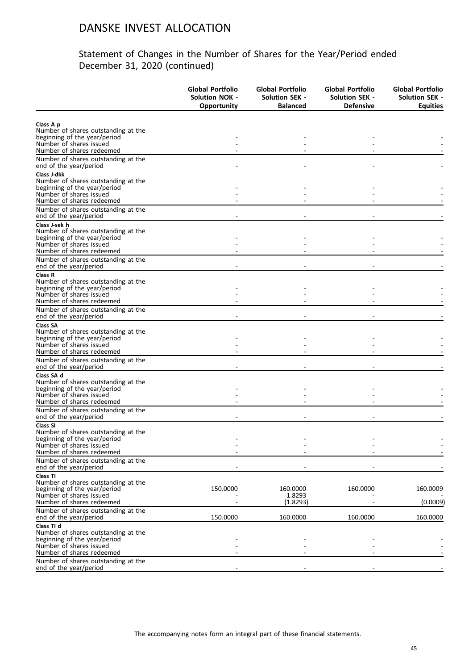|                                                                     | <b>Global Portfolio</b><br><b>Solution NOK -</b><br>Opportunity | Global Portfolio<br><b>Solution SEK -</b><br><b>Balanced</b> | Global Portfolio<br><b>Solution SEK -</b><br><b>Defensive</b> | Global Portfolio<br><b>Solution SEK -</b><br><b>Equities</b> |
|---------------------------------------------------------------------|-----------------------------------------------------------------|--------------------------------------------------------------|---------------------------------------------------------------|--------------------------------------------------------------|
|                                                                     |                                                                 |                                                              |                                                               |                                                              |
| Class A p                                                           |                                                                 |                                                              |                                                               |                                                              |
| Number of shares outstanding at the<br>beginning of the year/period |                                                                 |                                                              |                                                               |                                                              |
| Number of shares issued                                             |                                                                 |                                                              |                                                               |                                                              |
| Number of shares redeemed                                           |                                                                 |                                                              |                                                               |                                                              |
| Number of shares outstanding at the<br>end of the year/period       |                                                                 |                                                              |                                                               |                                                              |
| Class J-dkk                                                         |                                                                 |                                                              |                                                               |                                                              |
| Number of shares outstanding at the                                 |                                                                 |                                                              |                                                               |                                                              |
| beginning of the year/period<br>Number of shares issued             |                                                                 |                                                              |                                                               |                                                              |
| Number of shares redeemed                                           |                                                                 |                                                              |                                                               |                                                              |
| Number of shares outstanding at the                                 |                                                                 |                                                              |                                                               |                                                              |
| end of the year/period                                              |                                                                 |                                                              |                                                               |                                                              |
| Class J-sek h                                                       |                                                                 |                                                              |                                                               |                                                              |
| Number of shares outstanding at the                                 |                                                                 |                                                              |                                                               |                                                              |
| beginning of the year/period<br>Number of shares issued             |                                                                 |                                                              |                                                               |                                                              |
| Number of shares redeemed                                           |                                                                 |                                                              |                                                               |                                                              |
| Number of shares outstanding at the                                 |                                                                 |                                                              |                                                               |                                                              |
| end of the year/period                                              |                                                                 |                                                              |                                                               |                                                              |
| Class R                                                             |                                                                 |                                                              |                                                               |                                                              |
| Number of shares outstanding at the                                 |                                                                 |                                                              |                                                               |                                                              |
| beginning of the year/period<br>Number of shares issued             |                                                                 |                                                              |                                                               |                                                              |
| Number of shares redeemed                                           |                                                                 |                                                              |                                                               |                                                              |
| Number of shares outstanding at the                                 |                                                                 |                                                              |                                                               |                                                              |
| end of the year/period                                              |                                                                 |                                                              |                                                               |                                                              |
| <b>Class SA</b>                                                     |                                                                 |                                                              |                                                               |                                                              |
| Number of shares outstanding at the                                 |                                                                 |                                                              |                                                               |                                                              |
| beginning of the year/period<br>Number of shares issued             |                                                                 |                                                              |                                                               |                                                              |
| Number of shares redeemed                                           |                                                                 |                                                              |                                                               |                                                              |
| Number of shares outstanding at the                                 |                                                                 |                                                              |                                                               |                                                              |
| end of the year/period                                              |                                                                 |                                                              |                                                               |                                                              |
| Class SA d                                                          |                                                                 |                                                              |                                                               |                                                              |
| Number of shares outstanding at the                                 |                                                                 |                                                              |                                                               |                                                              |
| beginning of the year/period<br>Number of shares issued             |                                                                 |                                                              |                                                               |                                                              |
| Number of shares redeemed                                           |                                                                 |                                                              |                                                               |                                                              |
| Number of shares outstanding at the                                 |                                                                 |                                                              |                                                               |                                                              |
| end of the year/period                                              |                                                                 |                                                              |                                                               |                                                              |
| Class SI                                                            |                                                                 |                                                              |                                                               |                                                              |
| Number of shares outstanding at the<br>beginning of the year/period |                                                                 |                                                              |                                                               |                                                              |
| Number of shares issued                                             |                                                                 |                                                              |                                                               |                                                              |
| Number of shares redeemed                                           |                                                                 |                                                              |                                                               |                                                              |
| Number of shares outstanding at the<br>end of the year/period       |                                                                 |                                                              |                                                               |                                                              |
| Class TI                                                            |                                                                 |                                                              |                                                               |                                                              |
| Number of shares outstanding at the                                 |                                                                 |                                                              |                                                               |                                                              |
| beginning of the year/period                                        | 150.0000                                                        | 160.0000                                                     | 160.0000                                                      | 160.0009                                                     |
| Number of shares issued<br>Number of shares redeemed                |                                                                 | 1.8293                                                       |                                                               | (0.0009)                                                     |
|                                                                     |                                                                 | (1.8293)                                                     |                                                               |                                                              |
| Number of shares outstanding at the<br>end of the year/period       | 150.0000                                                        | 160.0000                                                     | 160.0000                                                      | 160.0000                                                     |
| Class TI d                                                          |                                                                 |                                                              |                                                               |                                                              |
| Number of shares outstanding at the                                 |                                                                 |                                                              |                                                               |                                                              |
| beginning of the year/period                                        |                                                                 |                                                              |                                                               |                                                              |
| Number of shares issued                                             |                                                                 |                                                              |                                                               |                                                              |
| Number of shares redeemed<br>Number of shares outstanding at the    |                                                                 |                                                              |                                                               |                                                              |
| end of the year/period                                              |                                                                 |                                                              |                                                               |                                                              |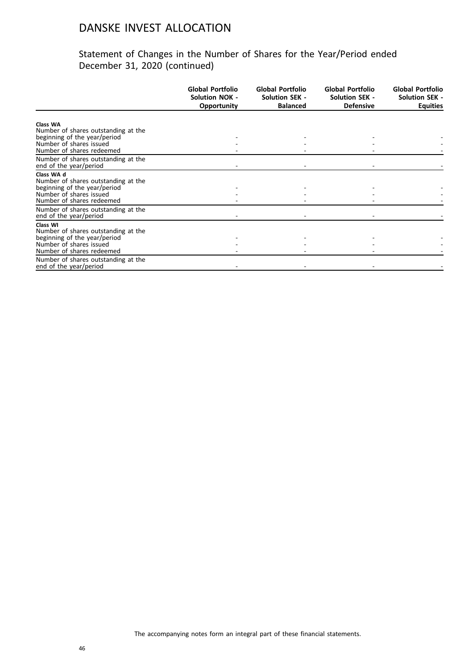|                                                                     | Global Portfolio<br><b>Solution NOK -</b><br><b>Opportunity</b> | Global Portfolio<br><b>Solution SEK -</b><br><b>Balanced</b> | Global Portfolio<br><b>Solution SEK -</b><br><b>Defensive</b> | Global Portfolio<br><b>Solution SEK -</b><br><b>Equities</b> |
|---------------------------------------------------------------------|-----------------------------------------------------------------|--------------------------------------------------------------|---------------------------------------------------------------|--------------------------------------------------------------|
|                                                                     |                                                                 |                                                              |                                                               |                                                              |
| Class WA<br>Number of shares outstanding at the                     |                                                                 |                                                              |                                                               |                                                              |
| beginning of the year/period                                        |                                                                 |                                                              |                                                               |                                                              |
| Number of shares issued                                             |                                                                 |                                                              |                                                               |                                                              |
| Number of shares redeemed                                           |                                                                 |                                                              |                                                               |                                                              |
| Number of shares outstanding at the<br>end of the year/period       |                                                                 |                                                              |                                                               |                                                              |
|                                                                     |                                                                 |                                                              |                                                               |                                                              |
| Class WA d<br>Number of shares outstanding at the                   |                                                                 |                                                              |                                                               |                                                              |
| beginning of the year/period                                        |                                                                 |                                                              |                                                               |                                                              |
| Number of shares issued                                             |                                                                 |                                                              |                                                               |                                                              |
| Number of shares redeemed                                           |                                                                 |                                                              |                                                               |                                                              |
| Number of shares outstanding at the                                 |                                                                 |                                                              |                                                               |                                                              |
| end of the year/period                                              |                                                                 |                                                              |                                                               |                                                              |
| Class WI                                                            |                                                                 |                                                              |                                                               |                                                              |
| Number of shares outstanding at the<br>beginning of the year/period |                                                                 |                                                              |                                                               |                                                              |
| Number of shares issued                                             |                                                                 |                                                              |                                                               |                                                              |
| Number of shares redeemed                                           |                                                                 |                                                              |                                                               |                                                              |
| Number of shares outstanding at the                                 |                                                                 |                                                              |                                                               |                                                              |
| end of the year/period                                              |                                                                 |                                                              |                                                               |                                                              |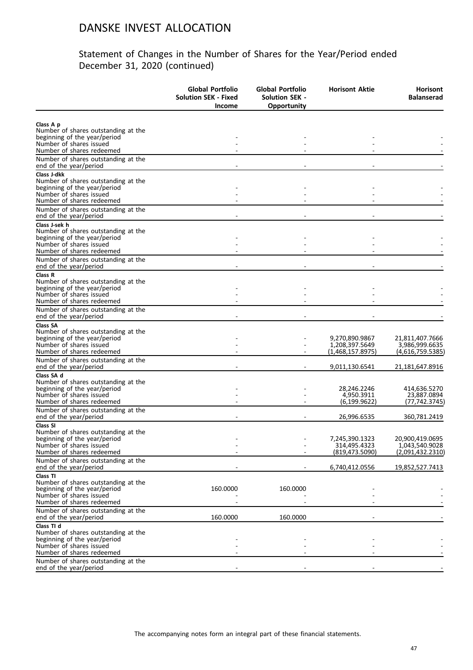| Class A p<br>Number of shares outstanding at the<br>beginning of the year/period<br>Number of shares issued<br>Number of shares redeemed<br>Number of shares outstanding at the<br>end of the year/period<br>Class J-dkk<br>Number of shares outstanding at the<br>beginning of the year/period<br>Number of shares issued<br>Number of shares redeemed<br>Number of shares outstanding at the<br>end of the year/period<br>Class J-sek h<br>Number of shares outstanding at the<br>beginning of the year/period<br>Number of shares issued<br>Number of shares redeemed<br>Number of shares outstanding at the<br>end of the year/period<br>Class R<br>Number of shares outstanding at the<br>beginning of the year/period<br>Number of shares issued<br>Number of shares redeemed<br>Number of shares outstanding at the<br>end of the year/period<br><b>Class SA</b><br>Number of shares outstanding at the<br>beginning of the year/period<br>9,270,890.9867<br>21,811,407.7666<br>Number of shares issued<br>1,208,397.5649<br>3,986,999.6635<br>Number of shares redeemed<br>(1,468,157.8975)<br>(4,616,759.5385)<br>Number of shares outstanding at the<br>end of the year/period<br>9,011,130.6541<br>21,181,647.8916<br>Class SA d<br>Number of shares outstanding at the<br>beginning of the year/period<br>28,246.2246<br>414,636.5270<br>Number of shares issued<br>4,950.3911<br>23,887.0894<br>Number of shares redeemed<br>(6, 199.9622)<br>(77,742.3745)<br>Number of shares outstanding at the<br>end of the year/period<br>26,996.6535<br>360,781.2419<br>Class SI<br>Number of shares outstanding at the<br>7,245,390.1323<br>20,900,419.0695<br>beginning of the year/period<br>314,495.4323<br>1,043,540.9028<br>Number of shares issued<br>Number of shares redeemed<br>(819, 473.5090)<br>(2,091,432.2310)<br>Number of shares outstanding at the<br>end of the year/period<br>6,740,412.0556<br>19,852,527.7413<br>Class TI<br>Number of shares outstanding at the<br>beginning of the year/period<br>160.0000<br>160.0000<br>Number of shares issued<br>Number of shares redeemed<br>Number of shares outstanding at the<br>end of the year/period<br>160.0000<br>160.0000<br>Class TI d<br>Number of shares outstanding at the<br>beginning of the year/period<br>Number of shares issued<br>Number of shares redeemed<br>Number of shares outstanding at the<br>end of the year/period | Global Portfolio<br><b>Solution SEK - Fixed</b><br><b>Income</b> | Global Portfolio<br>Solution SEK -<br>Opportunity | <b>Horisont Aktie</b> | <b>Horisont</b><br><b>Balanserad</b> |
|-------------------------------------------------------------------------------------------------------------------------------------------------------------------------------------------------------------------------------------------------------------------------------------------------------------------------------------------------------------------------------------------------------------------------------------------------------------------------------------------------------------------------------------------------------------------------------------------------------------------------------------------------------------------------------------------------------------------------------------------------------------------------------------------------------------------------------------------------------------------------------------------------------------------------------------------------------------------------------------------------------------------------------------------------------------------------------------------------------------------------------------------------------------------------------------------------------------------------------------------------------------------------------------------------------------------------------------------------------------------------------------------------------------------------------------------------------------------------------------------------------------------------------------------------------------------------------------------------------------------------------------------------------------------------------------------------------------------------------------------------------------------------------------------------------------------------------------------------------------------------------------------------------------------------------------------------------------------------------------------------------------------------------------------------------------------------------------------------------------------------------------------------------------------------------------------------------------------------------------------------------------------------------------------------------------------------------------------------------------------------------------------------------------------|------------------------------------------------------------------|---------------------------------------------------|-----------------------|--------------------------------------|
|                                                                                                                                                                                                                                                                                                                                                                                                                                                                                                                                                                                                                                                                                                                                                                                                                                                                                                                                                                                                                                                                                                                                                                                                                                                                                                                                                                                                                                                                                                                                                                                                                                                                                                                                                                                                                                                                                                                                                                                                                                                                                                                                                                                                                                                                                                                                                                                                                   |                                                                  |                                                   |                       |                                      |
|                                                                                                                                                                                                                                                                                                                                                                                                                                                                                                                                                                                                                                                                                                                                                                                                                                                                                                                                                                                                                                                                                                                                                                                                                                                                                                                                                                                                                                                                                                                                                                                                                                                                                                                                                                                                                                                                                                                                                                                                                                                                                                                                                                                                                                                                                                                                                                                                                   |                                                                  |                                                   |                       |                                      |
|                                                                                                                                                                                                                                                                                                                                                                                                                                                                                                                                                                                                                                                                                                                                                                                                                                                                                                                                                                                                                                                                                                                                                                                                                                                                                                                                                                                                                                                                                                                                                                                                                                                                                                                                                                                                                                                                                                                                                                                                                                                                                                                                                                                                                                                                                                                                                                                                                   |                                                                  |                                                   |                       |                                      |
|                                                                                                                                                                                                                                                                                                                                                                                                                                                                                                                                                                                                                                                                                                                                                                                                                                                                                                                                                                                                                                                                                                                                                                                                                                                                                                                                                                                                                                                                                                                                                                                                                                                                                                                                                                                                                                                                                                                                                                                                                                                                                                                                                                                                                                                                                                                                                                                                                   |                                                                  |                                                   |                       |                                      |
|                                                                                                                                                                                                                                                                                                                                                                                                                                                                                                                                                                                                                                                                                                                                                                                                                                                                                                                                                                                                                                                                                                                                                                                                                                                                                                                                                                                                                                                                                                                                                                                                                                                                                                                                                                                                                                                                                                                                                                                                                                                                                                                                                                                                                                                                                                                                                                                                                   |                                                                  |                                                   |                       |                                      |
|                                                                                                                                                                                                                                                                                                                                                                                                                                                                                                                                                                                                                                                                                                                                                                                                                                                                                                                                                                                                                                                                                                                                                                                                                                                                                                                                                                                                                                                                                                                                                                                                                                                                                                                                                                                                                                                                                                                                                                                                                                                                                                                                                                                                                                                                                                                                                                                                                   |                                                                  |                                                   |                       |                                      |
|                                                                                                                                                                                                                                                                                                                                                                                                                                                                                                                                                                                                                                                                                                                                                                                                                                                                                                                                                                                                                                                                                                                                                                                                                                                                                                                                                                                                                                                                                                                                                                                                                                                                                                                                                                                                                                                                                                                                                                                                                                                                                                                                                                                                                                                                                                                                                                                                                   |                                                                  |                                                   |                       |                                      |
|                                                                                                                                                                                                                                                                                                                                                                                                                                                                                                                                                                                                                                                                                                                                                                                                                                                                                                                                                                                                                                                                                                                                                                                                                                                                                                                                                                                                                                                                                                                                                                                                                                                                                                                                                                                                                                                                                                                                                                                                                                                                                                                                                                                                                                                                                                                                                                                                                   |                                                                  |                                                   |                       |                                      |
|                                                                                                                                                                                                                                                                                                                                                                                                                                                                                                                                                                                                                                                                                                                                                                                                                                                                                                                                                                                                                                                                                                                                                                                                                                                                                                                                                                                                                                                                                                                                                                                                                                                                                                                                                                                                                                                                                                                                                                                                                                                                                                                                                                                                                                                                                                                                                                                                                   |                                                                  |                                                   |                       |                                      |
|                                                                                                                                                                                                                                                                                                                                                                                                                                                                                                                                                                                                                                                                                                                                                                                                                                                                                                                                                                                                                                                                                                                                                                                                                                                                                                                                                                                                                                                                                                                                                                                                                                                                                                                                                                                                                                                                                                                                                                                                                                                                                                                                                                                                                                                                                                                                                                                                                   |                                                                  |                                                   |                       |                                      |
|                                                                                                                                                                                                                                                                                                                                                                                                                                                                                                                                                                                                                                                                                                                                                                                                                                                                                                                                                                                                                                                                                                                                                                                                                                                                                                                                                                                                                                                                                                                                                                                                                                                                                                                                                                                                                                                                                                                                                                                                                                                                                                                                                                                                                                                                                                                                                                                                                   |                                                                  |                                                   |                       |                                      |
|                                                                                                                                                                                                                                                                                                                                                                                                                                                                                                                                                                                                                                                                                                                                                                                                                                                                                                                                                                                                                                                                                                                                                                                                                                                                                                                                                                                                                                                                                                                                                                                                                                                                                                                                                                                                                                                                                                                                                                                                                                                                                                                                                                                                                                                                                                                                                                                                                   |                                                                  |                                                   |                       |                                      |
|                                                                                                                                                                                                                                                                                                                                                                                                                                                                                                                                                                                                                                                                                                                                                                                                                                                                                                                                                                                                                                                                                                                                                                                                                                                                                                                                                                                                                                                                                                                                                                                                                                                                                                                                                                                                                                                                                                                                                                                                                                                                                                                                                                                                                                                                                                                                                                                                                   |                                                                  |                                                   |                       |                                      |
|                                                                                                                                                                                                                                                                                                                                                                                                                                                                                                                                                                                                                                                                                                                                                                                                                                                                                                                                                                                                                                                                                                                                                                                                                                                                                                                                                                                                                                                                                                                                                                                                                                                                                                                                                                                                                                                                                                                                                                                                                                                                                                                                                                                                                                                                                                                                                                                                                   |                                                                  |                                                   |                       |                                      |
|                                                                                                                                                                                                                                                                                                                                                                                                                                                                                                                                                                                                                                                                                                                                                                                                                                                                                                                                                                                                                                                                                                                                                                                                                                                                                                                                                                                                                                                                                                                                                                                                                                                                                                                                                                                                                                                                                                                                                                                                                                                                                                                                                                                                                                                                                                                                                                                                                   |                                                                  |                                                   |                       |                                      |
|                                                                                                                                                                                                                                                                                                                                                                                                                                                                                                                                                                                                                                                                                                                                                                                                                                                                                                                                                                                                                                                                                                                                                                                                                                                                                                                                                                                                                                                                                                                                                                                                                                                                                                                                                                                                                                                                                                                                                                                                                                                                                                                                                                                                                                                                                                                                                                                                                   |                                                                  |                                                   |                       |                                      |
|                                                                                                                                                                                                                                                                                                                                                                                                                                                                                                                                                                                                                                                                                                                                                                                                                                                                                                                                                                                                                                                                                                                                                                                                                                                                                                                                                                                                                                                                                                                                                                                                                                                                                                                                                                                                                                                                                                                                                                                                                                                                                                                                                                                                                                                                                                                                                                                                                   |                                                                  |                                                   |                       |                                      |
|                                                                                                                                                                                                                                                                                                                                                                                                                                                                                                                                                                                                                                                                                                                                                                                                                                                                                                                                                                                                                                                                                                                                                                                                                                                                                                                                                                                                                                                                                                                                                                                                                                                                                                                                                                                                                                                                                                                                                                                                                                                                                                                                                                                                                                                                                                                                                                                                                   |                                                                  |                                                   |                       |                                      |
|                                                                                                                                                                                                                                                                                                                                                                                                                                                                                                                                                                                                                                                                                                                                                                                                                                                                                                                                                                                                                                                                                                                                                                                                                                                                                                                                                                                                                                                                                                                                                                                                                                                                                                                                                                                                                                                                                                                                                                                                                                                                                                                                                                                                                                                                                                                                                                                                                   |                                                                  |                                                   |                       |                                      |
|                                                                                                                                                                                                                                                                                                                                                                                                                                                                                                                                                                                                                                                                                                                                                                                                                                                                                                                                                                                                                                                                                                                                                                                                                                                                                                                                                                                                                                                                                                                                                                                                                                                                                                                                                                                                                                                                                                                                                                                                                                                                                                                                                                                                                                                                                                                                                                                                                   |                                                                  |                                                   |                       |                                      |
|                                                                                                                                                                                                                                                                                                                                                                                                                                                                                                                                                                                                                                                                                                                                                                                                                                                                                                                                                                                                                                                                                                                                                                                                                                                                                                                                                                                                                                                                                                                                                                                                                                                                                                                                                                                                                                                                                                                                                                                                                                                                                                                                                                                                                                                                                                                                                                                                                   |                                                                  |                                                   |                       |                                      |
|                                                                                                                                                                                                                                                                                                                                                                                                                                                                                                                                                                                                                                                                                                                                                                                                                                                                                                                                                                                                                                                                                                                                                                                                                                                                                                                                                                                                                                                                                                                                                                                                                                                                                                                                                                                                                                                                                                                                                                                                                                                                                                                                                                                                                                                                                                                                                                                                                   |                                                                  |                                                   |                       |                                      |
|                                                                                                                                                                                                                                                                                                                                                                                                                                                                                                                                                                                                                                                                                                                                                                                                                                                                                                                                                                                                                                                                                                                                                                                                                                                                                                                                                                                                                                                                                                                                                                                                                                                                                                                                                                                                                                                                                                                                                                                                                                                                                                                                                                                                                                                                                                                                                                                                                   |                                                                  |                                                   |                       |                                      |
|                                                                                                                                                                                                                                                                                                                                                                                                                                                                                                                                                                                                                                                                                                                                                                                                                                                                                                                                                                                                                                                                                                                                                                                                                                                                                                                                                                                                                                                                                                                                                                                                                                                                                                                                                                                                                                                                                                                                                                                                                                                                                                                                                                                                                                                                                                                                                                                                                   |                                                                  |                                                   |                       |                                      |
|                                                                                                                                                                                                                                                                                                                                                                                                                                                                                                                                                                                                                                                                                                                                                                                                                                                                                                                                                                                                                                                                                                                                                                                                                                                                                                                                                                                                                                                                                                                                                                                                                                                                                                                                                                                                                                                                                                                                                                                                                                                                                                                                                                                                                                                                                                                                                                                                                   |                                                                  |                                                   |                       |                                      |
|                                                                                                                                                                                                                                                                                                                                                                                                                                                                                                                                                                                                                                                                                                                                                                                                                                                                                                                                                                                                                                                                                                                                                                                                                                                                                                                                                                                                                                                                                                                                                                                                                                                                                                                                                                                                                                                                                                                                                                                                                                                                                                                                                                                                                                                                                                                                                                                                                   |                                                                  |                                                   |                       |                                      |
|                                                                                                                                                                                                                                                                                                                                                                                                                                                                                                                                                                                                                                                                                                                                                                                                                                                                                                                                                                                                                                                                                                                                                                                                                                                                                                                                                                                                                                                                                                                                                                                                                                                                                                                                                                                                                                                                                                                                                                                                                                                                                                                                                                                                                                                                                                                                                                                                                   |                                                                  |                                                   |                       |                                      |
|                                                                                                                                                                                                                                                                                                                                                                                                                                                                                                                                                                                                                                                                                                                                                                                                                                                                                                                                                                                                                                                                                                                                                                                                                                                                                                                                                                                                                                                                                                                                                                                                                                                                                                                                                                                                                                                                                                                                                                                                                                                                                                                                                                                                                                                                                                                                                                                                                   |                                                                  |                                                   |                       |                                      |
|                                                                                                                                                                                                                                                                                                                                                                                                                                                                                                                                                                                                                                                                                                                                                                                                                                                                                                                                                                                                                                                                                                                                                                                                                                                                                                                                                                                                                                                                                                                                                                                                                                                                                                                                                                                                                                                                                                                                                                                                                                                                                                                                                                                                                                                                                                                                                                                                                   |                                                                  |                                                   |                       |                                      |
|                                                                                                                                                                                                                                                                                                                                                                                                                                                                                                                                                                                                                                                                                                                                                                                                                                                                                                                                                                                                                                                                                                                                                                                                                                                                                                                                                                                                                                                                                                                                                                                                                                                                                                                                                                                                                                                                                                                                                                                                                                                                                                                                                                                                                                                                                                                                                                                                                   |                                                                  |                                                   |                       |                                      |
|                                                                                                                                                                                                                                                                                                                                                                                                                                                                                                                                                                                                                                                                                                                                                                                                                                                                                                                                                                                                                                                                                                                                                                                                                                                                                                                                                                                                                                                                                                                                                                                                                                                                                                                                                                                                                                                                                                                                                                                                                                                                                                                                                                                                                                                                                                                                                                                                                   |                                                                  |                                                   |                       |                                      |
|                                                                                                                                                                                                                                                                                                                                                                                                                                                                                                                                                                                                                                                                                                                                                                                                                                                                                                                                                                                                                                                                                                                                                                                                                                                                                                                                                                                                                                                                                                                                                                                                                                                                                                                                                                                                                                                                                                                                                                                                                                                                                                                                                                                                                                                                                                                                                                                                                   |                                                                  |                                                   |                       |                                      |
|                                                                                                                                                                                                                                                                                                                                                                                                                                                                                                                                                                                                                                                                                                                                                                                                                                                                                                                                                                                                                                                                                                                                                                                                                                                                                                                                                                                                                                                                                                                                                                                                                                                                                                                                                                                                                                                                                                                                                                                                                                                                                                                                                                                                                                                                                                                                                                                                                   |                                                                  |                                                   |                       |                                      |
|                                                                                                                                                                                                                                                                                                                                                                                                                                                                                                                                                                                                                                                                                                                                                                                                                                                                                                                                                                                                                                                                                                                                                                                                                                                                                                                                                                                                                                                                                                                                                                                                                                                                                                                                                                                                                                                                                                                                                                                                                                                                                                                                                                                                                                                                                                                                                                                                                   |                                                                  |                                                   |                       |                                      |
|                                                                                                                                                                                                                                                                                                                                                                                                                                                                                                                                                                                                                                                                                                                                                                                                                                                                                                                                                                                                                                                                                                                                                                                                                                                                                                                                                                                                                                                                                                                                                                                                                                                                                                                                                                                                                                                                                                                                                                                                                                                                                                                                                                                                                                                                                                                                                                                                                   |                                                                  |                                                   |                       |                                      |
|                                                                                                                                                                                                                                                                                                                                                                                                                                                                                                                                                                                                                                                                                                                                                                                                                                                                                                                                                                                                                                                                                                                                                                                                                                                                                                                                                                                                                                                                                                                                                                                                                                                                                                                                                                                                                                                                                                                                                                                                                                                                                                                                                                                                                                                                                                                                                                                                                   |                                                                  |                                                   |                       |                                      |
|                                                                                                                                                                                                                                                                                                                                                                                                                                                                                                                                                                                                                                                                                                                                                                                                                                                                                                                                                                                                                                                                                                                                                                                                                                                                                                                                                                                                                                                                                                                                                                                                                                                                                                                                                                                                                                                                                                                                                                                                                                                                                                                                                                                                                                                                                                                                                                                                                   |                                                                  |                                                   |                       |                                      |
|                                                                                                                                                                                                                                                                                                                                                                                                                                                                                                                                                                                                                                                                                                                                                                                                                                                                                                                                                                                                                                                                                                                                                                                                                                                                                                                                                                                                                                                                                                                                                                                                                                                                                                                                                                                                                                                                                                                                                                                                                                                                                                                                                                                                                                                                                                                                                                                                                   |                                                                  |                                                   |                       |                                      |
|                                                                                                                                                                                                                                                                                                                                                                                                                                                                                                                                                                                                                                                                                                                                                                                                                                                                                                                                                                                                                                                                                                                                                                                                                                                                                                                                                                                                                                                                                                                                                                                                                                                                                                                                                                                                                                                                                                                                                                                                                                                                                                                                                                                                                                                                                                                                                                                                                   |                                                                  |                                                   |                       |                                      |
|                                                                                                                                                                                                                                                                                                                                                                                                                                                                                                                                                                                                                                                                                                                                                                                                                                                                                                                                                                                                                                                                                                                                                                                                                                                                                                                                                                                                                                                                                                                                                                                                                                                                                                                                                                                                                                                                                                                                                                                                                                                                                                                                                                                                                                                                                                                                                                                                                   |                                                                  |                                                   |                       |                                      |
|                                                                                                                                                                                                                                                                                                                                                                                                                                                                                                                                                                                                                                                                                                                                                                                                                                                                                                                                                                                                                                                                                                                                                                                                                                                                                                                                                                                                                                                                                                                                                                                                                                                                                                                                                                                                                                                                                                                                                                                                                                                                                                                                                                                                                                                                                                                                                                                                                   |                                                                  |                                                   |                       |                                      |
|                                                                                                                                                                                                                                                                                                                                                                                                                                                                                                                                                                                                                                                                                                                                                                                                                                                                                                                                                                                                                                                                                                                                                                                                                                                                                                                                                                                                                                                                                                                                                                                                                                                                                                                                                                                                                                                                                                                                                                                                                                                                                                                                                                                                                                                                                                                                                                                                                   |                                                                  |                                                   |                       |                                      |
|                                                                                                                                                                                                                                                                                                                                                                                                                                                                                                                                                                                                                                                                                                                                                                                                                                                                                                                                                                                                                                                                                                                                                                                                                                                                                                                                                                                                                                                                                                                                                                                                                                                                                                                                                                                                                                                                                                                                                                                                                                                                                                                                                                                                                                                                                                                                                                                                                   |                                                                  |                                                   |                       |                                      |
|                                                                                                                                                                                                                                                                                                                                                                                                                                                                                                                                                                                                                                                                                                                                                                                                                                                                                                                                                                                                                                                                                                                                                                                                                                                                                                                                                                                                                                                                                                                                                                                                                                                                                                                                                                                                                                                                                                                                                                                                                                                                                                                                                                                                                                                                                                                                                                                                                   |                                                                  |                                                   |                       |                                      |
|                                                                                                                                                                                                                                                                                                                                                                                                                                                                                                                                                                                                                                                                                                                                                                                                                                                                                                                                                                                                                                                                                                                                                                                                                                                                                                                                                                                                                                                                                                                                                                                                                                                                                                                                                                                                                                                                                                                                                                                                                                                                                                                                                                                                                                                                                                                                                                                                                   |                                                                  |                                                   |                       |                                      |
|                                                                                                                                                                                                                                                                                                                                                                                                                                                                                                                                                                                                                                                                                                                                                                                                                                                                                                                                                                                                                                                                                                                                                                                                                                                                                                                                                                                                                                                                                                                                                                                                                                                                                                                                                                                                                                                                                                                                                                                                                                                                                                                                                                                                                                                                                                                                                                                                                   |                                                                  |                                                   |                       |                                      |
|                                                                                                                                                                                                                                                                                                                                                                                                                                                                                                                                                                                                                                                                                                                                                                                                                                                                                                                                                                                                                                                                                                                                                                                                                                                                                                                                                                                                                                                                                                                                                                                                                                                                                                                                                                                                                                                                                                                                                                                                                                                                                                                                                                                                                                                                                                                                                                                                                   |                                                                  |                                                   |                       |                                      |
|                                                                                                                                                                                                                                                                                                                                                                                                                                                                                                                                                                                                                                                                                                                                                                                                                                                                                                                                                                                                                                                                                                                                                                                                                                                                                                                                                                                                                                                                                                                                                                                                                                                                                                                                                                                                                                                                                                                                                                                                                                                                                                                                                                                                                                                                                                                                                                                                                   |                                                                  |                                                   |                       |                                      |
|                                                                                                                                                                                                                                                                                                                                                                                                                                                                                                                                                                                                                                                                                                                                                                                                                                                                                                                                                                                                                                                                                                                                                                                                                                                                                                                                                                                                                                                                                                                                                                                                                                                                                                                                                                                                                                                                                                                                                                                                                                                                                                                                                                                                                                                                                                                                                                                                                   |                                                                  |                                                   |                       |                                      |
|                                                                                                                                                                                                                                                                                                                                                                                                                                                                                                                                                                                                                                                                                                                                                                                                                                                                                                                                                                                                                                                                                                                                                                                                                                                                                                                                                                                                                                                                                                                                                                                                                                                                                                                                                                                                                                                                                                                                                                                                                                                                                                                                                                                                                                                                                                                                                                                                                   |                                                                  |                                                   |                       |                                      |
|                                                                                                                                                                                                                                                                                                                                                                                                                                                                                                                                                                                                                                                                                                                                                                                                                                                                                                                                                                                                                                                                                                                                                                                                                                                                                                                                                                                                                                                                                                                                                                                                                                                                                                                                                                                                                                                                                                                                                                                                                                                                                                                                                                                                                                                                                                                                                                                                                   |                                                                  |                                                   |                       |                                      |
|                                                                                                                                                                                                                                                                                                                                                                                                                                                                                                                                                                                                                                                                                                                                                                                                                                                                                                                                                                                                                                                                                                                                                                                                                                                                                                                                                                                                                                                                                                                                                                                                                                                                                                                                                                                                                                                                                                                                                                                                                                                                                                                                                                                                                                                                                                                                                                                                                   |                                                                  |                                                   |                       |                                      |
|                                                                                                                                                                                                                                                                                                                                                                                                                                                                                                                                                                                                                                                                                                                                                                                                                                                                                                                                                                                                                                                                                                                                                                                                                                                                                                                                                                                                                                                                                                                                                                                                                                                                                                                                                                                                                                                                                                                                                                                                                                                                                                                                                                                                                                                                                                                                                                                                                   |                                                                  |                                                   |                       |                                      |
|                                                                                                                                                                                                                                                                                                                                                                                                                                                                                                                                                                                                                                                                                                                                                                                                                                                                                                                                                                                                                                                                                                                                                                                                                                                                                                                                                                                                                                                                                                                                                                                                                                                                                                                                                                                                                                                                                                                                                                                                                                                                                                                                                                                                                                                                                                                                                                                                                   |                                                                  |                                                   |                       |                                      |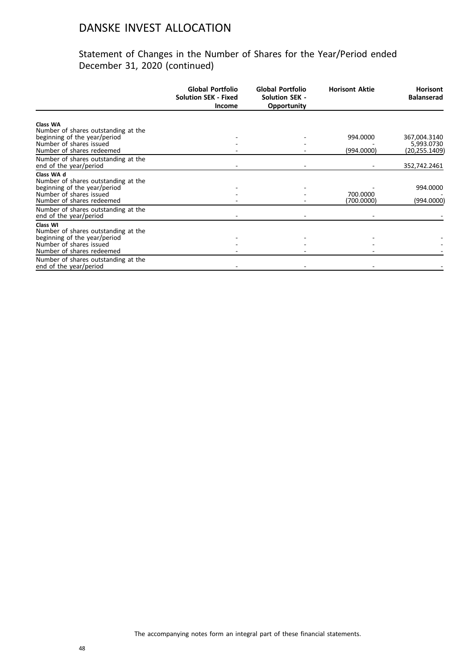|                                                                     | <b>Global Portfolio</b><br><b>Solution SEK - Fixed</b><br><b>Income</b> | Global Portfolio<br><b>Solution SEK -</b><br>Opportunity | <b>Horisont Aktie</b> | <b>Horisont</b><br><b>Balanserad</b> |
|---------------------------------------------------------------------|-------------------------------------------------------------------------|----------------------------------------------------------|-----------------------|--------------------------------------|
|                                                                     |                                                                         |                                                          |                       |                                      |
| Class WA                                                            |                                                                         |                                                          |                       |                                      |
| Number of shares outstanding at the<br>beginning of the year/period |                                                                         |                                                          | 994.0000              | 367,004.3140                         |
| Number of shares issued                                             |                                                                         |                                                          |                       | 5,993.0730                           |
| Number of shares redeemed                                           |                                                                         |                                                          | (994.0000)            | (20,255.1409)                        |
| Number of shares outstanding at the                                 |                                                                         |                                                          |                       |                                      |
| end of the year/period                                              |                                                                         |                                                          |                       | 352,742.2461                         |
| Class WA d                                                          |                                                                         |                                                          |                       |                                      |
| Number of shares outstanding at the                                 |                                                                         |                                                          |                       |                                      |
| beginning of the year/period                                        |                                                                         |                                                          |                       | 994.0000                             |
| Number of shares issued                                             |                                                                         |                                                          | 700.0000              |                                      |
| Number of shares redeemed                                           |                                                                         |                                                          | (700.0000)            | (994.0000)                           |
| Number of shares outstanding at the                                 |                                                                         |                                                          |                       |                                      |
| end of the year/period                                              |                                                                         |                                                          |                       |                                      |
| Class WI                                                            |                                                                         |                                                          |                       |                                      |
| Number of shares outstanding at the                                 |                                                                         |                                                          |                       |                                      |
| beginning of the year/period<br>Number of shares issued             |                                                                         |                                                          |                       |                                      |
| Number of shares redeemed                                           |                                                                         |                                                          |                       |                                      |
| Number of shares outstanding at the                                 |                                                                         |                                                          |                       |                                      |
| end of the year/period                                              |                                                                         |                                                          |                       |                                      |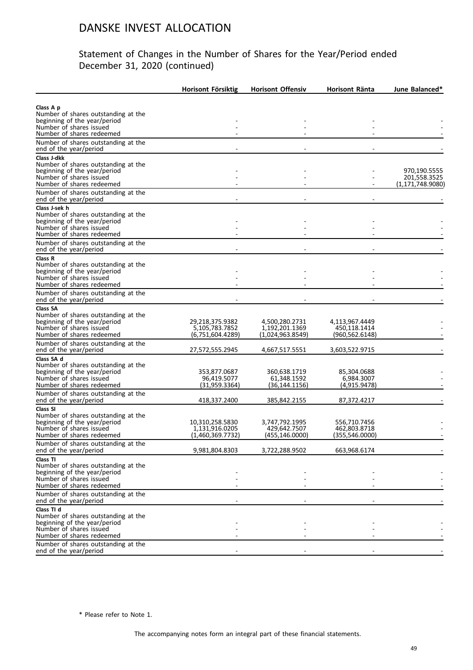#### Statement of Changes in the Number of Shares for the Year/Period ended December 31, 2020 (continued)

|                                                                                                                                         | <b>Horisont Försiktig</b>                             | <b>Horisont Offensiv</b>                         | Horisont Ränta                                 | June Balanced*               |
|-----------------------------------------------------------------------------------------------------------------------------------------|-------------------------------------------------------|--------------------------------------------------|------------------------------------------------|------------------------------|
|                                                                                                                                         |                                                       |                                                  |                                                |                              |
| Class A p<br>Number of shares outstanding at the<br>beginning of the year/period                                                        |                                                       |                                                  |                                                |                              |
| Number of shares issued<br>Number of shares redeemed                                                                                    |                                                       |                                                  |                                                |                              |
| Number of shares outstanding at the<br>end of the year/period                                                                           |                                                       |                                                  |                                                |                              |
| Class J-dkk<br>Number of shares outstanding at the                                                                                      |                                                       |                                                  |                                                |                              |
| beginning of the year/period<br>Number of shares issued                                                                                 |                                                       |                                                  |                                                | 970,190.5555<br>201,558.3525 |
| Number of shares redeemed<br>Number of shares outstanding at the                                                                        |                                                       |                                                  |                                                | (1, 171, 748.9080)           |
| end of the year/period                                                                                                                  |                                                       |                                                  |                                                |                              |
| Class J-sek h<br>Number of shares outstanding at the<br>beginning of the year/period<br>Number of shares issued                         |                                                       |                                                  |                                                |                              |
| Number of shares redeemed<br>Number of shares outstanding at the<br>end of the year/period                                              |                                                       |                                                  |                                                |                              |
| Class R<br>Number of shares outstanding at the<br>beginning of the year/period                                                          |                                                       |                                                  |                                                |                              |
| Number of shares issued<br>Number of shares redeemed                                                                                    |                                                       |                                                  |                                                |                              |
| Number of shares outstanding at the<br>end of the year/period                                                                           |                                                       |                                                  |                                                |                              |
| Class SA<br>Number of shares outstanding at the<br>beginning of the year/period<br>Number of shares issued                              | 29,218,375.9382<br>5,105,783.7852                     | 4,500,280.2731<br>1,192,201.1369                 | 4,113,967.4449<br>450.118.1414                 |                              |
| Number of shares redeemed<br>Number of shares outstanding at the<br>end of the year/period                                              | (6,751,604.4289)<br>27,572,555.2945                   | (1,024,963.8549)<br>4,667,517.5551               | (960,562.6148)<br>3,603,522.9715               |                              |
| Class SA d                                                                                                                              |                                                       |                                                  |                                                |                              |
| Number of shares outstanding at the<br>beginning of the year/period<br>Number of shares issued                                          | 353,877.0687<br>96,419.5077                           | 360,638.1719<br>61,348.1592                      | 85,304.0688<br>6,984.3007                      |                              |
| Number of shares redeemed                                                                                                               | (31,959.3364)                                         | (36,144.1156)                                    | (4,915.9478)                                   |                              |
| Number of shares outstanding at the<br>end of the year/period                                                                           | 418,337.2400                                          | 385,842.2155                                     | 87,372.4217                                    |                              |
| Class SI<br>Number of shares outstanding at the<br>beginning of the year/period<br>Number of shares issued<br>Number of shares redeemed | 10,310,258.5830<br>1,131,916.0205<br>(1,460,369.7732) | 3,747,792.1995<br>429,642.7507<br>(455,146.0000) | 556,710.7456<br>462.803.8718<br>(355,546.0000) |                              |
| Number of shares outstanding at the<br>end of the year/period                                                                           | 9,981,804.8303                                        | 3,722,288.9502                                   | 663,968.6174                                   |                              |
| Class TI<br>Number of shares outstanding at the<br>beginning of the year/period<br>Number of shares issued                              |                                                       |                                                  |                                                |                              |
| Number of shares redeemed<br>Number of shares outstanding at the                                                                        |                                                       |                                                  |                                                |                              |
| end of the year/period                                                                                                                  |                                                       |                                                  |                                                |                              |
| Class TI d<br>Number of shares outstanding at the<br>beginning of the year/period<br>Number of shares issued                            |                                                       |                                                  |                                                |                              |
| Number of shares redeemed                                                                                                               |                                                       |                                                  |                                                |                              |
| Number of shares outstanding at the<br>end of the year/period                                                                           |                                                       |                                                  |                                                |                              |

\* Please refer to Note 1.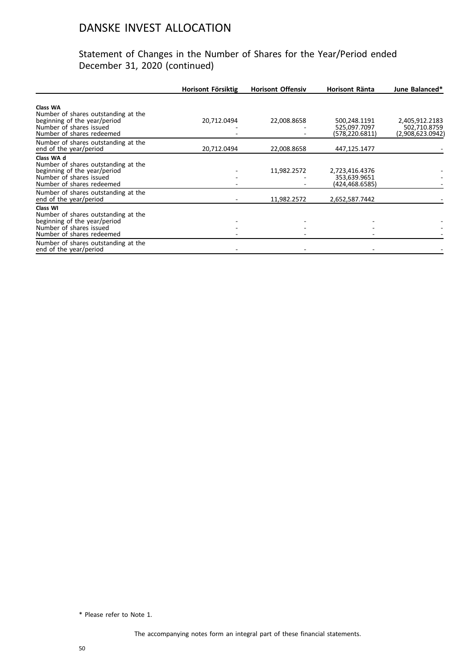#### Statement of Changes in the Number of Shares for the Year/Period ended December 31, 2020 (continued)

|                                                                                                                                           | Horisont Försiktig | <b>Horisont Offensiv</b> | Horisont Ränta                                   | June Balanced*                                     |
|-------------------------------------------------------------------------------------------------------------------------------------------|--------------------|--------------------------|--------------------------------------------------|----------------------------------------------------|
| Class WA<br>Number of shares outstanding at the<br>beginning of the year/period<br>Number of shares issued<br>Number of shares redeemed   | 20,712.0494        | 22,008.8658              | 500,248.1191<br>525,097.7097<br>(578,220.6811)   | 2,405,912.2183<br>502,710.8759<br>(2,908,623.0942) |
| Number of shares outstanding at the<br>end of the year/period                                                                             | 20,712.0494        | 22,008.8658              | 447,125.1477                                     |                                                    |
| Class WA d<br>Number of shares outstanding at the<br>beginning of the year/period<br>Number of shares issued<br>Number of shares redeemed |                    | 11,982.2572              | 2,723,416.4376<br>353,639.9651<br>(424,468.6585) |                                                    |
| Number of shares outstanding at the<br>end of the year/period                                                                             |                    | 11,982.2572              | 2,652,587.7442                                   |                                                    |
| Class WI<br>Number of shares outstanding at the<br>beginning of the year/period<br>Number of shares issued<br>Number of shares redeemed   |                    |                          |                                                  |                                                    |
| Number of shares outstanding at the<br>end of the year/period                                                                             |                    |                          |                                                  |                                                    |

\* Please refer to Note 1.